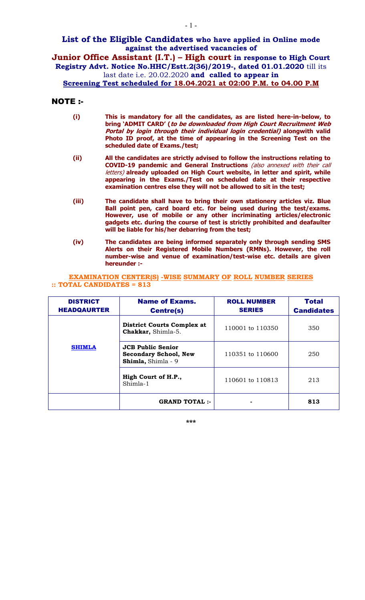## **List of the Eligible Candidates who have applied in Online mode against the advertised vacancies of**

**Junior Office Assistant (I.T.) – High court in response to High Court Registry Advt. Notice No.HHC/Estt.2(36)/2019-, dated 01.01.2020** till its last date i.e. 20.02.2020 **and called to appear in**

**Screening Test scheduled for 18.04.2021 at 02:00 P.M. to 04.00 P.M**

## NOTE :-

- **(i) This is mandatory for all the candidates, as are listed here-in-below, to bring 'ADMIT CARD' (to be downloaded from High Court Recruitment Web Portal by login through their individual login credential) alongwith valid Photo ID proof, at the time of appearing in the Screening Test on the scheduled date of Exams./test;**
- **(ii) All the candidates are strictly advised to follow the instructions relating to COVID-19 pandemic and General Instructions** (also annexed with their call letters) **already uploaded on High Court website, in letter and spirit, while appearing in the Exams./Test on scheduled date at their respective examination centres else they will not be allowed to sit in the test;**
- **(iii) The candidate shall have to bring their own stationery articles viz. Blue Ball point pen, card board etc. for being used during the test/exams. However, use of mobile or any other incriminating articles/electronic gadgets etc. during the course of test is strictly prohibited and deafaulter will be liable for his/her debarring from the test;**
- **(iv) The candidates are being informed separately only through sending SMS Alerts on their Registered Mobile Numbers (RMNs). However, the roll number-wise and venue of examination/test-wise etc. details are given hereunder :-**

**EXAMINATION CENTER(S) -WISE SUMMARY OF ROLL NUMBER SERIES :: TOTAL CANDIDATES = 813**

| <b>DISTRICT</b><br><b>HEADQAURTER</b> | <b>Name of Exams.</b><br><b>Centre(s)</b>                                      | <b>ROLL NUMBER</b><br><b>SERIES</b> | <b>Total</b><br><b>Candidates</b> |
|---------------------------------------|--------------------------------------------------------------------------------|-------------------------------------|-----------------------------------|
|                                       | <b>District Courts Complex at</b><br>Chakkar, Shimla-5.                        | 110001 to 110350                    | 350                               |
| <b>SHIMLA</b>                         | <b>JCB Public Senior</b><br><b>Secondary School, New</b><br>Shimla, Shimla - 9 | 110351 to 110600                    | 250                               |
|                                       | High Court of H.P.,<br>Shimla-1                                                | 110601 to 110813                    | 213                               |
|                                       | <b>GRAND TOTAL:-</b>                                                           |                                     | 813                               |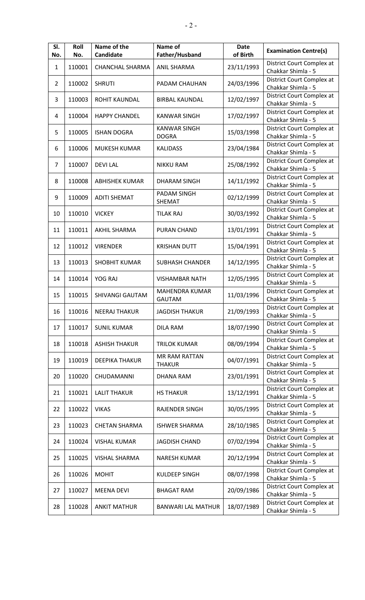| SI.<br>No.     | Roll<br>No. | Name of the<br>Candidate | Name of<br>Father/Husband              | <b>Date</b><br>of Birth | <b>Examination Centre(s)</b>                    |
|----------------|-------------|--------------------------|----------------------------------------|-------------------------|-------------------------------------------------|
| $\mathbf{1}$   | 110001      | <b>CHANCHAL SHARMA</b>   | <b>ANIL SHARMA</b>                     | 23/11/1993              | District Court Complex at<br>Chakkar Shimla - 5 |
| $\overline{2}$ | 110002      | <b>SHRUTI</b>            | PADAM CHAUHAN                          | 24/03/1996              | District Court Complex at<br>Chakkar Shimla - 5 |
| 3              | 110003      | <b>ROHIT KAUNDAL</b>     | <b>BIRBAL KAUNDAL</b>                  | 12/02/1997              | District Court Complex at<br>Chakkar Shimla - 5 |
| 4              | 110004      | <b>HAPPY CHANDEL</b>     | <b>KANWAR SINGH</b>                    | 17/02/1997              | District Court Complex at<br>Chakkar Shimla - 5 |
| 5              | 110005      | <b>ISHAN DOGRA</b>       | <b>KANWAR SINGH</b><br><b>DOGRA</b>    | 15/03/1998              | District Court Complex at<br>Chakkar Shimla - 5 |
| 6              | 110006      | <b>MUKESH KUMAR</b>      | <b>KALIDASS</b>                        | 23/04/1984              | District Court Complex at<br>Chakkar Shimla - 5 |
| 7              | 110007      | <b>DEVILAL</b>           | <b>NIKKU RAM</b>                       | 25/08/1992              | District Court Complex at<br>Chakkar Shimla - 5 |
| 8              | 110008      | <b>ABHISHEK KUMAR</b>    | <b>DHARAM SINGH</b>                    | 14/11/1992              | District Court Complex at<br>Chakkar Shimla - 5 |
| 9              | 110009      | <b>ADITI SHEMAT</b>      | PADAM SINGH<br>SHEMAT                  | 02/12/1999              | District Court Complex at<br>Chakkar Shimla - 5 |
| 10             | 110010      | <b>VICKEY</b>            | <b>TILAK RAJ</b>                       | 30/03/1992              | District Court Complex at<br>Chakkar Shimla - 5 |
| 11             | 110011      | <b>AKHIL SHARMA</b>      | PURAN CHAND                            | 13/01/1991              | District Court Complex at<br>Chakkar Shimla - 5 |
| 12             | 110012      | <b>VIRENDER</b>          | <b>KRISHAN DUTT</b>                    | 15/04/1991              | District Court Complex at<br>Chakkar Shimla - 5 |
| 13             | 110013      | <b>SHOBHIT KUMAR</b>     | <b>SUBHASH CHANDER</b>                 | 14/12/1995              | District Court Complex at<br>Chakkar Shimla - 5 |
| 14             | 110014      | YOG RAJ                  | <b>VISHAMBAR NATH</b>                  | 12/05/1995              | District Court Complex at<br>Chakkar Shimla - 5 |
| 15             | 110015      | SHIVANGI GAUTAM          | <b>MAHENDRA KUMAR</b><br><b>GAUTAM</b> | 11/03/1996              | District Court Complex at<br>Chakkar Shimla - 5 |
| 16             | 110016      | <b>NEERAJ THAKUR</b>     | <b>JAGDISH THAKUR</b>                  | 21/09/1993              | District Court Complex at<br>Chakkar Shimla - 5 |
| 17             | 110017      | <b>SUNIL KUMAR</b>       | <b>DILA RAM</b>                        | 18/07/1990              | District Court Complex at<br>Chakkar Shimla - 5 |
| 18             | 110018      | <b>ASHISH THAKUR</b>     | <b>TRILOK KUMAR</b>                    | 08/09/1994              | District Court Complex at<br>Chakkar Shimla - 5 |
| 19             | 110019      | <b>DEEPIKA THAKUR</b>    | MR RAM RATTAN<br><b>THAKUR</b>         | 04/07/1991              | District Court Complex at<br>Chakkar Shimla - 5 |
| 20             | 110020      | CHUDAMANNI               | <b>DHANA RAM</b>                       | 23/01/1991              | District Court Complex at<br>Chakkar Shimla - 5 |
| 21             | 110021      | <b>LALIT THAKUR</b>      | <b>HS THAKUR</b>                       | 13/12/1991              | District Court Complex at<br>Chakkar Shimla - 5 |
| 22             | 110022      | <b>VIKAS</b>             | RAJENDER SINGH                         | 30/05/1995              | District Court Complex at<br>Chakkar Shimla - 5 |
| 23             | 110023      | <b>CHETAN SHARMA</b>     | <b>ISHWER SHARMA</b>                   | 28/10/1985              | District Court Complex at<br>Chakkar Shimla - 5 |
| 24             | 110024      | <b>VISHAL KUMAR</b>      | <b>JAGDISH CHAND</b>                   | 07/02/1994              | District Court Complex at<br>Chakkar Shimla - 5 |
| 25             | 110025      | <b>VISHAL SHARMA</b>     | <b>NARESH KUMAR</b>                    | 20/12/1994              | District Court Complex at<br>Chakkar Shimla - 5 |
| 26             | 110026      | <b>MOHIT</b>             | <b>KULDEEP SINGH</b>                   | 08/07/1998              | District Court Complex at<br>Chakkar Shimla - 5 |
| 27             | 110027      | <b>MEENA DEVI</b>        | <b>BHAGAT RAM</b>                      | 20/09/1986              | District Court Complex at<br>Chakkar Shimla - 5 |
| 28             | 110028      | <b>ANKIT MATHUR</b>      | <b>BANWARI LAL MATHUR</b>              | 18/07/1989              | District Court Complex at<br>Chakkar Shimla - 5 |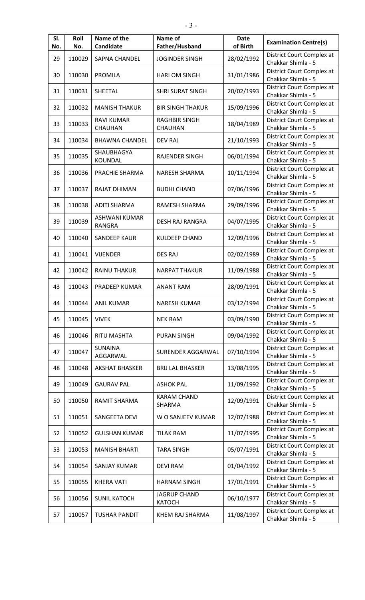| SI.<br>No. | Roll<br>No. | Name of the<br>Candidate              | Name of<br>Father/Husband            | <b>Date</b><br>of Birth | <b>Examination Centre(s)</b>                    |
|------------|-------------|---------------------------------------|--------------------------------------|-------------------------|-------------------------------------------------|
| 29         | 110029      | <b>SAPNA CHANDEL</b>                  | <b>JOGINDER SINGH</b>                | 28/02/1992              | District Court Complex at<br>Chakkar Shimla - 5 |
| 30         | 110030      | PROMILA                               | <b>HARI OM SINGH</b>                 | 31/01/1986              | District Court Complex at<br>Chakkar Shimla - 5 |
| 31         | 110031      | SHEETAL                               | <b>SHRI SURAT SINGH</b>              | 20/02/1993              | District Court Complex at<br>Chakkar Shimla - 5 |
| 32         | 110032      | <b>MANISH THAKUR</b>                  | <b>BIR SINGH THAKUR</b>              | 15/09/1996              | District Court Complex at<br>Chakkar Shimla - 5 |
| 33         | 110033      | <b>RAVI KUMAR</b><br><b>CHAUHAN</b>   | <b>RAGHBIR SINGH</b><br>CHAUHAN      | 18/04/1989              | District Court Complex at<br>Chakkar Shimla - 5 |
| 34         | 110034      | <b>BHAWNA CHANDEL</b>                 | <b>DEV RAJ</b>                       | 21/10/1993              | District Court Complex at<br>Chakkar Shimla - 5 |
| 35         | 110035      | SHAUBHAGYA<br>KOUNDAL                 | <b>RAJENDER SINGH</b>                | 06/01/1994              | District Court Complex at<br>Chakkar Shimla - 5 |
| 36         | 110036      | PRACHIE SHARMA                        | <b>NARESH SHARMA</b>                 | 10/11/1994              | District Court Complex at<br>Chakkar Shimla - 5 |
| 37         | 110037      | <b>RAJAT DHIMAN</b>                   | <b>BUDHI CHAND</b>                   | 07/06/1996              | District Court Complex at<br>Chakkar Shimla - 5 |
| 38         | 110038      | <b>ADITI SHARMA</b>                   | <b>RAMESH SHARMA</b>                 | 29/09/1996              | District Court Complex at<br>Chakkar Shimla - 5 |
| 39         | 110039      | <b>ASHWANI KUMAR</b><br><b>RANGRA</b> | DESH RAJ RANGRA                      | 04/07/1995              | District Court Complex at<br>Chakkar Shimla - 5 |
| 40         | 110040      | <b>SANDEEP KAUR</b>                   | <b>KULDEEP CHAND</b>                 | 12/09/1996              | District Court Complex at<br>Chakkar Shimla - 5 |
| 41         | 110041      | <b>VIJENDER</b>                       | <b>DES RAJ</b>                       | 02/02/1989              | District Court Complex at<br>Chakkar Shimla - 5 |
| 42         | 110042      | <b>RAINU THAKUR</b>                   | <b>NARPAT THAKUR</b>                 | 11/09/1988              | District Court Complex at<br>Chakkar Shimla - 5 |
| 43         | 110043      | PRADEEP KUMAR                         | <b>ANANT RAM</b>                     | 28/09/1991              | District Court Complex at<br>Chakkar Shimla - 5 |
| 44         | 110044      | <b>ANIL KUMAR</b>                     | <b>NARESH KUMAR</b>                  | 03/12/1994              | District Court Complex at<br>Chakkar Shimla - 5 |
| 45         | 110045      | <b>VIVEK</b>                          | <b>NEK RAM</b>                       | 03/09/1990              | District Court Complex at<br>Chakkar Shimla - 5 |
| 46         | 110046      | <b>RITU MASHTA</b>                    | <b>PURAN SINGH</b>                   | 09/04/1992              | District Court Complex at<br>Chakkar Shimla - 5 |
| 47         | 110047      | <b>SUNAINA</b><br>AGGARWAL            | SURENDER AGGARWAL                    | 07/10/1994              | District Court Complex at<br>Chakkar Shimla - 5 |
| 48         | 110048      | AKSHAT BHASKER                        | <b>BRIJ LAL BHASKER</b>              | 13/08/1995              | District Court Complex at<br>Chakkar Shimla - 5 |
| 49         | 110049      | <b>GAURAV PAL</b>                     | <b>ASHOK PAL</b>                     | 11/09/1992              | District Court Complex at<br>Chakkar Shimla - 5 |
| 50         | 110050      | <b>RAMIT SHARMA</b>                   | <b>KARAM CHAND</b><br>SHARMA         | 12/09/1991              | District Court Complex at<br>Chakkar Shimla - 5 |
| 51         | 110051      | SANGEETA DEVI                         | W O SANJEEV KUMAR                    | 12/07/1988              | District Court Complex at<br>Chakkar Shimla - 5 |
| 52         | 110052      | <b>GULSHAN KUMAR</b>                  | <b>TILAK RAM</b>                     | 11/07/1995              | District Court Complex at<br>Chakkar Shimla - 5 |
| 53         | 110053      | <b>MANISH BHARTI</b>                  | <b>TARA SINGH</b>                    | 05/07/1991              | District Court Complex at<br>Chakkar Shimla - 5 |
| 54         | 110054      | <b>SANJAY KUMAR</b>                   | <b>DEVI RAM</b>                      | 01/04/1992              | District Court Complex at<br>Chakkar Shimla - 5 |
| 55         | 110055      | <b>KHERA VATI</b>                     | <b>HARNAM SINGH</b>                  | 17/01/1991              | District Court Complex at<br>Chakkar Shimla - 5 |
| 56         | 110056      | <b>SUNIL KATOCH</b>                   | <b>JAGRUP CHAND</b><br><b>KATOCH</b> | 06/10/1977              | District Court Complex at<br>Chakkar Shimla - 5 |
| 57         | 110057      | <b>TUSHAR PANDIT</b>                  | KHEM RAJ SHARMA                      | 11/08/1997              | District Court Complex at<br>Chakkar Shimla - 5 |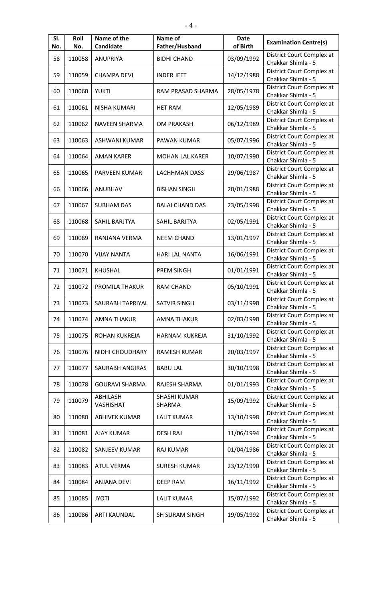| SI.<br>No. | Roll<br>No. | Name of the<br>Candidate | Name of<br>Father/Husband     | <b>Date</b><br>of Birth | <b>Examination Centre(s)</b>                    |
|------------|-------------|--------------------------|-------------------------------|-------------------------|-------------------------------------------------|
| 58         | 110058      | ANUPRIYA                 | <b>BIDHI CHAND</b>            | 03/09/1992              | District Court Complex at<br>Chakkar Shimla - 5 |
| 59         | 110059      | <b>CHAMPA DEVI</b>       | <b>INDER JEET</b>             | 14/12/1988              | District Court Complex at<br>Chakkar Shimla - 5 |
| 60         | 110060      | <b>YUKTI</b>             | RAM PRASAD SHARMA             | 28/05/1978              | District Court Complex at<br>Chakkar Shimla - 5 |
| 61         | 110061      | NISHA KUMARI             | <b>HET RAM</b>                | 12/05/1989              | District Court Complex at<br>Chakkar Shimla - 5 |
| 62         | 110062      | <b>NAVEEN SHARMA</b>     | OM PRAKASH                    | 06/12/1989              | District Court Complex at<br>Chakkar Shimla - 5 |
| 63         | 110063      | ASHWANI KUMAR            | PAWAN KUMAR                   | 05/07/1996              | District Court Complex at<br>Chakkar Shimla - 5 |
| 64         | 110064      | <b>AMAN KARER</b>        | <b>MOHAN LAL KARER</b>        | 10/07/1990              | District Court Complex at<br>Chakkar Shimla - 5 |
| 65         | 110065      | <b>PARVEEN KUMAR</b>     | <b>LACHHMAN DASS</b>          | 29/06/1987              | District Court Complex at<br>Chakkar Shimla - 5 |
| 66         | 110066      | ANUBHAV                  | <b>BISHAN SINGH</b>           | 20/01/1988              | District Court Complex at<br>Chakkar Shimla - 5 |
| 67         | 110067      | <b>SUBHAM DAS</b>        | <b>BALAI CHAND DAS</b>        | 23/05/1998              | District Court Complex at<br>Chakkar Shimla - 5 |
| 68         | 110068      | SAHIL BARJTYA            | SAHIL BARJTYA                 | 02/05/1991              | District Court Complex at<br>Chakkar Shimla - 5 |
| 69         | 110069      | RANJANA VERMA            | <b>NEEM CHAND</b>             | 13/01/1997              | District Court Complex at<br>Chakkar Shimla - 5 |
| 70         | 110070      | <b>VIJAY NANTA</b>       | <b>HARI LAL NANTA</b>         | 16/06/1991              | District Court Complex at<br>Chakkar Shimla - 5 |
| 71         | 110071      | <b>KHUSHAL</b>           | <b>PREM SINGH</b>             | 01/01/1991              | District Court Complex at<br>Chakkar Shimla - 5 |
| 72         | 110072      | PROMILA THAKUR           | <b>RAM CHAND</b>              | 05/10/1991              | District Court Complex at<br>Chakkar Shimla - 5 |
| 73         | 110073      | SAURABH TAPRIYAL         | <b>SATVIR SINGH</b>           | 03/11/1990              | District Court Complex at<br>Chakkar Shimla - 5 |
| 74         | 110074      | <b>AMNA THAKUR</b>       | <b>AMNA THAKUR</b>            | 02/03/1990              | District Court Complex at<br>Chakkar Shimla - 5 |
| 75         | 110075      | ROHAN KUKREJA            | <b>HARNAM KUKREJA</b>         | 31/10/1992              | District Court Complex at<br>Chakkar Shimla - 5 |
| 76         | 110076      | NIDHI CHOUDHARY          | <b>RAMESH KUMAR</b>           | 20/03/1997              | District Court Complex at<br>Chakkar Shimla - 5 |
| 77         | 110077      | SAURABH ANGIRAS          | <b>BABU LAL</b>               | 30/10/1998              | District Court Complex at<br>Chakkar Shimla - 5 |
| 78         | 110078      | <b>GOURAVI SHARMA</b>    | RAJESH SHARMA                 | 01/01/1993              | District Court Complex at<br>Chakkar Shimla - 5 |
| 79         | 110079      | ABHILASH<br>VASHISHAT    | <b>SHASHI KUMAR</b><br>SHARMA | 15/09/1992              | District Court Complex at<br>Chakkar Shimla - 5 |
| 80         | 110080      | <b>ABHIVEK KUMAR</b>     | <b>LALIT KUMAR</b>            | 13/10/1998              | District Court Complex at<br>Chakkar Shimla - 5 |
| 81         | 110081      | <b>AJAY KUMAR</b>        | <b>DESH RAJ</b>               | 11/06/1994              | District Court Complex at<br>Chakkar Shimla - 5 |
| 82         | 110082      | SANJEEV KUMAR            | RAJ KUMAR                     | 01/04/1986              | District Court Complex at<br>Chakkar Shimla - 5 |
| 83         | 110083      | <b>ATUL VERMA</b>        | <b>SURESH KUMAR</b>           | 23/12/1990              | District Court Complex at<br>Chakkar Shimla - 5 |
| 84         | 110084      | <b>ANJANA DEVI</b>       | <b>DEEP RAM</b>               | 16/11/1992              | District Court Complex at<br>Chakkar Shimla - 5 |
| 85         | 110085      | <b>JYOTI</b>             | <b>LALIT KUMAR</b>            | 15/07/1992              | District Court Complex at<br>Chakkar Shimla - 5 |
| 86         | 110086      | <b>ARTI KAUNDAL</b>      | <b>SH SURAM SINGH</b>         | 19/05/1992              | District Court Complex at<br>Chakkar Shimla - 5 |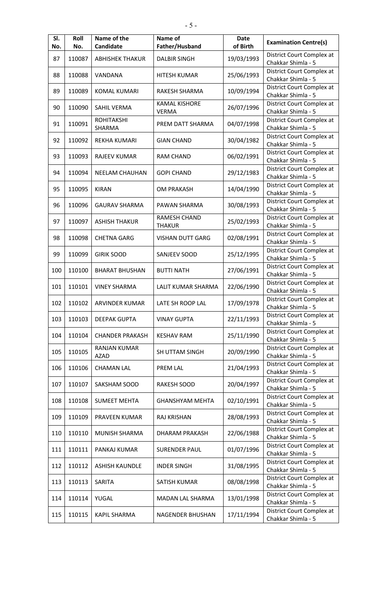| SI.<br>No. | Roll<br>No. | Name of the<br>Candidate           | Name of<br>Father/Husband            | <b>Date</b><br>of Birth | <b>Examination Centre(s)</b>                    |
|------------|-------------|------------------------------------|--------------------------------------|-------------------------|-------------------------------------------------|
| 87         | 110087      | <b>ABHISHEK THAKUR</b>             | <b>DALBIR SINGH</b>                  | 19/03/1993              | District Court Complex at<br>Chakkar Shimla - 5 |
| 88         | 110088      | VANDANA                            | <b>HITESH KUMAR</b>                  | 25/06/1993              | District Court Complex at<br>Chakkar Shimla - 5 |
| 89         | 110089      | <b>KOMAL KUMARI</b>                | RAKESH SHARMA                        | 10/09/1994              | District Court Complex at<br>Chakkar Shimla - 5 |
| 90         | 110090      | <b>SAHIL VERMA</b>                 | <b>KAMAL KISHORE</b><br><b>VERMA</b> | 26/07/1996              | District Court Complex at<br>Chakkar Shimla - 5 |
| 91         | 110091      | <b>ROHITAKSHI</b><br><b>SHARMA</b> | PREM DATT SHARMA                     | 04/07/1998              | District Court Complex at<br>Chakkar Shimla - 5 |
| 92         | 110092      | <b>REKHA KUMARI</b>                | <b>GIAN CHAND</b>                    | 30/04/1982              | District Court Complex at<br>Chakkar Shimla - 5 |
| 93         | 110093      | <b>RAJEEV KUMAR</b>                | <b>RAM CHAND</b>                     | 06/02/1991              | District Court Complex at<br>Chakkar Shimla - 5 |
| 94         | 110094      | NEELAM CHAUHAN                     | <b>GOPI CHAND</b>                    | 29/12/1983              | District Court Complex at<br>Chakkar Shimla - 5 |
| 95         | 110095      | <b>KIRAN</b>                       | <b>OM PRAKASH</b>                    | 14/04/1990              | District Court Complex at<br>Chakkar Shimla - 5 |
| 96         | 110096      | <b>GAURAV SHARMA</b>               | PAWAN SHARMA                         | 30/08/1993              | District Court Complex at<br>Chakkar Shimla - 5 |
| 97         | 110097      | <b>ASHISH THAKUR</b>               | <b>RAMESH CHAND</b><br><b>THAKUR</b> | 25/02/1993              | District Court Complex at<br>Chakkar Shimla - 5 |
| 98         | 110098      | <b>CHETNA GARG</b>                 | <b>VISHAN DUTT GARG</b>              | 02/08/1991              | District Court Complex at<br>Chakkar Shimla - 5 |
| 99         | 110099      | <b>GIRIK SOOD</b>                  | SANJEEV SOOD                         | 25/12/1995              | District Court Complex at<br>Chakkar Shimla - 5 |
| 100        | 110100      | <b>BHARAT BHUSHAN</b>              | <b>BUTTI NATH</b>                    | 27/06/1991              | District Court Complex at<br>Chakkar Shimla - 5 |
| 101        | 110101      | <b>VINEY SHARMA</b>                | LALIT KUMAR SHARMA                   | 22/06/1990              | District Court Complex at<br>Chakkar Shimla - 5 |
| 102        | 110102      | <b>ARVINDER KUMAR</b>              | LATE SH ROOP LAL                     | 17/09/1978              | District Court Complex at<br>Chakkar Shimla - 5 |
| 103        | 110103      | <b>DEEPAK GUPTA</b>                | <b>VINAY GUPTA</b>                   | 22/11/1993              | District Court Complex at<br>Chakkar Shimla - 5 |
| 104        | 110104      | <b>CHANDER PRAKASH</b>             | <b>KESHAV RAM</b>                    | 25/11/1990              | District Court Complex at<br>Chakkar Shimla - 5 |
| 105        | 110105      | <b>RANJAN KUMAR</b><br><b>AZAD</b> | SH UTTAM SINGH                       | 20/09/1990              | District Court Complex at<br>Chakkar Shimla - 5 |
| 106        | 110106      | <b>CHAMAN LAL</b>                  | <b>PREM LAL</b>                      | 21/04/1993              | District Court Complex at<br>Chakkar Shimla - 5 |
| 107        | 110107      | SAKSHAM SOOD                       | RAKESH SOOD                          | 20/04/1997              | District Court Complex at<br>Chakkar Shimla - 5 |
| 108        | 110108      | <b>SUMEET MEHTA</b>                | <b>GHANSHYAM MEHTA</b>               | 02/10/1991              | District Court Complex at<br>Chakkar Shimla - 5 |
| 109        | 110109      | PRAVEEN KUMAR                      | <b>RAJ KRISHAN</b>                   | 28/08/1993              | District Court Complex at<br>Chakkar Shimla - 5 |
| 110        | 110110      | MUNISH SHARMA                      | <b>DHARAM PRAKASH</b>                | 22/06/1988              | District Court Complex at<br>Chakkar Shimla - 5 |
| 111        | 110111      | PANKAJ KUMAR                       | <b>SURENDER PAUL</b>                 | 01/07/1996              | District Court Complex at<br>Chakkar Shimla - 5 |
| 112        | 110112      | <b>ASHISH KAUNDLE</b>              | <b>INDER SINGH</b>                   | 31/08/1995              | District Court Complex at<br>Chakkar Shimla - 5 |
| 113        | 110113      | SARITA                             | SATISH KUMAR                         | 08/08/1998              | District Court Complex at<br>Chakkar Shimla - 5 |
| 114        | 110114      | YUGAL                              | MADAN LAL SHARMA                     | 13/01/1998              | District Court Complex at<br>Chakkar Shimla - 5 |
| 115        | 110115      | <b>KAPIL SHARMA</b>                | NAGENDER BHUSHAN                     | 17/11/1994              | District Court Complex at<br>Chakkar Shimla - 5 |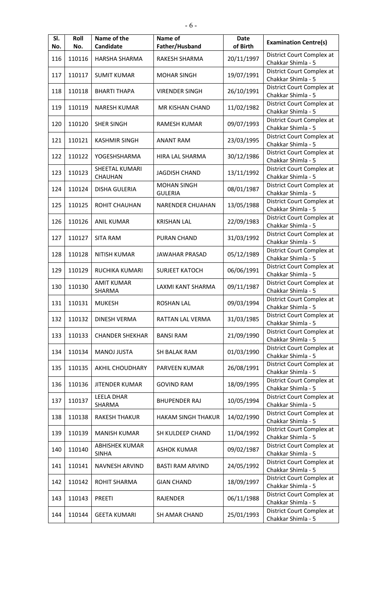| SI.<br>No. | Roll<br>No. | Name of the<br>Candidate              | Name of<br>Father/Husband            | <b>Date</b><br>of Birth | <b>Examination Centre(s)</b>                    |
|------------|-------------|---------------------------------------|--------------------------------------|-------------------------|-------------------------------------------------|
| 116        | 110116      | HARSHA SHARMA                         | RAKESH SHARMA                        | 20/11/1997              | District Court Complex at<br>Chakkar Shimla - 5 |
| 117        | 110117      | <b>SUMIT KUMAR</b>                    | <b>MOHAR SINGH</b>                   | 19/07/1991              | District Court Complex at<br>Chakkar Shimla - 5 |
| 118        | 110118      | <b>BHARTI THAPA</b>                   | <b>VIRENDER SINGH</b>                | 26/10/1991              | District Court Complex at<br>Chakkar Shimla - 5 |
| 119        | 110119      | <b>NARESH KUMAR</b>                   | MR KISHAN CHAND                      | 11/02/1982              | District Court Complex at<br>Chakkar Shimla - 5 |
| 120        | 110120      | <b>SHER SINGH</b>                     | RAMESH KUMAR                         | 09/07/1993              | District Court Complex at<br>Chakkar Shimla - 5 |
| 121        | 110121      | <b>KASHMIR SINGH</b>                  | <b>ANANT RAM</b>                     | 23/03/1995              | District Court Complex at<br>Chakkar Shimla - 5 |
| 122        | 110122      | YOGESHSHARMA                          | HIRA LAL SHARMA                      | 30/12/1986              | District Court Complex at<br>Chakkar Shimla - 5 |
| 123        | 110123      | SHEETAL KUMARI<br>CHAUHAN             | <b>JAGDISH CHAND</b>                 | 13/11/1992              | District Court Complex at<br>Chakkar Shimla - 5 |
| 124        | 110124      | <b>DISHA GULERIA</b>                  | <b>MOHAN SINGH</b><br><b>GULERIA</b> | 08/01/1987              | District Court Complex at<br>Chakkar Shimla - 5 |
| 125        | 110125      | ROHIT CHAUHAN                         | <b>NARENDER CHUAHAN</b>              | 13/05/1988              | District Court Complex at<br>Chakkar Shimla - 5 |
| 126        | 110126      | <b>ANIL KUMAR</b>                     | <b>KRISHAN LAL</b>                   | 22/09/1983              | District Court Complex at<br>Chakkar Shimla - 5 |
| 127        | 110127      | <b>SITA RAM</b>                       | PURAN CHAND                          | 31/03/1992              | District Court Complex at<br>Chakkar Shimla - 5 |
| 128        | 110128      | <b>NITISH KUMAR</b>                   | <b>JAWAHAR PRASAD</b>                | 05/12/1989              | District Court Complex at<br>Chakkar Shimla - 5 |
| 129        | 110129      | <b>RUCHIKA KUMARI</b>                 | <b>SURJEET KATOCH</b>                | 06/06/1991              | District Court Complex at<br>Chakkar Shimla - 5 |
| 130        | 110130      | <b>AMIT KUMAR</b><br>SHARMA           | LAXMI KANT SHARMA                    | 09/11/1987              | District Court Complex at<br>Chakkar Shimla - 5 |
| 131        | 110131      | <b>MUKESH</b>                         | <b>ROSHAN LAL</b>                    | 09/03/1994              | District Court Complex at<br>Chakkar Shimla - 5 |
| 132        | 110132      | <b>DINESH VERMA</b>                   | RATTAN LAL VERMA                     | 31/03/1985              | District Court Complex at<br>Chakkar Shimla - 5 |
| 133        | 110133      | <b>CHANDER SHEKHAR</b>                | <b>BANSI RAM</b>                     | 21/09/1990              | District Court Complex at<br>Chakkar Shimla - 5 |
| 134        | 110134      | <b>MANOJ JUSTA</b>                    | SH BALAK RAM                         | 01/03/1990              | District Court Complex at<br>Chakkar Shimla - 5 |
| 135        | 110135      | <b>AKHIL CHOUDHARY</b>                | PARVEEN KUMAR                        | 26/08/1991              | District Court Complex at<br>Chakkar Shimla - 5 |
| 136        | 110136      | <b>JITENDER KUMAR</b>                 | <b>GOVIND RAM</b>                    | 18/09/1995              | District Court Complex at<br>Chakkar Shimla - 5 |
| 137        | 110137      | <b>LEELA DHAR</b><br>SHARMA           | <b>BHUPENDER RAJ</b>                 | 10/05/1994              | District Court Complex at<br>Chakkar Shimla - 5 |
| 138        | 110138      | <b>RAKESH THAKUR</b>                  | <b>HAKAM SINGH THAKUR</b>            | 14/02/1990              | District Court Complex at<br>Chakkar Shimla - 5 |
| 139        | 110139      | <b>MANISH KUMAR</b>                   | SH KULDEEP CHAND                     | 11/04/1992              | District Court Complex at<br>Chakkar Shimla - 5 |
| 140        | 110140      | <b>ABHISHEK KUMAR</b><br><b>SINHA</b> | <b>ASHOK KUMAR</b>                   | 09/02/1987              | District Court Complex at<br>Chakkar Shimla - 5 |
| 141        | 110141      | <b>NAVNESH ARVIND</b>                 | <b>BASTI RAM ARVIND</b>              | 24/05/1992              | District Court Complex at<br>Chakkar Shimla - 5 |
| 142        | 110142      | <b>ROHIT SHARMA</b>                   | <b>GIAN CHAND</b>                    | 18/09/1997              | District Court Complex at<br>Chakkar Shimla - 5 |
| 143        | 110143      | <b>PREETI</b>                         | RAJENDER                             | 06/11/1988              | District Court Complex at<br>Chakkar Shimla - 5 |
| 144        | 110144      | <b>GEETA KUMARI</b>                   | <b>SH AMAR CHAND</b>                 | 25/01/1993              | District Court Complex at<br>Chakkar Shimla - 5 |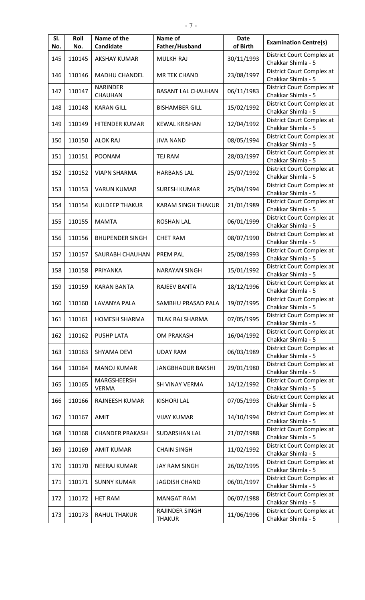| SI.<br>No. | Roll<br>No. | Name of the<br>Candidate    | Name of<br>Father/Husband       | <b>Date</b><br>of Birth | <b>Examination Centre(s)</b>                    |
|------------|-------------|-----------------------------|---------------------------------|-------------------------|-------------------------------------------------|
| 145        | 110145      | <b>AKSHAY KUMAR</b>         | <b>MULKH RAJ</b>                | 30/11/1993              | District Court Complex at<br>Chakkar Shimla - 5 |
| 146        | 110146      | <b>MADHU CHANDEL</b>        | MR TEK CHAND                    | 23/08/1997              | District Court Complex at<br>Chakkar Shimla - 5 |
| 147        | 110147      | <b>NARINDER</b><br>CHAUHAN  | <b>BASANT LAL CHAUHAN</b>       | 06/11/1983              | District Court Complex at<br>Chakkar Shimla - 5 |
| 148        | 110148      | <b>KARAN GILL</b>           | <b>BISHAMBER GILL</b>           | 15/02/1992              | District Court Complex at<br>Chakkar Shimla - 5 |
| 149        | 110149      | HITENDER KUMAR              | <b>KEWAL KRISHAN</b>            | 12/04/1992              | District Court Complex at<br>Chakkar Shimla - 5 |
| 150        | 110150      | <b>ALOK RAJ</b>             | <b>JIVA NAND</b>                | 08/05/1994              | District Court Complex at<br>Chakkar Shimla - 5 |
| 151        | 110151      | <b>POONAM</b>               | <b>TEJ RAM</b>                  | 28/03/1997              | District Court Complex at<br>Chakkar Shimla - 5 |
| 152        | 110152      | <b>VIAPN SHARMA</b>         | <b>HARBANS LAL</b>              | 25/07/1992              | District Court Complex at<br>Chakkar Shimla - 5 |
| 153        | 110153      | <b>VARUN KUMAR</b>          | <b>SURESH KUMAR</b>             | 25/04/1994              | District Court Complex at<br>Chakkar Shimla - 5 |
| 154        | 110154      | <b>KULDEEP THAKUR</b>       | <b>KARAM SINGH THAKUR</b>       | 21/01/1989              | District Court Complex at<br>Chakkar Shimla - 5 |
| 155        | 110155      | <b>MAMTA</b>                | <b>ROSHAN LAL</b>               | 06/01/1999              | District Court Complex at<br>Chakkar Shimla - 5 |
| 156        | 110156      | <b>BHUPENDER SINGH</b>      | <b>CHET RAM</b>                 | 08/07/1990              | District Court Complex at<br>Chakkar Shimla - 5 |
| 157        | 110157      | SAURABH CHAUHAN             | <b>PREM PAL</b>                 | 25/08/1993              | District Court Complex at<br>Chakkar Shimla - 5 |
| 158        | 110158      | PRIYANKA                    | <b>NARAYAN SINGH</b>            | 15/01/1992              | District Court Complex at<br>Chakkar Shimla - 5 |
| 159        | 110159      | <b>KARAN BANTA</b>          | <b>RAJEEV BANTA</b>             | 18/12/1996              | District Court Complex at<br>Chakkar Shimla - 5 |
| 160        | 110160      | <b>LAVANYA PALA</b>         | SAMBHU PRASAD PALA              | 19/07/1995              | District Court Complex at<br>Chakkar Shimla - 5 |
| 161        | 110161      | <b>HOMESH SHARMA</b>        | TILAK RAJ SHARMA                | 07/05/1995              | District Court Complex at<br>Chakkar Shimla - 5 |
| 162        | 110162      | <b>PUSHP LATA</b>           | <b>OM PRAKASH</b>               | 16/04/1992              | District Court Complex at<br>Chakkar Shimla - 5 |
| 163        | 110163      | <b>SHYAMA DEVI</b>          | <b>UDAY RAM</b>                 | 06/03/1989              | District Court Complex at<br>Chakkar Shimla - 5 |
| 164        | 110164      | <b>MANOJ KUMAR</b>          | <b>JANGBHADUR BAKSHI</b>        | 29/01/1980              | District Court Complex at<br>Chakkar Shimla - 5 |
| 165        | 110165      | MARGSHEERSH<br><b>VERMA</b> | SH VINAY VERMA                  | 14/12/1992              | District Court Complex at<br>Chakkar Shimla - 5 |
| 166        | 110166      | RAJNEESH KUMAR              | <b>KISHORI LAL</b>              | 07/05/1993              | District Court Complex at<br>Chakkar Shimla - 5 |
| 167        | 110167      | AMIT                        | <b>VIJAY KUMAR</b>              | 14/10/1994              | District Court Complex at<br>Chakkar Shimla - 5 |
| 168        | 110168      | <b>CHANDER PRAKASH</b>      | SUDARSHAN LAL                   | 21/07/1988              | District Court Complex at<br>Chakkar Shimla - 5 |
| 169        | 110169      | <b>AMIT KUMAR</b>           | <b>CHAIN SINGH</b>              | 11/02/1992              | District Court Complex at<br>Chakkar Shimla - 5 |
| 170        | 110170      | <b>NEERAJ KUMAR</b>         | <b>JAY RAM SINGH</b>            | 26/02/1995              | District Court Complex at<br>Chakkar Shimla - 5 |
| 171        | 110171      | <b>SUNNY KUMAR</b>          | <b>JAGDISH CHAND</b>            | 06/01/1997              | District Court Complex at<br>Chakkar Shimla - 5 |
| 172        | 110172      | <b>HET RAM</b>              | <b>MANGAT RAM</b>               | 06/07/1988              | District Court Complex at<br>Chakkar Shimla - 5 |
| 173        | 110173      | <b>RAHUL THAKUR</b>         | RAJINDER SINGH<br><b>THAKUR</b> | 11/06/1996              | District Court Complex at<br>Chakkar Shimla - 5 |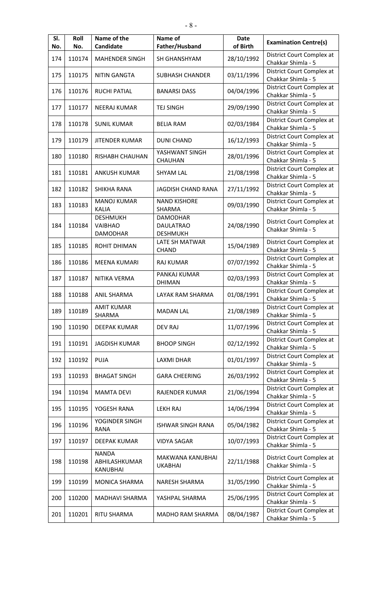| SI.<br>No. | Roll<br>No. | Name of the<br><b>Candidate</b>     | Name of<br>Father/Husband          | <b>Date</b><br>of Birth | <b>Examination Centre(s)</b>                    |
|------------|-------------|-------------------------------------|------------------------------------|-------------------------|-------------------------------------------------|
| 174        | 110174      | <b>MAHENDER SINGH</b>               | SH GHANSHYAM                       | 28/10/1992              | District Court Complex at<br>Chakkar Shimla - 5 |
| 175        | 110175      | <b>NITIN GANGTA</b>                 | <b>SUBHASH CHANDER</b>             | 03/11/1996              | District Court Complex at                       |
| 176        | 110176      | <b>RUCHI PATIAL</b>                 | <b>BANARSI DASS</b>                | 04/04/1996              | Chakkar Shimla - 5<br>District Court Complex at |
| 177        | 110177      | <b>NEERAJ KUMAR</b>                 | <b>TEJ SINGH</b>                   | 29/09/1990              | Chakkar Shimla - 5<br>District Court Complex at |
|            |             |                                     |                                    |                         | Chakkar Shimla - 5<br>District Court Complex at |
| 178        | 110178      | <b>SUNIL KUMAR</b>                  | <b>BELIA RAM</b>                   | 02/03/1984              | Chakkar Shimla - 5                              |
| 179        | 110179      | <b>JITENDER KUMAR</b>               | <b>DUNI CHAND</b>                  | 16/12/1993              | District Court Complex at<br>Chakkar Shimla - 5 |
| 180        | 110180      | RISHABH CHAUHAN                     | YASHWANT SINGH<br><b>CHAUHAN</b>   | 28/01/1996              | District Court Complex at<br>Chakkar Shimla - 5 |
| 181        | 110181      | <b>ANKUSH KUMAR</b>                 | <b>SHYAM LAL</b>                   | 21/08/1998              | District Court Complex at<br>Chakkar Shimla - 5 |
| 182        | 110182      | SHIKHA RANA                         | JAGDISH CHAND RANA                 | 27/11/1992              | District Court Complex at<br>Chakkar Shimla - 5 |
| 183        | 110183      | <b>MANOJ KUMAR</b>                  | <b>NAND KISHORE</b>                | 09/03/1990              | District Court Complex at                       |
|            |             | <b>KALIA</b><br><b>DESHMUKH</b>     | SHARMA<br><b>DAMODHAR</b>          |                         | Chakkar Shimla - 5                              |
| 184        | 110184      | VAIBHAO                             | <b>DAULATRAO</b>                   | 24/08/1990              | District Court Complex at                       |
|            |             | <b>DAMODHAR</b>                     | <b>DESHMUKH</b>                    |                         | Chakkar Shimla - 5                              |
| 185        | 110185      | ROHIT DHIMAN                        | LATE SH MATWAR<br>CHAND            | 15/04/1989              | District Court Complex at<br>Chakkar Shimla - 5 |
| 186        | 110186      | <b>MEENA KUMARI</b>                 | <b>RAJ KUMAR</b>                   | 07/07/1992              | District Court Complex at<br>Chakkar Shimla - 5 |
| 187        | 110187      | NITIKA VERMA                        | PANKAJ KUMAR<br><b>DHIMAN</b>      | 02/03/1993              | District Court Complex at<br>Chakkar Shimla - 5 |
| 188        | 110188      | <b>ANIL SHARMA</b>                  | LAYAK RAM SHARMA                   | 01/08/1991              | District Court Complex at<br>Chakkar Shimla - 5 |
| 189        | 110189      | <b>AMIT KUMAR</b><br>SHARMA         | <b>MADAN LAL</b>                   | 21/08/1989              | District Court Complex at<br>Chakkar Shimla - 5 |
| 190        | 110190      | <b>DEEPAK KUMAR</b>                 | <b>DEV RAJ</b>                     | 11/07/1996              | District Court Complex at<br>Chakkar Shimla - 5 |
| 191        | 110191      | <b>JAGDISH KUMAR</b>                | <b>BHOOP SINGH</b>                 | 02/12/1992              | District Court Complex at<br>Chakkar Shimla - 5 |
| 192        | 110192      | <b>PUJA</b>                         | <b>LAXMI DHAR</b>                  | 01/01/1997              | District Court Complex at<br>Chakkar Shimla - 5 |
| 193        | 110193      | <b>BHAGAT SINGH</b>                 | <b>GARA CHEERING</b>               | 26/03/1992              | District Court Complex at<br>Chakkar Shimla - 5 |
| 194        | 110194      | <b>MAMTA DEVI</b>                   | RAJENDER KUMAR                     | 21/06/1994              | District Court Complex at<br>Chakkar Shimla - 5 |
| 195        | 110195      | YOGESH RANA                         | <b>LEKH RAJ</b>                    | 14/06/1994              | District Court Complex at<br>Chakkar Shimla - 5 |
| 196        | 110196      | YOGINDER SINGH                      | <b>ISHWAR SINGH RANA</b>           | 05/04/1982              | District Court Complex at                       |
|            |             | <b>RANA</b>                         |                                    |                         | Chakkar Shimla - 5<br>District Court Complex at |
| 197        | 110197      | <b>DEEPAK KUMAR</b><br><b>NANDA</b> | <b>VIDYA SAGAR</b>                 | 10/07/1993              | Chakkar Shimla - 5                              |
| 198        | 110198      | ABHILASHKUMAR<br>KANUBHAI           | MAKWANA KANUBHAI<br><b>UKABHAI</b> | 22/11/1988              | District Court Complex at<br>Chakkar Shimla - 5 |
| 199        | 110199      | MONICA SHARMA                       | <b>NARESH SHARMA</b>               | 31/05/1990              | District Court Complex at<br>Chakkar Shimla - 5 |
| 200        | 110200      | MADHAVI SHARMA                      | YASHPAL SHARMA                     | 25/06/1995              | District Court Complex at<br>Chakkar Shimla - 5 |
| 201        | 110201      | RITU SHARMA                         | MADHO RAM SHARMA                   | 08/04/1987              | District Court Complex at<br>Chakkar Shimla - 5 |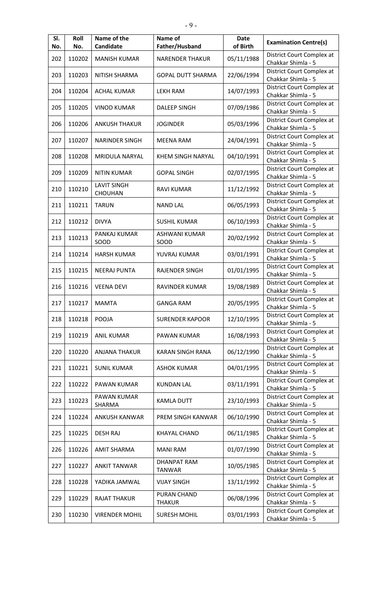| SI.<br>No. | Roll<br>No. | Name of the<br>Candidate      | Name of<br>Father/Husband           | <b>Date</b><br>of Birth | <b>Examination Centre(s)</b>                    |
|------------|-------------|-------------------------------|-------------------------------------|-------------------------|-------------------------------------------------|
| 202        | 110202      | <b>MANISH KUMAR</b>           | <b>NARENDER THAKUR</b>              | 05/11/1988              | District Court Complex at<br>Chakkar Shimla - 5 |
| 203        | 110203      | <b>NITISH SHARMA</b>          | <b>GOPAL DUTT SHARMA</b>            | 22/06/1994              | District Court Complex at<br>Chakkar Shimla - 5 |
| 204        | 110204      | <b>ACHAL KUMAR</b>            | <b>LEKH RAM</b>                     | 14/07/1993              | District Court Complex at<br>Chakkar Shimla - 5 |
| 205        | 110205      | <b>VINOD KUMAR</b>            | <b>DALEEP SINGH</b>                 | 07/09/1986              | District Court Complex at<br>Chakkar Shimla - 5 |
| 206        | 110206      | <b>ANKUSH THAKUR</b>          | <b>JOGINDER</b>                     | 05/03/1996              | District Court Complex at<br>Chakkar Shimla - 5 |
| 207        | 110207      | <b>NARINDER SINGH</b>         | <b>MEENA RAM</b>                    | 24/04/1991              | District Court Complex at<br>Chakkar Shimla - 5 |
| 208        | 110208      | MRIDULA NARYAL                | <b>KHEM SINGH NARYAL</b>            | 04/10/1991              | District Court Complex at<br>Chakkar Shimla - 5 |
| 209        | 110209      | <b>NITIN KUMAR</b>            | <b>GOPAL SINGH</b>                  | 02/07/1995              | District Court Complex at<br>Chakkar Shimla - 5 |
| 210        | 110210      | <b>LAVIT SINGH</b><br>CHOUHAN | <b>RAVI KUMAR</b>                   | 11/12/1992              | District Court Complex at<br>Chakkar Shimla - 5 |
| 211        | 110211      | <b>TARUN</b>                  | <b>NAND LAL</b>                     | 06/05/1993              | District Court Complex at<br>Chakkar Shimla - 5 |
| 212        | 110212      | <b>DIVYA</b>                  | <b>SUSHIL KUMAR</b>                 | 06/10/1993              | District Court Complex at<br>Chakkar Shimla - 5 |
| 213        | 110213      | PANKAJ KUMAR<br>SOOD          | <b>ASHWANI KUMAR</b><br>SOOD        | 20/02/1992              | District Court Complex at<br>Chakkar Shimla - 5 |
| 214        | 110214      | <b>HARSH KUMAR</b>            | YUVRAJ KUMAR                        | 03/01/1991              | District Court Complex at<br>Chakkar Shimla - 5 |
| 215        | 110215      | <b>NEERAJ PUNTA</b>           | <b>RAJENDER SINGH</b>               | 01/01/1995              | District Court Complex at<br>Chakkar Shimla - 5 |
| 216        | 110216      | <b>VEENA DEVI</b>             | RAVINDER KUMAR                      | 19/08/1989              | District Court Complex at<br>Chakkar Shimla - 5 |
| 217        | 110217      | MAMTA                         | <b>GANGA RAM</b>                    | 20/05/1995              | District Court Complex at<br>Chakkar Shimla - 5 |
| 218        | 110218      | POOJA                         | <b>SURENDER KAPOOR</b>              | 12/10/1995              | District Court Complex at<br>Chakkar Shimla - 5 |
| 219        | 110219      | <b>ANIL KUMAR</b>             | PAWAN KUMAR                         | 16/08/1993              | District Court Complex at<br>Chakkar Shimla - 5 |
| 220        | 110220      | <b>ANJANA THAKUR</b>          | KARAN SINGH RANA                    | 06/12/1990              | District Court Complex at<br>Chakkar Shimla - 5 |
| 221        | 110221      | <b>SUNIL KUMAR</b>            | <b>ASHOK KUMAR</b>                  | 04/01/1995              | District Court Complex at<br>Chakkar Shimla - 5 |
| 222        | 110222      | PAWAN KUMAR                   | <b>KUNDAN LAL</b>                   | 03/11/1991              | District Court Complex at<br>Chakkar Shimla - 5 |
| 223        | 110223      | PAWAN KUMAR<br>SHARMA         | <b>KAMLA DUTT</b>                   | 23/10/1993              | District Court Complex at<br>Chakkar Shimla - 5 |
| 224        | 110224      | ANKUSH KANWAR                 | PREM SINGH KANWAR                   | 06/10/1990              | District Court Complex at<br>Chakkar Shimla - 5 |
| 225        | 110225      | <b>DESH RAJ</b>               | KHAYAL CHAND                        | 06/11/1985              | District Court Complex at<br>Chakkar Shimla - 5 |
| 226        | 110226      | <b>AMIT SHARMA</b>            | <b>MANI RAM</b>                     | 01/07/1990              | District Court Complex at<br>Chakkar Shimla - 5 |
| 227        | 110227      | <b>ANKIT TANWAR</b>           | <b>DHANPAT RAM</b><br><b>TANWAR</b> | 10/05/1985              | District Court Complex at<br>Chakkar Shimla - 5 |
| 228        | 110228      | YADIKA JAMWAL                 | <b>VIJAY SINGH</b>                  | 13/11/1992              | District Court Complex at<br>Chakkar Shimla - 5 |
| 229        | 110229      | <b>RAJAT THAKUR</b>           | PURAN CHAND<br><b>THAKUR</b>        | 06/08/1996              | District Court Complex at<br>Chakkar Shimla - 5 |
| 230        | 110230      | <b>VIRENDER MOHIL</b>         | <b>SURESH MOHIL</b>                 | 03/01/1993              | District Court Complex at<br>Chakkar Shimla - 5 |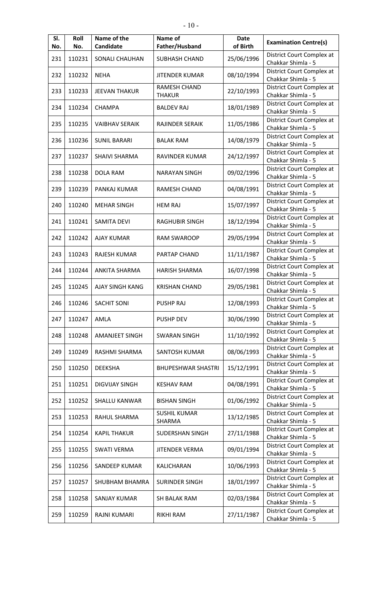| SI.<br>No. | Roll<br>No. | Name of the<br>Candidate | Name of<br>Father/Husband            | <b>Date</b><br>of Birth | <b>Examination Centre(s)</b>                    |
|------------|-------------|--------------------------|--------------------------------------|-------------------------|-------------------------------------------------|
| 231        | 110231      | SONALI CHAUHAN           | <b>SUBHASH CHAND</b>                 | 25/06/1996              | District Court Complex at<br>Chakkar Shimla - 5 |
| 232        | 110232      | <b>NEHA</b>              | <b>JITENDER KUMAR</b>                | 08/10/1994              | District Court Complex at<br>Chakkar Shimla - 5 |
| 233        | 110233      | <b>JEEVAN THAKUR</b>     | <b>RAMESH CHAND</b><br><b>THAKUR</b> | 22/10/1993              | District Court Complex at<br>Chakkar Shimla - 5 |
| 234        | 110234      | <b>CHAMPA</b>            | <b>BALDEV RAJ</b>                    | 18/01/1989              | District Court Complex at<br>Chakkar Shimla - 5 |
| 235        | 110235      | <b>VAIBHAV SERAIK</b>    | RAJINDER SERAIK                      | 11/05/1986              | District Court Complex at<br>Chakkar Shimla - 5 |
| 236        | 110236      | <b>SUNIL BARARI</b>      | <b>BALAK RAM</b>                     | 14/08/1979              | District Court Complex at<br>Chakkar Shimla - 5 |
| 237        | 110237      | <b>SHAIVI SHARMA</b>     | RAVINDER KUMAR                       | 24/12/1997              | District Court Complex at<br>Chakkar Shimla - 5 |
| 238        | 110238      | <b>DOLA RAM</b>          | <b>NARAYAN SINGH</b>                 | 09/02/1996              | District Court Complex at<br>Chakkar Shimla - 5 |
| 239        | 110239      | PANKAJ KUMAR             | RAMESH CHAND                         | 04/08/1991              | District Court Complex at<br>Chakkar Shimla - 5 |
| 240        | 110240      | <b>MEHAR SINGH</b>       | <b>HEM RAJ</b>                       | 15/07/1997              | District Court Complex at<br>Chakkar Shimla - 5 |
| 241        | 110241      | <b>SAMITA DEVI</b>       | <b>RAGHUBIR SINGH</b>                | 18/12/1994              | District Court Complex at<br>Chakkar Shimla - 5 |
| 242        | 110242      | <b>AJAY KUMAR</b>        | <b>RAM SWAROOP</b>                   | 29/05/1994              | District Court Complex at<br>Chakkar Shimla - 5 |
| 243        | 110243      | <b>RAJESH KUMAR</b>      | <b>PARTAP CHAND</b>                  | 11/11/1987              | District Court Complex at<br>Chakkar Shimla - 5 |
| 244        | 110244      | <b>ANKITA SHARMA</b>     | <b>HARISH SHARMA</b>                 | 16/07/1998              | District Court Complex at<br>Chakkar Shimla - 5 |
| 245        | 110245      | <b>AJAY SINGH KANG</b>   | <b>KRISHAN CHAND</b>                 | 29/05/1981              | District Court Complex at<br>Chakkar Shimla - 5 |
| 246        | 110246      | <b>SACHIT SONI</b>       | <b>PUSHP RAJ</b>                     | 12/08/1993              | District Court Complex at<br>Chakkar Shimla - 5 |
| 247        | 110247      | AMLA                     | <b>PUSHP DEV</b>                     | 30/06/1990              | District Court Complex at<br>Chakkar Shimla - 5 |
| 248        | 110248      | <b>AMANJEET SINGH</b>    | <b>SWARAN SINGH</b>                  | 11/10/1992              | District Court Complex at<br>Chakkar Shimla - 5 |
| 249        | 110249      | RASHMI SHARMA            | SANTOSH KUMAR                        | 08/06/1993              | District Court Complex at<br>Chakkar Shimla - 5 |
| 250        | 110250      | <b>DEEKSHA</b>           | <b>BHUPESHWAR SHASTRI</b>            | 15/12/1991              | District Court Complex at<br>Chakkar Shimla - 5 |
| 251        | 110251      | <b>DIGVIJAY SINGH</b>    | <b>KESHAV RAM</b>                    | 04/08/1991              | District Court Complex at<br>Chakkar Shimla - 5 |
| 252        | 110252      | SHALLU KANWAR            | <b>BISHAN SINGH</b>                  | 01/06/1992              | District Court Complex at<br>Chakkar Shimla - 5 |
| 253        | 110253      | RAHUL SHARMA             | <b>SUSHIL KUMAR</b><br>SHARMA        | 13/12/1985              | District Court Complex at<br>Chakkar Shimla - 5 |
| 254        | 110254      | <b>KAPIL THAKUR</b>      | <b>SUDERSHAN SINGH</b>               | 27/11/1988              | District Court Complex at<br>Chakkar Shimla - 5 |
| 255        | 110255      | SWATI VERMA              | <b>JITENDER VERMA</b>                | 09/01/1994              | District Court Complex at<br>Chakkar Shimla - 5 |
| 256        | 110256      | SANDEEP KUMAR            | KALICHARAN                           | 10/06/1993              | District Court Complex at<br>Chakkar Shimla - 5 |
| 257        | 110257      | SHUBHAM BHAMRA           | <b>SURINDER SINGH</b>                | 18/01/1997              | District Court Complex at<br>Chakkar Shimla - 5 |
| 258        | 110258      | SANJAY KUMAR             | SH BALAK RAM                         | 02/03/1984              | District Court Complex at<br>Chakkar Shimla - 5 |
| 259        | 110259      | RAJNI KUMARI             | RIKHI RAM                            | 27/11/1987              | District Court Complex at<br>Chakkar Shimla - 5 |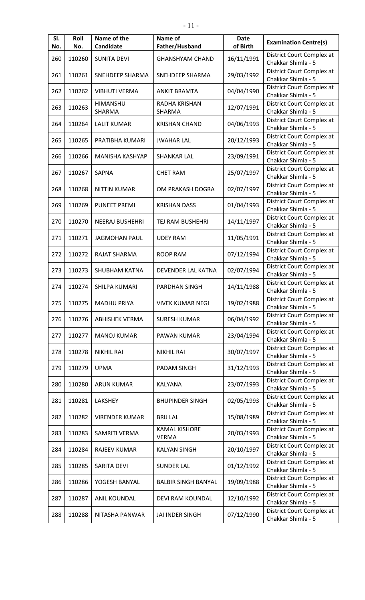| SI.<br>No. | Roll<br>No. | Name of the<br>Candidate | Name of<br>Father/Husband            | <b>Date</b><br>of Birth | <b>Examination Centre(s)</b>                    |
|------------|-------------|--------------------------|--------------------------------------|-------------------------|-------------------------------------------------|
| 260        | 110260      | <b>SUNITA DEVI</b>       | <b>GHANSHYAM CHAND</b>               | 16/11/1991              | District Court Complex at<br>Chakkar Shimla - 5 |
| 261        | 110261      | SNEHDEEP SHARMA          | SNEHDEEP SHARMA                      | 29/03/1992              | District Court Complex at<br>Chakkar Shimla - 5 |
| 262        | 110262      | <b>VIBHUTI VERMA</b>     | <b>ANKIT BRAMTA</b>                  | 04/04/1990              | District Court Complex at<br>Chakkar Shimla - 5 |
| 263        | 110263      | HIMANSHU<br>SHARMA       | RADHA KRISHAN<br>SHARMA              | 12/07/1991              | District Court Complex at<br>Chakkar Shimla - 5 |
| 264        | 110264      | <b>LALIT KUMAR</b>       | <b>KRISHAN CHAND</b>                 | 04/06/1993              | District Court Complex at<br>Chakkar Shimla - 5 |
| 265        | 110265      | PRATIBHA KUMARI          | <b>JWAHAR LAL</b>                    | 20/12/1993              | District Court Complex at<br>Chakkar Shimla - 5 |
| 266        | 110266      | MANISHA KASHYAP          | <b>SHANKAR LAL</b>                   | 23/09/1991              | District Court Complex at<br>Chakkar Shimla - 5 |
| 267        | 110267      | <b>SAPNA</b>             | <b>CHET RAM</b>                      | 25/07/1997              | District Court Complex at<br>Chakkar Shimla - 5 |
| 268        | 110268      | <b>NITTIN KUMAR</b>      | OM PRAKASH DOGRA                     | 02/07/1997              | District Court Complex at<br>Chakkar Shimla - 5 |
| 269        | 110269      | <b>PUNEET PREMI</b>      | <b>KRISHAN DASS</b>                  | 01/04/1993              | District Court Complex at<br>Chakkar Shimla - 5 |
| 270        | 110270      | <b>NEERAJ BUSHEHRI</b>   | TEJ RAM BUSHEHRI                     | 14/11/1997              | District Court Complex at<br>Chakkar Shimla - 5 |
| 271        | 110271      | <b>JAGMOHAN PAUL</b>     | <b>UDEY RAM</b>                      | 11/05/1991              | District Court Complex at<br>Chakkar Shimla - 5 |
| 272        | 110272      | RAJAT SHARMA             | <b>ROOP RAM</b>                      | 07/12/1994              | District Court Complex at<br>Chakkar Shimla - 5 |
| 273        | 110273      | <b>SHUBHAM KATNA</b>     | DEVENDER LAL KATNA                   | 02/07/1994              | District Court Complex at<br>Chakkar Shimla - 5 |
| 274        | 110274      | <b>SHILPA KUMARI</b>     | PARDHAN SINGH                        | 14/11/1988              | District Court Complex at<br>Chakkar Shimla - 5 |
| 275        | 110275      | <b>MADHU PRIYA</b>       | <b>VIVEK KUMAR NEGI</b>              | 19/02/1988              | District Court Complex at<br>Chakkar Shimla - 5 |
| 276        | 110276      | <b>ABHISHEK VERMA</b>    | <b>SURESH KUMAR</b>                  | 06/04/1992              | District Court Complex at<br>Chakkar Shimla - 5 |
| 277        | 110277      | <b>MANOJ KUMAR</b>       | PAWAN KUMAR                          | 23/04/1994              | District Court Complex at<br>Chakkar Shimla - 5 |
| 278        | 110278      | <b>NIKHIL RAI</b>        | <b>NIKHIL RAI</b>                    | 30/07/1997              | District Court Complex at<br>Chakkar Shimla - 5 |
| 279        | 110279      | <b>UPMA</b>              | PADAM SINGH                          | 31/12/1993              | District Court Complex at<br>Chakkar Shimla - 5 |
| 280        | 110280      | <b>ARUN KUMAR</b>        | KALYANA                              | 23/07/1993              | District Court Complex at<br>Chakkar Shimla - 5 |
| 281        | 110281      | LAKSHEY                  | <b>BHUPINDER SINGH</b>               | 02/05/1993              | District Court Complex at<br>Chakkar Shimla - 5 |
| 282        | 110282      | <b>VIRENDER KUMAR</b>    | <b>BRIJ LAL</b>                      | 15/08/1989              | District Court Complex at<br>Chakkar Shimla - 5 |
| 283        | 110283      | SAMRITI VERMA            | <b>KAMAL KISHORE</b><br><b>VERMA</b> | 20/03/1993              | District Court Complex at<br>Chakkar Shimla - 5 |
| 284        | 110284      | RAJEEV KUMAR             | <b>KALYAN SINGH</b>                  | 20/10/1997              | District Court Complex at<br>Chakkar Shimla - 5 |
| 285        | 110285      | <b>SARITA DEVI</b>       | <b>SUNDER LAL</b>                    | 01/12/1992              | District Court Complex at<br>Chakkar Shimla - 5 |
| 286        | 110286      | YOGESH BANYAL            | <b>BALBIR SINGH BANYAL</b>           | 19/09/1988              | District Court Complex at<br>Chakkar Shimla - 5 |
| 287        | 110287      | ANIL KOUNDAL             | DEVI RAM KOUNDAL                     | 12/10/1992              | District Court Complex at<br>Chakkar Shimla - 5 |
| 288        | 110288      | NITASHA PANWAR           | JAI INDER SINGH                      | 07/12/1990              | District Court Complex at<br>Chakkar Shimla - 5 |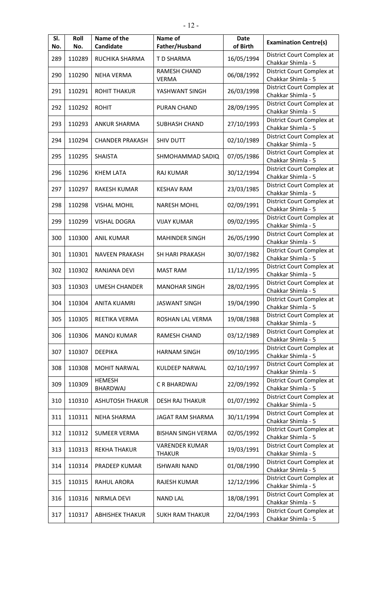| SI.<br>No. | Roll<br>No. | Name of the<br>Candidate         | Name of<br>Father/Husband              | <b>Date</b><br>of Birth | <b>Examination Centre(s)</b>                    |
|------------|-------------|----------------------------------|----------------------------------------|-------------------------|-------------------------------------------------|
| 289        | 110289      | RUCHIKA SHARMA                   | T D SHARMA                             | 16/05/1994              | District Court Complex at<br>Chakkar Shimla - 5 |
| 290        | 110290      | <b>NEHA VERMA</b>                | RAMESH CHAND<br><b>VERMA</b>           | 06/08/1992              | District Court Complex at<br>Chakkar Shimla - 5 |
| 291        | 110291      | <b>ROHIT THAKUR</b>              | YASHWANT SINGH                         | 26/03/1998              | District Court Complex at<br>Chakkar Shimla - 5 |
| 292        | 110292      | <b>ROHIT</b>                     | PURAN CHAND                            | 28/09/1995              | District Court Complex at<br>Chakkar Shimla - 5 |
| 293        | 110293      | <b>ANKUR SHARMA</b>              | SUBHASH CHAND                          | 27/10/1993              | District Court Complex at<br>Chakkar Shimla - 5 |
| 294        | 110294      | <b>CHANDER PRAKASH</b>           | <b>SHIV DUTT</b>                       | 02/10/1989              | District Court Complex at<br>Chakkar Shimla - 5 |
| 295        | 110295      | <b>SHAISTA</b>                   | SHMOHAMMAD SADIQ                       | 07/05/1986              | District Court Complex at<br>Chakkar Shimla - 5 |
| 296        | 110296      | <b>KHEM LATA</b>                 | RAJ KUMAR                              | 30/12/1994              | District Court Complex at<br>Chakkar Shimla - 5 |
| 297        | 110297      | <b>RAKESH KUMAR</b>              | <b>KESHAV RAM</b>                      | 23/03/1985              | District Court Complex at<br>Chakkar Shimla - 5 |
| 298        | 110298      | <b>VISHAL MOHIL</b>              | <b>NARESH MOHIL</b>                    | 02/09/1991              | District Court Complex at<br>Chakkar Shimla - 5 |
| 299        | 110299      | <b>VISHAL DOGRA</b>              | <b>VIJAY KUMAR</b>                     | 09/02/1995              | District Court Complex at<br>Chakkar Shimla - 5 |
| 300        | 110300      | <b>ANIL KUMAR</b>                | <b>MAHINDER SINGH</b>                  | 26/05/1990              | District Court Complex at<br>Chakkar Shimla - 5 |
| 301        | 110301      | <b>NAVEEN PRAKASH</b>            | <b>SH HARI PRAKASH</b>                 | 30/07/1982              | District Court Complex at<br>Chakkar Shimla - 5 |
| 302        | 110302      | RANJANA DEVI                     | <b>MAST RAM</b>                        | 11/12/1995              | District Court Complex at<br>Chakkar Shimla - 5 |
| 303        | 110303      | <b>UMESH CHANDER</b>             | <b>MANOHAR SINGH</b>                   | 28/02/1995              | District Court Complex at<br>Chakkar Shimla - 5 |
| 304        | 110304      | <b>ANITA KUAMRI</b>              | <b>JASWANT SINGH</b>                   | 19/04/1990              | District Court Complex at<br>Chakkar Shimla - 5 |
| 305        | 110305      | REETIKA VERMA                    | ROSHAN LAL VERMA                       | 19/08/1988              | District Court Complex at<br>Chakkar Shimla - 5 |
| 306        | 110306      | <b>MANOJ KUMAR</b>               | RAMESH CHAND                           | 03/12/1989              | District Court Complex at<br>Chakkar Shimla - 5 |
| 307        | 110307      | <b>DEEPIKA</b>                   | <b>HARNAM SINGH</b>                    | 09/10/1995              | District Court Complex at<br>Chakkar Shimla - 5 |
| 308        | 110308      | <b>MOHIT NARWAL</b>              | <b>KULDEEP NARWAL</b>                  | 02/10/1997              | District Court Complex at<br>Chakkar Shimla - 5 |
| 309        | 110309      | <b>HEMESH</b><br><b>BHARDWAJ</b> | C R BHARDWAJ                           | 22/09/1992              | District Court Complex at<br>Chakkar Shimla - 5 |
| 310        | 110310      | <b>ASHUTOSH THAKUR</b>           | <b>DESH RAJ THAKUR</b>                 | 01/07/1992              | District Court Complex at<br>Chakkar Shimla - 5 |
| 311        | 110311      | <b>NEHA SHARMA</b>               | JAGAT RAM SHARMA                       | 30/11/1994              | District Court Complex at<br>Chakkar Shimla - 5 |
| 312        | 110312      | <b>SUMEER VERMA</b>              | <b>BISHAN SINGH VERMA</b>              | 02/05/1992              | District Court Complex at<br>Chakkar Shimla - 5 |
| 313        | 110313      | <b>REKHA THAKUR</b>              | <b>VARENDER KUMAR</b><br><b>THAKUR</b> | 19/03/1991              | District Court Complex at<br>Chakkar Shimla - 5 |
| 314        | 110314      | PRADEEP KUMAR                    | <b>ISHWARI NAND</b>                    | 01/08/1990              | District Court Complex at<br>Chakkar Shimla - 5 |
| 315        | 110315      | RAHUL ARORA                      | RAJESH KUMAR                           | 12/12/1996              | District Court Complex at<br>Chakkar Shimla - 5 |
| 316        | 110316      | <b>NIRMLA DEVI</b>               | <b>NAND LAL</b>                        | 18/08/1991              | District Court Complex at<br>Chakkar Shimla - 5 |
| 317        | 110317      | <b>ABHISHEK THAKUR</b>           | <b>SUKH RAM THAKUR</b>                 | 22/04/1993              | District Court Complex at<br>Chakkar Shimla - 5 |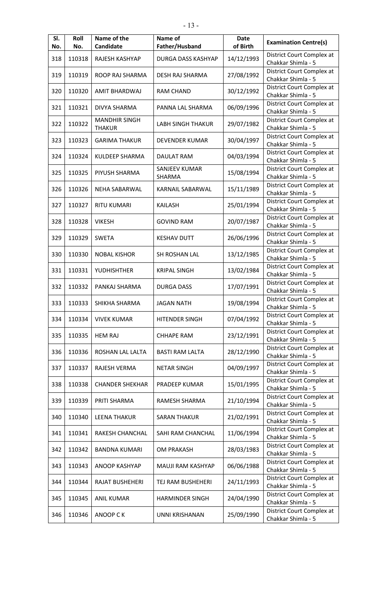| SI.<br>No. | Roll<br>No. | Name of the<br>Candidate              | Name of<br>Father/Husband      | <b>Date</b><br>of Birth | <b>Examination Centre(s)</b>                    |
|------------|-------------|---------------------------------------|--------------------------------|-------------------------|-------------------------------------------------|
| 318        | 110318      | RAJESH KASHYAP                        | DURGA DASS KASHYAP             | 14/12/1993              | District Court Complex at<br>Chakkar Shimla - 5 |
| 319        | 110319      | ROOP RAJ SHARMA                       | DESH RAJ SHARMA                | 27/08/1992              | District Court Complex at<br>Chakkar Shimla - 5 |
| 320        | 110320      | AMIT BHARDWAJ                         | <b>RAM CHAND</b>               | 30/12/1992              | District Court Complex at<br>Chakkar Shimla - 5 |
| 321        | 110321      | DIVYA SHARMA                          | PANNA LAL SHARMA               | 06/09/1996              | District Court Complex at<br>Chakkar Shimla - 5 |
| 322        | 110322      | <b>MANDHIR SINGH</b><br><b>THAKUR</b> | <b>LABH SINGH THAKUR</b>       | 29/07/1982              | District Court Complex at<br>Chakkar Shimla - 5 |
| 323        | 110323      | <b>GARIMA THAKUR</b>                  | DEVENDER KUMAR                 | 30/04/1997              | District Court Complex at<br>Chakkar Shimla - 5 |
| 324        | 110324      | KULDEEP SHARMA                        | <b>DAULAT RAM</b>              | 04/03/1994              | District Court Complex at<br>Chakkar Shimla - 5 |
| 325        | 110325      | PIYUSH SHARMA                         | SANJEEV KUMAR<br><b>SHARMA</b> | 15/08/1994              | District Court Complex at<br>Chakkar Shimla - 5 |
| 326        | 110326      | NEHA SABARWAL                         | KARNAIL SABARWAL               | 15/11/1989              | District Court Complex at<br>Chakkar Shimla - 5 |
| 327        | 110327      | <b>RITU KUMARI</b>                    | <b>KAILASH</b>                 | 25/01/1994              | District Court Complex at<br>Chakkar Shimla - 5 |
| 328        | 110328      | <b>VIKESH</b>                         | <b>GOVIND RAM</b>              | 20/07/1987              | District Court Complex at<br>Chakkar Shimla - 5 |
| 329        | 110329      | <b>SWETA</b>                          | <b>KESHAV DUTT</b>             | 26/06/1996              | District Court Complex at<br>Chakkar Shimla - 5 |
| 330        | 110330      | <b>NOBAL KISHOR</b>                   | SH ROSHAN LAL                  | 13/12/1985              | District Court Complex at<br>Chakkar Shimla - 5 |
| 331        | 110331      | YUDHISHTHER                           | <b>KRIPAL SINGH</b>            | 13/02/1984              | District Court Complex at<br>Chakkar Shimla - 5 |
| 332        | 110332      | PANKAJ SHARMA                         | <b>DURGA DASS</b>              | 17/07/1991              | District Court Complex at<br>Chakkar Shimla - 5 |
| 333        | 110333      | SHIKHA SHARMA                         | JAGAN NATH                     | 19/08/1994              | District Court Complex at<br>Chakkar Shimla - 5 |
| 334        | 110334      | <b>VIVEK KUMAR</b>                    | <b>HITENDER SINGH</b>          | 07/04/1992              | District Court Complex at<br>Chakkar Shimla - 5 |
| 335        | 110335      | <b>HEM RAJ</b>                        | <b>CHHAPE RAM</b>              | 23/12/1991              | District Court Complex at<br>Chakkar Shimla - 5 |
| 336        | 110336      | ROSHAN LAL LALTA                      | <b>BASTI RAM LALTA</b>         | 28/12/1990              | District Court Complex at<br>Chakkar Shimla - 5 |
| 337        | 110337      | RAJESH VERMA                          | <b>NETAR SINGH</b>             | 04/09/1997              | District Court Complex at<br>Chakkar Shimla - 5 |
| 338        | 110338      | <b>CHANDER SHEKHAR</b>                | PRADEEP KUMAR                  | 15/01/1995              | District Court Complex at<br>Chakkar Shimla - 5 |
| 339        | 110339      | PRITI SHARMA                          | RAMESH SHARMA                  | 21/10/1994              | District Court Complex at<br>Chakkar Shimla - 5 |
| 340        | 110340      | <b>LEENA THAKUR</b>                   | <b>SARAN THAKUR</b>            | 21/02/1991              | District Court Complex at<br>Chakkar Shimla - 5 |
| 341        | 110341      | RAKESH CHANCHAL                       | SAHI RAM CHANCHAL              | 11/06/1994              | District Court Complex at<br>Chakkar Shimla - 5 |
| 342        | 110342      | <b>BANDNA KUMARI</b>                  | OM PRAKASH                     | 28/03/1983              | District Court Complex at<br>Chakkar Shimla - 5 |
| 343        | 110343      | <b>ANOOP KASHYAP</b>                  | MAUJI RAM KASHYAP              | 06/06/1988              | District Court Complex at<br>Chakkar Shimla - 5 |
| 344        | 110344      | RAJAT BUSHEHERI                       | TEJ RAM BUSHEHERI              | 24/11/1993              | District Court Complex at<br>Chakkar Shimla - 5 |
| 345        | 110345      | <b>ANIL KUMAR</b>                     | <b>HARMINDER SINGH</b>         | 24/04/1990              | District Court Complex at<br>Chakkar Shimla - 5 |
| 346        | 110346      | <b>ANOOP CK</b>                       | UNNI KRISHANAN                 | 25/09/1990              | District Court Complex at<br>Chakkar Shimla - 5 |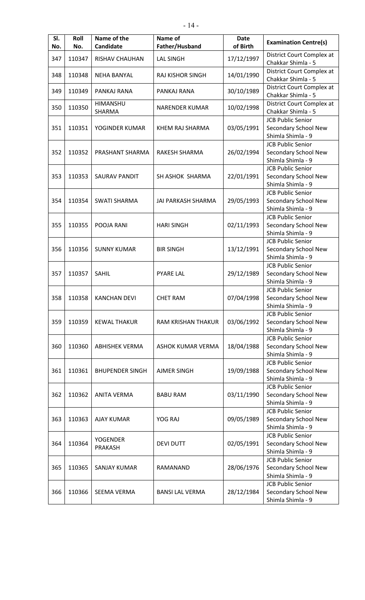| SI.<br>No. | Roll<br>No. | Name of the<br><b>Candidate</b>   | Name of<br>Father/Husband | <b>Date</b><br>of Birth | <b>Examination Centre(s)</b>                                          |
|------------|-------------|-----------------------------------|---------------------------|-------------------------|-----------------------------------------------------------------------|
| 347        | 110347      | RISHAV CHAUHAN                    | <b>LAL SINGH</b>          | 17/12/1997              | District Court Complex at<br>Chakkar Shimla - 5                       |
| 348        | 110348      | <b>NEHA BANYAL</b>                | <b>RAJ KISHOR SINGH</b>   | 14/01/1990              | District Court Complex at<br>Chakkar Shimla - 5                       |
| 349        | 110349      | PANKAJ RANA                       | PANKAJ RANA               | 30/10/1989              | District Court Complex at<br>Chakkar Shimla - 5                       |
| 350        | 110350      | HIMANSHU<br>SHARMA                | <b>NARENDER KUMAR</b>     | 10/02/1998              | District Court Complex at<br>Chakkar Shimla - 5                       |
| 351        | 110351      | YOGINDER KUMAR                    | KHEM RAJ SHARMA           | 03/05/1991              | <b>JCB Public Senior</b><br>Secondary School New<br>Shimla Shimla - 9 |
| 352        | 110352      | PRASHANT SHARMA                   | RAKESH SHARMA             | 26/02/1994              | <b>JCB Public Senior</b><br>Secondary School New<br>Shimla Shimla - 9 |
| 353        | 110353      | <b>SAURAV PANDIT</b>              | SH ASHOK SHARMA           | 22/01/1991              | <b>JCB Public Senior</b><br>Secondary School New<br>Shimla Shimla - 9 |
| 354        | 110354      | <b>SWATI SHARMA</b>               | JAI PARKASH SHARMA        | 29/05/1993              | <b>JCB Public Senior</b><br>Secondary School New<br>Shimla Shimla - 9 |
| 355        | 110355      | POOJA RANI                        | <b>HARI SINGH</b>         | 02/11/1993              | <b>JCB Public Senior</b><br>Secondary School New<br>Shimla Shimla - 9 |
| 356        | 110356      | <b>SUNNY KUMAR</b>                | <b>BIR SINGH</b>          | 13/12/1991              | <b>JCB Public Senior</b><br>Secondary School New<br>Shimla Shimla - 9 |
| 357        | 110357      | <b>SAHIL</b>                      | <b>PYARE LAL</b>          | 29/12/1989              | <b>JCB Public Senior</b><br>Secondary School New<br>Shimla Shimla - 9 |
| 358        | 110358      | <b>KANCHAN DEVI</b>               | <b>CHET RAM</b>           | 07/04/1998              | <b>JCB Public Senior</b><br>Secondary School New<br>Shimla Shimla - 9 |
| 359        | 110359      | <b>KEWAL THAKUR</b>               | RAM KRISHAN THAKUR        | 03/06/1992              | <b>JCB Public Senior</b><br>Secondary School New<br>Shimla Shimla - 9 |
| 360        | 110360      | <b>ABHISHEK VERMA</b>             | ASHOK KUMAR VERMA         | 18/04/1988              | <b>JCB Public Senior</b><br>Secondary School New<br>Shimla Shimla - 9 |
| 361        | 110361      | <b>BHUPENDER SINGH</b>            | <b>AJMER SINGH</b>        | 19/09/1988              | <b>JCB Public Senior</b><br>Secondary School New<br>Shimla Shimla - 9 |
| 362        | 110362      | <b>ANITA VERMA</b>                | <b>BABU RAM</b>           | 03/11/1990              | <b>JCB Public Senior</b><br>Secondary School New<br>Shimla Shimla - 9 |
| 363        | 110363      | <b>AJAY KUMAR</b>                 | YOG RAJ                   | 09/05/1989              | <b>JCB Public Senior</b><br>Secondary School New<br>Shimla Shimla - 9 |
| 364        | 110364      | <b>YOGENDER</b><br><b>PRAKASH</b> | <b>DEVI DUTT</b>          | 02/05/1991              | <b>JCB Public Senior</b><br>Secondary School New<br>Shimla Shimla - 9 |
| 365        | 110365      | <b>SANJAY KUMAR</b>               | RAMANAND                  | 28/06/1976              | <b>JCB Public Senior</b><br>Secondary School New<br>Shimla Shimla - 9 |
| 366        | 110366      | SEEMA VERMA                       | <b>BANSI LAL VERMA</b>    | 28/12/1984              | <b>JCB Public Senior</b><br>Secondary School New<br>Shimla Shimla - 9 |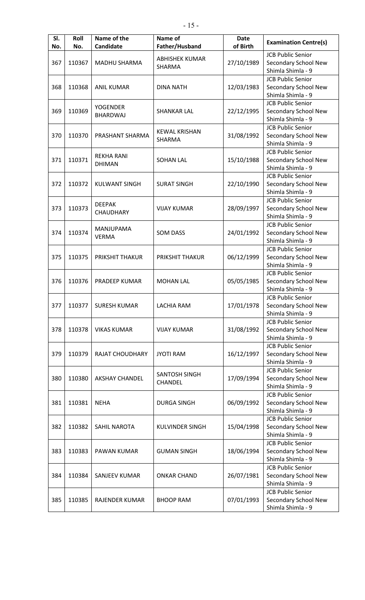| SI.<br>No. | Roll<br>No. | Name of the<br>Candidate           | Name of<br>Father/Husband | <b>Date</b><br>of Birth | <b>Examination Centre(s)</b>                     |
|------------|-------------|------------------------------------|---------------------------|-------------------------|--------------------------------------------------|
| 367        | 110367      | <b>MADHU SHARMA</b>                | <b>ABHISHEK KUMAR</b>     | 27/10/1989              | <b>JCB Public Senior</b><br>Secondary School New |
|            |             |                                    | SHARMA                    |                         | Shimla Shimla - 9                                |
|            |             |                                    |                           |                         | <b>JCB Public Senior</b>                         |
| 368        | 110368      | <b>ANIL KUMAR</b>                  | <b>DINA NATH</b>          | 12/03/1983              | Secondary School New                             |
|            |             |                                    |                           |                         | Shimla Shimla - 9                                |
|            |             |                                    |                           |                         | <b>JCB Public Senior</b>                         |
| 369        | 110369      | <b>YOGENDER</b><br><b>BHARDWAJ</b> | <b>SHANKAR LAL</b>        | 22/12/1995              | Secondary School New                             |
|            |             |                                    |                           |                         | Shimla Shimla - 9                                |
|            |             |                                    | <b>KEWAL KRISHAN</b>      |                         | <b>JCB Public Senior</b>                         |
| 370        | 110370      | PRASHANT SHARMA                    | SHARMA                    | 31/08/1992              | Secondary School New                             |
|            |             |                                    |                           |                         | Shimla Shimla - 9                                |
|            |             | <b>REKHA RANI</b>                  |                           |                         | <b>JCB Public Senior</b>                         |
| 371        | 110371      | <b>DHIMAN</b>                      | <b>SOHAN LAL</b>          | 15/10/1988              | Secondary School New                             |
|            |             |                                    |                           |                         | Shimla Shimla - 9<br><b>JCB Public Senior</b>    |
| 372        | 110372      | <b>KULWANT SINGH</b>               | <b>SURAT SINGH</b>        | 22/10/1990              | Secondary School New                             |
|            |             |                                    |                           |                         | Shimla Shimla - 9                                |
|            |             |                                    |                           |                         | <b>JCB Public Senior</b>                         |
| 373        | 110373      | <b>DEEPAK</b>                      | <b>VIJAY KUMAR</b>        | 28/09/1997              | Secondary School New                             |
|            |             | CHAUDHARY                          |                           |                         | Shimla Shimla - 9                                |
|            |             |                                    |                           |                         | <b>JCB Public Senior</b>                         |
| 374        | 110374      | <b>MANJUPAMA</b>                   | <b>SOM DASS</b>           | 24/01/1992              | Secondary School New                             |
|            |             | <b>VERMA</b>                       |                           |                         | Shimla Shimla - 9                                |
|            |             |                                    |                           |                         | <b>JCB Public Senior</b>                         |
| 375        | 110375      | PRIKSHIT THAKUR                    | PRIKSHIT THAKUR           | 06/12/1999              | Secondary School New                             |
|            |             |                                    |                           |                         | Shimla Shimla - 9                                |
|            |             |                                    |                           |                         | <b>JCB Public Senior</b>                         |
| 376        | 110376      | PRADEEP KUMAR                      | <b>MOHAN LAL</b>          | 05/05/1985              | Secondary School New                             |
|            |             |                                    |                           |                         | Shimla Shimla - 9                                |
|            |             |                                    |                           |                         | <b>JCB Public Senior</b>                         |
| 377        | 110377      | <b>SURESH KUMAR</b>                | LACHIA RAM                | 17/01/1978              | Secondary School New                             |
|            |             |                                    |                           |                         | Shimla Shimla - 9                                |
|            |             |                                    |                           |                         | <b>JCB Public Senior</b>                         |
| 378        | 110378      | <b>VIKAS KUMAR</b>                 | <b>VIJAY KUMAR</b>        | 31/08/1992              | Secondary School New                             |
|            |             |                                    |                           |                         | Shimla Shimla - 9                                |
|            |             |                                    |                           |                         | <b>JCB Public Senior</b>                         |
| 379        | 110379      | <b>RAJAT CHOUDHARY</b>             | <b>JYOTI RAM</b>          | 16/12/1997              | Secondary School New<br>Shimla Shimla - 9        |
|            |             |                                    |                           |                         | <b>JCB Public Senior</b>                         |
| 380        | 110380      | <b>AKSHAY CHANDEL</b>              | <b>SANTOSH SINGH</b>      | 17/09/1994              | Secondary School New                             |
|            |             |                                    | CHANDEL                   |                         | Shimla Shimla - 9                                |
|            |             |                                    |                           |                         | <b>JCB Public Senior</b>                         |
| 381        | 110381      | <b>NEHA</b>                        | <b>DURGA SINGH</b>        | 06/09/1992              | Secondary School New                             |
|            |             |                                    |                           |                         | Shimla Shimla - 9                                |
|            |             |                                    |                           |                         | <b>JCB Public Senior</b>                         |
| 382        | 110382      | SAHIL NAROTA                       | <b>KULVINDER SINGH</b>    | 15/04/1998              | Secondary School New                             |
|            |             |                                    |                           |                         | Shimla Shimla - 9                                |
|            |             |                                    |                           |                         | <b>JCB Public Senior</b>                         |
| 383        | 110383      | PAWAN KUMAR                        | <b>GUMAN SINGH</b>        | 18/06/1994              | Secondary School New                             |
|            |             |                                    |                           |                         | Shimla Shimla - 9                                |
|            |             |                                    |                           |                         | <b>JCB Public Senior</b>                         |
| 384        | 110384      | SANJEEV KUMAR                      | <b>ONKAR CHAND</b>        | 26/07/1981              | Secondary School New                             |
|            |             |                                    |                           |                         | Shimla Shimla - 9                                |
|            |             |                                    |                           |                         | <b>JCB Public Senior</b>                         |
| 385        | 110385      | <b>RAJENDER KUMAR</b>              | <b>BHOOP RAM</b>          | 07/01/1993              | Secondary School New<br>Shimla Shimla - 9        |
|            |             |                                    |                           |                         |                                                  |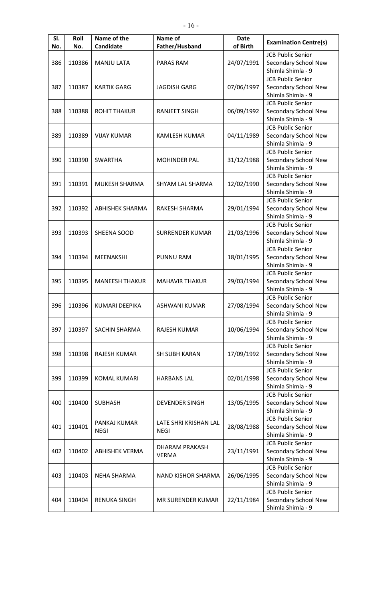| SI.<br>No. | Roll<br>No. | Name of the<br>Candidate | Name of<br>Father/Husband | <b>Date</b><br>of Birth | <b>Examination Centre(s)</b> |
|------------|-------------|--------------------------|---------------------------|-------------------------|------------------------------|
|            |             |                          |                           |                         | <b>JCB Public Senior</b>     |
| 386        | 110386      | <b>MANJU LATA</b>        | PARAS RAM                 | 24/07/1991              | Secondary School New         |
|            |             |                          |                           |                         | Shimla Shimla - 9            |
|            |             |                          |                           |                         |                              |
|            |             |                          |                           |                         | <b>JCB Public Senior</b>     |
| 387        | 110387      | <b>KARTIK GARG</b>       | <b>JAGDISH GARG</b>       | 07/06/1997              | Secondary School New         |
|            |             |                          |                           |                         | Shimla Shimla - 9            |
|            |             |                          |                           |                         | <b>JCB Public Senior</b>     |
| 388        | 110388      | <b>ROHIT THAKUR</b>      | <b>RANJEET SINGH</b>      | 06/09/1992              | Secondary School New         |
|            |             |                          |                           |                         | Shimla Shimla - 9            |
|            |             |                          |                           |                         | <b>JCB Public Senior</b>     |
| 389        | 110389      | <b>VIJAY KUMAR</b>       | <b>KAMLESH KUMAR</b>      | 04/11/1989              | Secondary School New         |
|            |             |                          |                           |                         | Shimla Shimla - 9            |
|            |             |                          |                           |                         | <b>JCB Public Senior</b>     |
| 390        | 110390      | <b>SWARTHA</b>           | <b>MOHINDER PAL</b>       | 31/12/1988              | Secondary School New         |
|            |             |                          |                           |                         | Shimla Shimla - 9            |
|            |             |                          |                           |                         | <b>JCB Public Senior</b>     |
| 391        | 110391      | MUKESH SHARMA            | SHYAM LAL SHARMA          | 12/02/1990              | Secondary School New         |
|            |             |                          |                           |                         | Shimla Shimla - 9            |
|            |             |                          |                           |                         | <b>JCB Public Senior</b>     |
| 392        | 110392      | <b>ABHISHEK SHARMA</b>   | RAKESH SHARMA             | 29/01/1994              | Secondary School New         |
|            |             |                          |                           |                         | Shimla Shimla - 9            |
|            |             |                          |                           |                         | <b>JCB Public Senior</b>     |
| 393        | 110393      | SHEENA SOOD              | <b>SURRENDER KUMAR</b>    | 21/03/1996              | Secondary School New         |
|            |             |                          |                           |                         | Shimla Shimla - 9            |
|            |             |                          |                           |                         | <b>JCB Public Senior</b>     |
| 394        | 110394      | MEENAKSHI                | <b>PUNNU RAM</b>          | 18/01/1995              | Secondary School New         |
|            |             |                          |                           |                         | Shimla Shimla - 9            |
|            |             |                          |                           |                         | <b>JCB Public Senior</b>     |
| 395        | 110395      | <b>MANEESH THAKUR</b>    | <b>MAHAVIR THAKUR</b>     | 29/03/1994              | Secondary School New         |
|            |             |                          |                           |                         | Shimla Shimla - 9            |
|            |             |                          |                           |                         | <b>JCB Public Senior</b>     |
| 396        | 110396      | <b>KUMARI DEEPIKA</b>    | <b>ASHWANI KUMAR</b>      | 27/08/1994              | Secondary School New         |
|            |             |                          |                           |                         | Shimla Shimla - 9            |
|            |             |                          |                           |                         | <b>JCB Public Senior</b>     |
| 397        | 110397      | SACHIN SHARMA            | RAJESH KUMAR              | 10/06/1994              | Secondary School New         |
|            |             |                          |                           |                         | Shimla Shimla - 9            |
|            |             |                          |                           |                         | <b>JCB Public Senior</b>     |
| 398        | 110398      | <b>RAJESH KUMAR</b>      | <b>SH SUBH KARAN</b>      | 17/09/1992              | Secondary School New         |
|            |             |                          |                           |                         | Shimla Shimla - 9            |
|            |             |                          |                           |                         | <b>JCB Public Senior</b>     |
| 399        | 110399      | <b>KOMAL KUMARI</b>      | <b>HARBANS LAL</b>        | 02/01/1998              | Secondary School New         |
|            |             |                          |                           |                         | Shimla Shimla - 9            |
|            |             |                          |                           |                         | <b>JCB Public Senior</b>     |
| 400        | 110400      | <b>SUBHASH</b>           | <b>DEVENDER SINGH</b>     | 13/05/1995              | Secondary School New         |
|            |             |                          |                           |                         | Shimla Shimla - 9            |
|            |             |                          |                           |                         | <b>JCB Public Senior</b>     |
| 401        | 110401      | PANKAJ KUMAR             | LATE SHRI KRISHAN LAL     | 28/08/1988              | Secondary School New         |
|            |             | <b>NEGI</b>              | <b>NEGI</b>               |                         | Shimla Shimla - 9            |
|            |             |                          |                           |                         | <b>JCB Public Senior</b>     |
| 402        | 110402      | <b>ABHISHEK VERMA</b>    | <b>DHARAM PRAKASH</b>     | 23/11/1991              | Secondary School New         |
|            |             |                          | <b>VERMA</b>              |                         | Shimla Shimla - 9            |
|            |             |                          |                           |                         | <b>JCB Public Senior</b>     |
| 403        | 110403      | <b>NEHA SHARMA</b>       | NAND KISHOR SHARMA        | 26/06/1995              | Secondary School New         |
|            |             |                          |                           |                         | Shimla Shimla - 9            |
|            |             |                          |                           |                         | <b>JCB Public Senior</b>     |
| 404        | 110404      | <b>RENUKA SINGH</b>      | MR SURENDER KUMAR         | 22/11/1984              | Secondary School New         |
|            |             |                          |                           |                         | Shimla Shimla - 9            |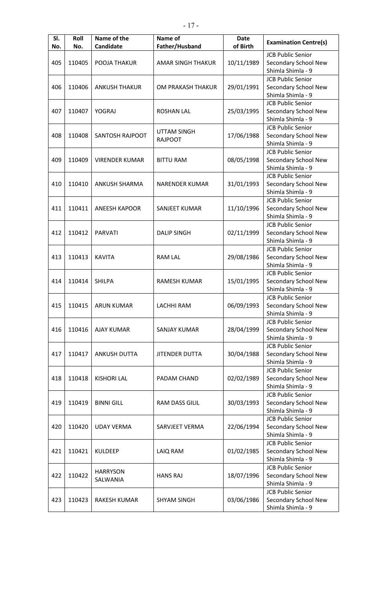| SI.<br>No. | Roll<br>No. | Name of the<br>Candidate | Name of<br>Father/Husband | <b>Date</b><br>of Birth | <b>Examination Centre(s)</b> |
|------------|-------------|--------------------------|---------------------------|-------------------------|------------------------------|
|            |             |                          |                           |                         | <b>JCB Public Senior</b>     |
| 405        | 110405      | POOJA THAKUR             | <b>AMAR SINGH THAKUR</b>  | 10/11/1989              | Secondary School New         |
|            |             |                          |                           |                         | Shimla Shimla - 9            |
|            |             |                          |                           |                         | <b>JCB Public Senior</b>     |
| 406        | 110406      | <b>ANKUSH THAKUR</b>     | OM PRAKASH THAKUR         | 29/01/1991              | Secondary School New         |
|            |             |                          |                           |                         | Shimla Shimla - 9            |
|            |             |                          |                           |                         | <b>JCB Public Senior</b>     |
|            |             |                          |                           |                         |                              |
| 407        | 110407      | YOGRAJ                   | <b>ROSHAN LAL</b>         | 25/03/1995              | Secondary School New         |
|            |             |                          |                           |                         | Shimla Shimla - 9            |
|            |             |                          | <b>UTTAM SINGH</b>        |                         | <b>JCB Public Senior</b>     |
| 408        | 110408      | SANTOSH RAJPOOT          | <b>RAJPOOT</b>            | 17/06/1988              | Secondary School New         |
|            |             |                          |                           |                         | Shimla Shimla - 9            |
|            |             |                          |                           |                         | <b>JCB Public Senior</b>     |
| 409        | 110409      | <b>VIRENDER KUMAR</b>    | <b>BITTU RAM</b>          | 08/05/1998              | Secondary School New         |
|            |             |                          |                           |                         | Shimla Shimla - 9            |
|            |             |                          |                           |                         | <b>JCB Public Senior</b>     |
| 410        | 110410      | ANKUSH SHARMA            | <b>NARENDER KUMAR</b>     | 31/01/1993              | Secondary School New         |
|            |             |                          |                           |                         | Shimla Shimla - 9            |
|            |             |                          |                           |                         | <b>JCB Public Senior</b>     |
| 411        | 110411      | <b>ANEESH KAPOOR</b>     | SANJEET KUMAR             | 11/10/1996              | Secondary School New         |
|            |             |                          |                           |                         | Shimla Shimla - 9            |
|            |             |                          |                           |                         | <b>JCB Public Senior</b>     |
| 412        | 110412      | <b>PARVATI</b>           | <b>DALIP SINGH</b>        | 02/11/1999              | Secondary School New         |
|            |             |                          |                           |                         | Shimla Shimla - 9            |
|            |             |                          |                           |                         | <b>JCB Public Senior</b>     |
| 413        | 110413      | <b>KAVITA</b>            | <b>RAM LAL</b>            | 29/08/1986              | Secondary School New         |
|            |             |                          |                           |                         | Shimla Shimla - 9            |
|            |             |                          |                           |                         | <b>JCB Public Senior</b>     |
|            |             |                          |                           |                         |                              |
| 414        | 110414      | <b>SHILPA</b>            | <b>RAMESH KUMAR</b>       | 15/01/1995              | Secondary School New         |
|            |             |                          |                           |                         | Shimla Shimla - 9            |
|            |             |                          |                           |                         | <b>JCB Public Senior</b>     |
| 415        | 110415      | <b>ARUN KUMAR</b>        | <b>LACHHI RAM</b>         | 06/09/1993              | Secondary School New         |
|            |             |                          |                           |                         | Shimla Shimla - 9            |
|            |             |                          |                           |                         | <b>JCB Public Senior</b>     |
| 416        | 110416      | <b>AJAY KUMAR</b>        | SANJAY KUMAR              | 28/04/1999              | Secondary School New         |
|            |             |                          |                           |                         | Shimla Shimla - 9            |
|            |             |                          |                           |                         | <b>JCB Public Senior</b>     |
| 417        | 110417      | <b>ANKUSH DUTTA</b>      | <b>JITENDER DUTTA</b>     | 30/04/1988              | Secondary School New         |
|            |             |                          |                           |                         | Shimla Shimla - 9            |
|            |             |                          |                           |                         | <b>JCB Public Senior</b>     |
| 418        | 110418      | <b>KISHORI LAL</b>       | PADAM CHAND               | 02/02/1989              | Secondary School New         |
|            |             |                          |                           |                         | Shimla Shimla - 9            |
|            |             |                          |                           |                         | <b>JCB Public Senior</b>     |
| 419        | 110419      | <b>BINNI GILL</b>        | RAM DASS GILIL            | 30/03/1993              | Secondary School New         |
|            |             |                          |                           |                         | Shimla Shimla - 9            |
|            |             |                          |                           |                         | <b>JCB Public Senior</b>     |
| 420        | 110420      | <b>UDAY VERMA</b>        | SARVJEET VERMA            | 22/06/1994              | Secondary School New         |
|            |             |                          |                           |                         | Shimla Shimla - 9            |
|            |             |                          |                           |                         | <b>JCB Public Senior</b>     |
| 421        | 110421      | <b>KULDEEP</b>           | LAIQ RAM                  | 01/02/1985              | Secondary School New         |
|            |             |                          |                           |                         | Shimla Shimla - 9            |
|            |             |                          |                           |                         | <b>JCB Public Senior</b>     |
| 422        | 110422      | <b>HARRYSON</b>          | <b>HANS RAJ</b>           | 18/07/1996              |                              |
|            |             | SALWANIA                 |                           |                         | Secondary School New         |
|            |             |                          |                           |                         | Shimla Shimla - 9            |
|            |             |                          |                           |                         | <b>JCB Public Senior</b>     |
| 423        | 110423      | <b>RAKESH KUMAR</b>      | <b>SHYAM SINGH</b>        | 03/06/1986              | Secondary School New         |
|            |             |                          |                           |                         | Shimla Shimla - 9            |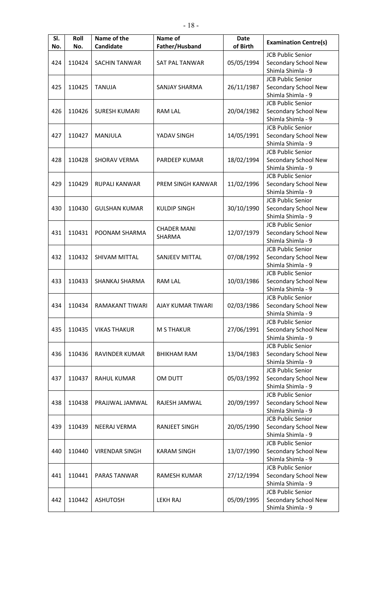| SI.<br>No. | Roll<br>No. | Name of the<br>Candidate | Name of<br>Father/Husband | <b>Date</b><br>of Birth | <b>Examination Centre(s)</b> |
|------------|-------------|--------------------------|---------------------------|-------------------------|------------------------------|
|            |             |                          |                           |                         | <b>JCB Public Senior</b>     |
| 424        | 110424      | <b>SACHIN TANWAR</b>     | <b>SAT PAL TANWAR</b>     | 05/05/1994              | Secondary School New         |
|            |             |                          |                           |                         | Shimla Shimla - 9            |
|            |             |                          |                           |                         | <b>JCB Public Senior</b>     |
| 425        | 110425      | <b>TANUJA</b>            | SANJAY SHARMA             | 26/11/1987              | Secondary School New         |
|            |             |                          |                           |                         | Shimla Shimla - 9            |
|            |             |                          |                           |                         | <b>JCB Public Senior</b>     |
| 426        | 110426      | <b>SURESH KUMARI</b>     | <b>RAM LAL</b>            | 20/04/1982              | Secondary School New         |
|            |             |                          |                           |                         | Shimla Shimla - 9            |
|            |             |                          |                           |                         | <b>JCB Public Senior</b>     |
| 427        | 110427      | <b>MANJULA</b>           | YADAV SINGH               | 14/05/1991              | Secondary School New         |
|            |             |                          |                           |                         | Shimla Shimla - 9            |
|            |             |                          |                           |                         | <b>JCB Public Senior</b>     |
| 428        | 110428      | <b>SHORAV VERMA</b>      | PARDEEP KUMAR             | 18/02/1994              | Secondary School New         |
|            |             |                          |                           |                         | Shimla Shimla - 9            |
|            |             |                          |                           |                         | <b>JCB Public Senior</b>     |
| 429        | 110429      | <b>RUPALI KANWAR</b>     | <b>PREM SINGH KANWAR</b>  | 11/02/1996              | Secondary School New         |
|            |             |                          |                           |                         | Shimla Shimla - 9            |
|            |             |                          |                           |                         | <b>JCB Public Senior</b>     |
| 430        | 110430      | <b>GULSHAN KUMAR</b>     | <b>KULDIP SINGH</b>       | 30/10/1990              | Secondary School New         |
|            |             |                          |                           |                         | Shimla Shimla - 9            |
|            |             |                          |                           |                         | <b>JCB Public Senior</b>     |
| 431        | 110431      | POONAM SHARMA            | <b>CHADER MANI</b>        | 12/07/1979              | Secondary School New         |
|            |             |                          | SHARMA                    |                         | Shimla Shimla - 9            |
|            |             |                          |                           |                         | <b>JCB Public Senior</b>     |
| 432        | 110432      | SHIVAM MITTAL            | SANJEEV MITTAL            | 07/08/1992              | Secondary School New         |
|            |             |                          |                           |                         | Shimla Shimla - 9            |
|            |             |                          |                           |                         | <b>JCB Public Senior</b>     |
| 433        | 110433      | SHANKAJ SHARMA           | <b>RAM LAL</b>            | 10/03/1986              | Secondary School New         |
|            |             |                          |                           |                         | Shimla Shimla - 9            |
|            |             |                          |                           |                         | <b>JCB Public Senior</b>     |
| 434        | 110434      | RAMAKANT TIWARI          | AJAY KUMAR TIWARI         | 02/03/1986              | Secondary School New         |
|            |             |                          |                           |                         | Shimla Shimla - 9            |
|            |             |                          |                           |                         | <b>JCB Public Senior</b>     |
| 435        | 110435      | <b>VIKAS THAKUR</b>      | <b>M S THAKUR</b>         | 27/06/1991              | Secondary School New         |
|            |             |                          |                           |                         | Shimla Shimla - 9            |
|            |             |                          |                           |                         | <b>JCB Public Senior</b>     |
| 436        | 110436      | RAVINDER KUMAR           | <b>BHIKHAM RAM</b>        | 13/04/1983              | Secondary School New         |
|            |             |                          |                           |                         | Shimla Shimla - 9            |
|            |             |                          |                           |                         | <b>JCB Public Senior</b>     |
| 437        | 110437      | <b>RAHUL KUMAR</b>       | OM DUTT                   | 05/03/1992              | Secondary School New         |
|            |             |                          |                           |                         | Shimla Shimla - 9            |
|            |             |                          |                           |                         | <b>JCB Public Senior</b>     |
| 438        | 110438      | PRAJJWAL JAMWAL          | RAJESH JAMWAL             | 20/09/1997              | Secondary School New         |
|            |             |                          |                           |                         | Shimla Shimla - 9            |
|            |             |                          |                           |                         | <b>JCB Public Senior</b>     |
| 439        | 110439      | <b>NEERAJ VERMA</b>      | <b>RANJEET SINGH</b>      | 20/05/1990              | Secondary School New         |
|            |             |                          |                           |                         | Shimla Shimla - 9            |
|            |             |                          |                           |                         | <b>JCB Public Senior</b>     |
| 440        | 110440      | <b>VIRENDAR SINGH</b>    | <b>KARAM SINGH</b>        | 13/07/1990              | Secondary School New         |
|            |             |                          |                           |                         | Shimla Shimla - 9            |
|            |             |                          |                           |                         | <b>JCB Public Senior</b>     |
| 441        | 110441      | PARAS TANWAR             | RAMESH KUMAR              | 27/12/1994              | Secondary School New         |
|            |             |                          |                           |                         | Shimla Shimla - 9            |
|            |             |                          |                           |                         | <b>JCB Public Senior</b>     |
| 442        | 110442      | <b>ASHUTOSH</b>          | <b>LEKH RAJ</b>           | 05/09/1995              | Secondary School New         |
|            |             |                          |                           |                         | Shimla Shimla - 9            |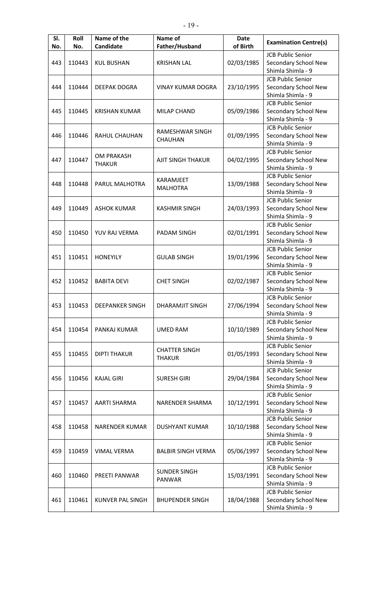| SI.<br>No. | Roll<br>No. | Name of the<br>Candidate | Name of<br>Father/Husband | <b>Date</b><br>of Birth | <b>Examination Centre(s)</b>              |
|------------|-------------|--------------------------|---------------------------|-------------------------|-------------------------------------------|
|            |             |                          |                           |                         | <b>JCB Public Senior</b>                  |
| 443        | 110443      | <b>KUL BUSHAN</b>        | <b>KRISHAN LAL</b>        | 02/03/1985              | Secondary School New                      |
|            |             |                          |                           |                         | Shimla Shimla - 9                         |
|            |             |                          |                           |                         | <b>JCB Public Senior</b>                  |
| 444        | 110444      | <b>DEEPAK DOGRA</b>      | <b>VINAY KUMAR DOGRA</b>  | 23/10/1995              | Secondary School New                      |
|            |             |                          | Shimla Shimla - 9         |                         |                                           |
|            |             |                          |                           |                         |                                           |
|            |             |                          |                           |                         | <b>JCB Public Senior</b>                  |
| 445        | 110445      | <b>KRISHAN KUMAR</b>     | <b>MILAP CHAND</b>        | 05/09/1986              | Secondary School New                      |
|            |             |                          |                           |                         | Shimla Shimla - 9                         |
|            |             |                          | RAMESHWAR SINGH           |                         | <b>JCB Public Senior</b>                  |
| 446        | 110446      | <b>RAHUL CHAUHAN</b>     | CHAUHAN                   | 01/09/1995              | Secondary School New                      |
|            |             |                          |                           |                         | Shimla Shimla - 9                         |
|            |             | <b>OM PRAKASH</b>        |                           |                         | <b>JCB Public Senior</b>                  |
| 447        | 110447      | <b>THAKUR</b>            | AJIT SINGH THAKUR         | 04/02/1995              | Secondary School New                      |
|            |             |                          |                           |                         | Shimla Shimla - 9                         |
|            |             |                          | KARAMJEET                 |                         | <b>JCB Public Senior</b>                  |
| 448        | 110448      | PARUL MALHOTRA           | <b>MALHOTRA</b>           | 13/09/1988              | Secondary School New                      |
|            |             |                          |                           |                         | Shimla Shimla - 9                         |
|            |             |                          |                           |                         | <b>JCB Public Senior</b>                  |
| 449        | 110449      | <b>ASHOK KUMAR</b>       | <b>KASHMIR SINGH</b>      | 24/03/1993              | Secondary School New                      |
|            |             |                          |                           |                         | Shimla Shimla - 9                         |
|            |             |                          |                           |                         | <b>JCB Public Senior</b>                  |
| 450        | 110450      | YUV RAJ VERMA            | <b>PADAM SINGH</b>        | 02/01/1991              | Secondary School New                      |
|            |             |                          |                           |                         | Shimla Shimla - 9                         |
|            |             |                          |                           |                         | <b>JCB Public Senior</b>                  |
| 451        | 110451      | <b>HONEYILY</b>          | <b>GULAB SINGH</b>        | 19/01/1996              | Secondary School New                      |
|            |             |                          |                           |                         | Shimla Shimla - 9                         |
|            |             |                          |                           |                         | <b>JCB Public Senior</b>                  |
| 452        | 110452      | <b>BABITA DEVI</b>       | <b>CHET SINGH</b>         | 02/02/1987              | Secondary School New                      |
|            |             |                          |                           |                         | Shimla Shimla - 9                         |
|            |             |                          |                           |                         | <b>JCB Public Senior</b>                  |
| 453        | 110453      | <b>DEEPANKER SINGH</b>   | <b>DHARAMJIT SINGH</b>    | 27/06/1994              | Secondary School New                      |
|            |             |                          |                           |                         | Shimla Shimla - 9                         |
|            |             |                          |                           |                         | <b>JCB Public Senior</b>                  |
| 454        | 110454      | PANKAJ KUMAR             | <b>UMED RAM</b>           | 10/10/1989              | Secondary School New                      |
|            |             |                          |                           |                         | Shimla Shimla - 9                         |
|            |             |                          |                           |                         | <b>JCB Public Senior</b>                  |
| 455        | 110455      | <b>DIPTI THAKUR</b>      | <b>CHATTER SINGH</b>      | 01/05/1993              |                                           |
|            |             |                          | <b>THAKUR</b>             |                         | Secondary School New<br>Shimla Shimla - 9 |
|            |             |                          |                           |                         |                                           |
|            |             |                          |                           |                         | <b>JCB Public Senior</b>                  |
| 456        | 110456      | <b>KAJAL GIRI</b>        | <b>SURESH GIRI</b>        | 29/04/1984              | Secondary School New                      |
|            |             |                          |                           |                         | Shimla Shimla - 9                         |
|            |             |                          |                           |                         | <b>JCB Public Senior</b>                  |
| 457        | 110457      | AARTI SHARMA             | NARENDER SHARMA           | 10/12/1991              | Secondary School New                      |
|            |             |                          |                           |                         | Shimla Shimla - 9                         |
|            |             |                          |                           |                         | <b>JCB Public Senior</b>                  |
| 458        | 110458      | <b>NARENDER KUMAR</b>    | <b>DUSHYANT KUMAR</b>     | 10/10/1988              | Secondary School New                      |
|            |             |                          |                           |                         | Shimla Shimla - 9                         |
|            |             |                          |                           |                         | <b>JCB Public Senior</b>                  |
| 459        | 110459      | <b>VIMAL VERMA</b>       | <b>BALBIR SINGH VERMA</b> | 05/06/1997              | Secondary School New                      |
|            |             |                          |                           |                         | Shimla Shimla - 9                         |
|            |             |                          | <b>SUNDER SINGH</b>       |                         | <b>JCB Public Senior</b>                  |
| 460        | 110460      | PREETI PANWAR            | PANWAR                    | 15/03/1991              | Secondary School New                      |
|            |             |                          |                           |                         | Shimla Shimla - 9                         |
|            |             |                          |                           |                         | <b>JCB Public Senior</b>                  |
| 461        | 110461      | <b>KUNVER PAL SINGH</b>  | <b>BHUPENDER SINGH</b>    | 18/04/1988              | Secondary School New                      |
|            |             |                          |                           |                         | Shimla Shimla - 9                         |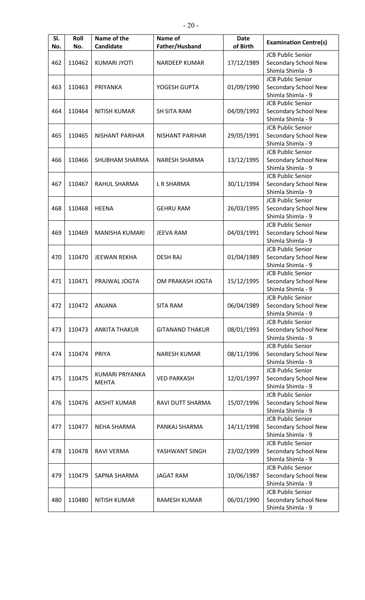| SI.<br>No.    | Roll<br>No. | Name of the<br>Candidate | Name of<br>Father/Husband | <b>Date</b><br>of Birth                   | <b>Examination Centre(s)</b>              |
|---------------|-------------|--------------------------|---------------------------|-------------------------------------------|-------------------------------------------|
|               |             |                          |                           |                                           | <b>JCB Public Senior</b>                  |
| 462           | 110462      | <b>KUMARI JYOTI</b>      | <b>NARDEEP KUMAR</b>      | 17/12/1989                                | Secondary School New                      |
|               |             |                          |                           |                                           | Shimla Shimla - 9                         |
|               |             |                          |                           |                                           | <b>JCB Public Senior</b>                  |
|               |             |                          |                           |                                           |                                           |
| 463<br>110463 | PRIYANKA    | YOGESH GUPTA             | 01/09/1990                | Secondary School New<br>Shimla Shimla - 9 |                                           |
|               |             |                          |                           |                                           |                                           |
|               |             |                          |                           |                                           | <b>JCB Public Senior</b>                  |
| 464           | 110464      | <b>NITISH KUMAR</b>      | <b>SH SITA RAM</b>        | 04/09/1992                                | Secondary School New                      |
|               |             |                          |                           |                                           | Shimla Shimla - 9                         |
|               |             |                          |                           |                                           | <b>JCB Public Senior</b>                  |
| 465           | 110465      | NISHANT PARIHAR          | <b>NISHANT PARIHAR</b>    | 29/05/1991                                | Secondary School New                      |
|               |             |                          |                           |                                           | Shimla Shimla - 9                         |
|               |             |                          |                           |                                           | <b>JCB Public Senior</b>                  |
| 466           | 110466      | SHUBHAM SHARMA           | <b>NARESH SHARMA</b>      | 13/12/1995                                | Secondary School New                      |
|               |             |                          |                           |                                           | Shimla Shimla - 9                         |
|               |             |                          |                           |                                           | <b>JCB Public Senior</b>                  |
| 467           | 110467      | RAHUL SHARMA             | L R SHARMA                | 30/11/1994                                | Secondary School New                      |
|               |             |                          |                           |                                           | Shimla Shimla - 9                         |
|               |             |                          |                           |                                           | <b>JCB Public Senior</b>                  |
| 468           | 110468      | <b>HEENA</b>             | <b>GEHRU RAM</b>          | 26/03/1995                                | Secondary School New                      |
|               |             |                          |                           |                                           | Shimla Shimla - 9                         |
|               |             |                          |                           |                                           | <b>JCB Public Senior</b>                  |
| 469           | 110469      | MANISHA KUMARI           | <b>JEEVA RAM</b>          | 04/03/1991                                | Secondary School New                      |
|               |             |                          |                           |                                           | Shimla Shimla - 9                         |
|               |             |                          |                           |                                           | <b>JCB Public Senior</b>                  |
| 470           | 110470      | <b>JEEWAN REKHA</b>      | <b>DESH RAJ</b>           | 01/04/1989                                | Secondary School New                      |
|               |             |                          |                           |                                           | Shimla Shimla - 9                         |
|               |             |                          |                           |                                           | <b>JCB Public Senior</b>                  |
| 471           | 110471      | PRAJWAL JOGTA            | OM PRAKASH JOGTA          | 15/12/1995                                | Secondary School New                      |
|               |             |                          |                           |                                           | Shimla Shimla - 9                         |
|               |             |                          |                           |                                           | <b>JCB Public Senior</b>                  |
| 472           | 110472      | <b>ANJANA</b>            | <b>SITA RAM</b>           | 06/04/1989                                | Secondary School New                      |
|               |             |                          |                           |                                           | Shimla Shimla - 9                         |
|               |             |                          |                           |                                           | <b>JCB Public Senior</b>                  |
| 473           | 110473      | <b>ANKITA THAKUR</b>     | <b>GITANAND THAKUR</b>    | 08/01/1993                                | Secondary School New                      |
|               |             |                          |                           |                                           | Shimla Shimla - 9                         |
|               |             |                          |                           |                                           | <b>JCB Public Senior</b>                  |
| 474           | 110474      | PRIYA                    | <b>NARESH KUMAR</b>       | 08/11/1996                                | Secondary School New                      |
|               |             |                          |                           |                                           | Shimla Shimla - 9                         |
|               |             |                          |                           |                                           | <b>JCB Public Senior</b>                  |
| 475           | 110475      | KUMARI PRIYANKA          | <b>VED PARKASH</b>        | 12/01/1997                                |                                           |
|               |             | <b>MEHTA</b>             |                           |                                           | Secondary School New<br>Shimla Shimla - 9 |
|               |             |                          |                           |                                           |                                           |
|               |             |                          |                           |                                           | <b>JCB Public Senior</b>                  |
| 476           | 110476      | <b>AKSHIT KUMAR</b>      | RAVI DUTT SHARMA          | 15/07/1996                                | Secondary School New                      |
|               |             |                          |                           |                                           | Shimla Shimla - 9                         |
|               |             |                          |                           |                                           | <b>JCB Public Senior</b>                  |
| 477           | 110477      | <b>NEHA SHARMA</b>       | PANKAJ SHARMA             | 14/11/1998                                | Secondary School New                      |
|               |             |                          |                           |                                           | Shimla Shimla - 9                         |
|               |             |                          |                           |                                           | <b>JCB Public Senior</b>                  |
| 478           | 110478      | <b>RAVI VERMA</b>        | YASHWANT SINGH            | 23/02/1999                                | Secondary School New                      |
|               |             |                          |                           |                                           | Shimla Shimla - 9                         |
|               |             |                          |                           |                                           | <b>JCB Public Senior</b>                  |
| 479           | 110479      | SAPNA SHARMA             | <b>JAGAT RAM</b>          | 10/06/1987                                | Secondary School New                      |
|               |             |                          |                           |                                           | Shimla Shimla - 9                         |
|               |             |                          |                           |                                           | <b>JCB Public Senior</b>                  |
| 480           | 110480      | <b>NITISH KUMAR</b>      | <b>RAMESH KUMAR</b>       | 06/01/1990                                | Secondary School New                      |
|               |             |                          |                           |                                           | Shimla Shimla - 9                         |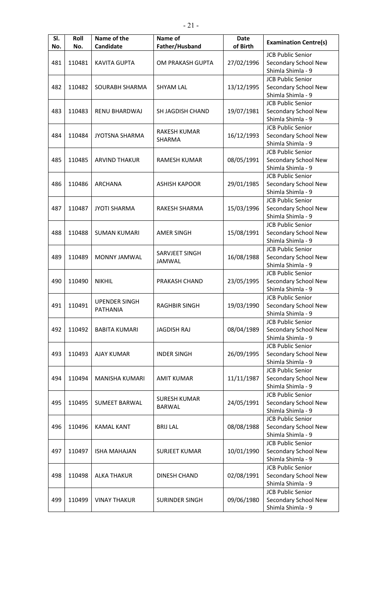| SI.<br>No. | Roll<br>No. | Name of the<br>Candidate | Name of<br>Father/Husband | <b>Date</b><br>of Birth | <b>Examination Centre(s)</b>              |
|------------|-------------|--------------------------|---------------------------|-------------------------|-------------------------------------------|
|            |             |                          |                           |                         | <b>JCB Public Senior</b>                  |
| 481        | 110481      | <b>KAVITA GUPTA</b>      | OM PRAKASH GUPTA          | 27/02/1996              | Secondary School New                      |
|            |             |                          |                           |                         | Shimla Shimla - 9                         |
|            |             |                          |                           |                         | <b>JCB Public Senior</b>                  |
| 482        |             | SOURABH SHARMA           | <b>SHYAM LAL</b>          | 13/12/1995              | Secondary School New                      |
|            | 110482      |                          |                           |                         | Shimla Shimla - 9                         |
|            |             |                          |                           |                         | <b>JCB Public Senior</b>                  |
| 483        | 110483      | RENU BHARDWAJ            | <b>SH JAGDISH CHAND</b>   | 19/07/1981              | Secondary School New                      |
|            |             |                          |                           |                         | Shimla Shimla - 9                         |
|            |             |                          |                           |                         | <b>JCB Public Senior</b>                  |
| 484        | 110484      | <b>JYOTSNA SHARMA</b>    | RAKESH KUMAR              | 16/12/1993              | Secondary School New                      |
|            |             |                          | SHARMA                    |                         | Shimla Shimla - 9                         |
|            |             |                          |                           |                         | <b>JCB Public Senior</b>                  |
| 485        | 110485      | <b>ARVIND THAKUR</b>     | <b>RAMESH KUMAR</b>       | 08/05/1991              | Secondary School New                      |
|            |             |                          |                           |                         | Shimla Shimla - 9                         |
|            |             |                          |                           |                         | <b>JCB Public Senior</b>                  |
| 486        | 110486      | <b>ARCHANA</b>           | <b>ASHISH KAPOOR</b>      | 29/01/1985              | Secondary School New                      |
|            |             |                          |                           |                         | Shimla Shimla - 9                         |
|            |             |                          |                           |                         | <b>JCB Public Senior</b>                  |
| 487        | 110487      | <b>JYOTI SHARMA</b>      | RAKESH SHARMA             | 15/03/1996              | Secondary School New                      |
|            |             |                          |                           |                         | Shimla Shimla - 9                         |
|            |             |                          |                           |                         | <b>JCB Public Senior</b>                  |
| 488        | 110488      |                          |                           | 15/08/1991              | Secondary School New                      |
|            |             | <b>SUMAN KUMARI</b>      | <b>AMER SINGH</b>         |                         | Shimla Shimla - 9                         |
|            |             |                          |                           |                         | <b>JCB Public Senior</b>                  |
|            | 110489      |                          | SARVJEET SINGH            |                         |                                           |
| 489        |             | MONNY JAMWAL             | JAMWAL                    | 16/08/1988              | Secondary School New<br>Shimla Shimla - 9 |
|            |             |                          |                           |                         | <b>JCB Public Senior</b>                  |
|            |             |                          |                           |                         |                                           |
| 490        | 110490      | <b>NIKHIL</b>            | PRAKASH CHAND             | 23/05/1995              | Secondary School New<br>Shimla Shimla - 9 |
|            |             |                          |                           |                         |                                           |
|            |             | <b>UPENDER SINGH</b>     |                           |                         | <b>JCB Public Senior</b>                  |
| 491        | 110491      | <b>PATHANIA</b>          | <b>RAGHBIR SINGH</b>      | 19/03/1990              | Secondary School New<br>Shimla Shimla - 9 |
|            |             |                          |                           |                         | <b>JCB Public Senior</b>                  |
|            |             |                          |                           |                         |                                           |
| 492        | 110492      | <b>BABITA KUMARI</b>     | <b>JAGDISH RAJ</b>        | 08/04/1989              | Secondary School New<br>Shimla Shimla - 9 |
|            |             |                          |                           |                         |                                           |
|            |             |                          |                           |                         | <b>JCB Public Senior</b>                  |
| 493        | 110493      | <b>AJAY KUMAR</b>        | <b>INDER SINGH</b>        | 26/09/1995              | Secondary School New                      |
|            |             |                          |                           |                         | Shimla Shimla - 9                         |
|            |             |                          |                           |                         | <b>JCB Public Senior</b>                  |
| 494        | 110494      | MANISHA KUMARI           | <b>AMIT KUMAR</b>         | 11/11/1987              | Secondary School New                      |
|            |             |                          |                           |                         | Shimla Shimla - 9                         |
|            |             |                          | <b>SURESH KUMAR</b>       |                         | <b>JCB Public Senior</b>                  |
| 495        | 110495      | <b>SUMEET BARWAL</b>     | <b>BARWAL</b>             | 24/05/1991              | Secondary School New                      |
|            |             |                          |                           |                         | Shimla Shimla - 9                         |
|            |             |                          |                           |                         | <b>JCB Public Senior</b>                  |
| 496        | 110496      | <b>KAMAL KANT</b>        | <b>BRIJ LAL</b>           | 08/08/1988              | Secondary School New                      |
|            |             |                          |                           |                         | Shimla Shimla - 9                         |
|            |             |                          |                           |                         | <b>JCB Public Senior</b>                  |
| 497        | 110497      | <b>ISHA MAHAJAN</b>      | <b>SURJEET KUMAR</b>      | 10/01/1990              | Secondary School New                      |
|            |             |                          |                           |                         | Shimla Shimla - 9                         |
|            |             |                          |                           |                         | <b>JCB Public Senior</b>                  |
| 498        | 110498      | <b>ALKA THAKUR</b>       | DINESH CHAND              | 02/08/1991              | Secondary School New                      |
|            |             |                          |                           |                         | Shimla Shimla - 9                         |
|            |             |                          |                           |                         | <b>JCB Public Senior</b>                  |
| 499        | 110499      | <b>VINAY THAKUR</b>      | <b>SURINDER SINGH</b>     | 09/06/1980              | Secondary School New                      |
|            |             |                          |                           |                         | Shimla Shimla - 9                         |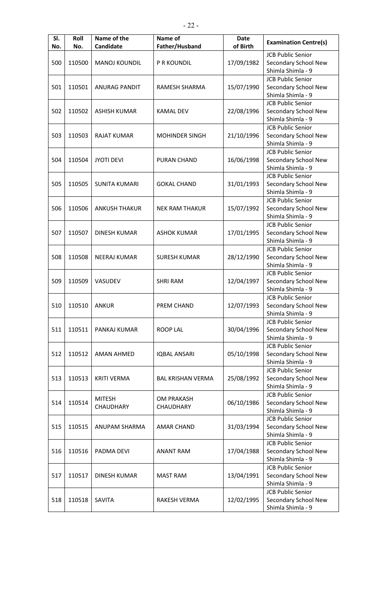| SI.<br>No. | Roll<br>No. | Name of the<br>Candidate | Name of<br>Father/Husband | <b>Date</b><br>of Birth | <b>Examination Centre(s)</b>              |
|------------|-------------|--------------------------|---------------------------|-------------------------|-------------------------------------------|
|            |             |                          |                           |                         | <b>JCB Public Senior</b>                  |
| 500        | 110500      | <b>MANOJ KOUNDIL</b>     | P R KOUNDIL               | 17/09/1982              | Secondary School New                      |
|            |             |                          |                           |                         | Shimla Shimla - 9                         |
|            |             |                          |                           |                         | <b>JCB Public Senior</b>                  |
| 501        | 110501      | <b>ANURAG PANDIT</b>     | RAMESH SHARMA             | 15/07/1990              | Secondary School New                      |
|            |             |                          |                           |                         | Shimla Shimla - 9                         |
|            |             |                          |                           |                         | <b>JCB Public Senior</b>                  |
| 502        | 110502      | <b>ASHISH KUMAR</b>      | <b>KAMAL DEV</b>          | 22/08/1996              | Secondary School New                      |
|            |             |                          |                           |                         | Shimla Shimla - 9                         |
|            |             |                          |                           |                         | <b>JCB Public Senior</b>                  |
| 503        | 110503      | <b>RAJAT KUMAR</b>       | <b>MOHINDER SINGH</b>     | 21/10/1996              | Secondary School New                      |
|            |             |                          |                           |                         | Shimla Shimla - 9                         |
|            |             |                          |                           |                         | <b>JCB Public Senior</b>                  |
|            | 110504      | <b>JYOTI DEVI</b>        | <b>PURAN CHAND</b>        |                         |                                           |
| 504        |             |                          |                           | 16/06/1998              | Secondary School New<br>Shimla Shimla - 9 |
|            |             |                          |                           |                         |                                           |
|            |             |                          |                           |                         | <b>JCB Public Senior</b>                  |
| 505        | 110505      | <b>SUNITA KUMARI</b>     | <b>GOKAL CHAND</b>        | 31/01/1993              | Secondary School New                      |
|            |             |                          |                           |                         | Shimla Shimla - 9                         |
|            |             |                          |                           |                         | <b>JCB Public Senior</b>                  |
| 506        | 110506      | <b>ANKUSH THAKUR</b>     | <b>NEK RAM THAKUR</b>     | 15/07/1992              | Secondary School New                      |
|            |             |                          |                           |                         | Shimla Shimla - 9                         |
|            |             |                          |                           |                         | <b>JCB Public Senior</b>                  |
| 507        | 110507      | <b>DINESH KUMAR</b>      | <b>ASHOK KUMAR</b>        | 17/01/1995              | Secondary School New                      |
|            |             |                          |                           |                         | Shimla Shimla - 9                         |
|            |             |                          |                           |                         | <b>JCB Public Senior</b>                  |
| 508        | 110508      | <b>NEERAJ KUMAR</b>      | <b>SURESH KUMAR</b>       | 28/12/1990              | Secondary School New                      |
|            |             |                          |                           |                         | Shimla Shimla - 9                         |
|            |             |                          |                           |                         | <b>JCB Public Senior</b>                  |
| 509        | 110509      | VASUDEV                  | <b>SHRI RAM</b>           | 12/04/1997              | Secondary School New                      |
|            |             |                          |                           |                         | Shimla Shimla - 9                         |
|            |             |                          |                           |                         | <b>JCB Public Senior</b>                  |
| 510        | 110510      | <b>ANKUR</b>             | PREM CHAND                | 12/07/1993              | Secondary School New                      |
|            |             |                          |                           |                         | Shimla Shimla - 9                         |
|            |             |                          |                           |                         | <b>JCB Public Senior</b>                  |
| 511        | 110511      | PANKAJ KUMAR             | <b>ROOP LAL</b>           | 30/04/1996              | Secondary School New                      |
|            |             |                          |                           |                         | Shimla Shimla - 9                         |
|            |             |                          |                           |                         | <b>JCB Public Senior</b>                  |
| 512        | 110512      | <b>AMAN AHMED</b>        | <b>IQBAL ANSARI</b>       | 05/10/1998              | Secondary School New                      |
|            |             |                          |                           |                         | Shimla Shimla - 9                         |
|            |             |                          |                           |                         | <b>JCB Public Senior</b>                  |
| 513        | 110513      | <b>KRITI VERMA</b>       | <b>BAL KRISHAN VERMA</b>  | 25/08/1992              | Secondary School New                      |
|            |             |                          |                           |                         | Shimla Shimla - 9                         |
|            |             |                          |                           |                         | <b>JCB Public Senior</b>                  |
| 514        | 110514      | <b>MITESH</b>            | <b>OM PRAKASH</b>         | 06/10/1986              | Secondary School New                      |
|            |             | CHAUDHARY                | CHAUDHARY                 |                         | Shimla Shimla - 9                         |
|            |             |                          |                           |                         | <b>JCB Public Senior</b>                  |
| 515        | 110515      | ANUPAM SHARMA            | AMAR CHAND                | 31/03/1994              | Secondary School New                      |
|            |             |                          |                           |                         | Shimla Shimla - 9                         |
|            |             |                          |                           |                         | <b>JCB Public Senior</b>                  |
| 516        | 110516      | PADMA DEVI               | <b>ANANT RAM</b>          | 17/04/1988              | Secondary School New                      |
|            |             |                          |                           |                         | Shimla Shimla - 9                         |
|            |             |                          |                           |                         | <b>JCB Public Senior</b>                  |
| 517        | 110517      | <b>DINESH KUMAR</b>      | <b>MAST RAM</b>           | 13/04/1991              |                                           |
|            |             |                          |                           |                         | Secondary School New<br>Shimla Shimla - 9 |
|            |             |                          |                           |                         |                                           |
|            |             |                          |                           |                         | <b>JCB Public Senior</b>                  |
| 518        | 110518      | SAVITA                   | <b>RAKESH VERMA</b>       | 12/02/1995              | Secondary School New                      |
|            |             |                          |                           |                         | Shimla Shimla - 9                         |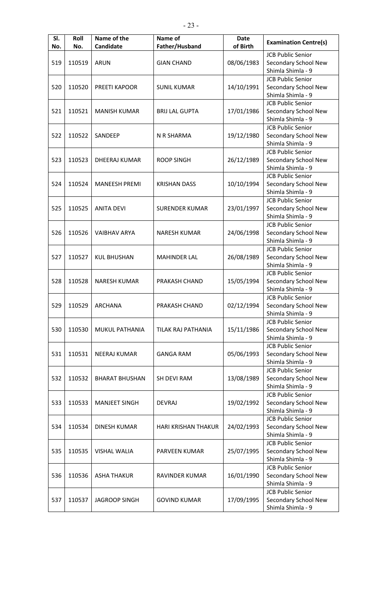| SI.<br>No. | Roll<br>No. | Name of the<br>Candidate | Name of<br>Father/Husband | <b>Date</b><br>of Birth | <b>Examination Centre(s)</b>                                          |
|------------|-------------|--------------------------|---------------------------|-------------------------|-----------------------------------------------------------------------|
| 519        | 110519      | <b>ARUN</b>              | <b>GIAN CHAND</b>         | 08/06/1983              | <b>JCB Public Senior</b><br>Secondary School New<br>Shimla Shimla - 9 |
| 520        | 110520      | PREETI KAPOOR            | <b>SUNIL KUMAR</b>        | 14/10/1991              | <b>JCB Public Senior</b><br>Secondary School New<br>Shimla Shimla - 9 |
| 521        | 110521      | <b>MANISH KUMAR</b>      | <b>BRIJ LAL GUPTA</b>     | 17/01/1986              | <b>JCB Public Senior</b><br>Secondary School New<br>Shimla Shimla - 9 |
| 522        | 110522      | SANDEEP                  | N R SHARMA                | 19/12/1980              | <b>JCB Public Senior</b><br>Secondary School New<br>Shimla Shimla - 9 |
| 523        | 110523      | DHEERAJ KUMAR            | <b>ROOP SINGH</b>         | 26/12/1989              | <b>JCB Public Senior</b><br>Secondary School New<br>Shimla Shimla - 9 |
| 524        | 110524      | <b>MANEESH PREMI</b>     | <b>KRISHAN DASS</b>       | 10/10/1994              | <b>JCB Public Senior</b><br>Secondary School New<br>Shimla Shimla - 9 |
| 525        | 110525      | <b>ANITA DEVI</b>        | <b>SURENDER KUMAR</b>     | 23/01/1997              | <b>JCB Public Senior</b><br>Secondary School New<br>Shimla Shimla - 9 |
| 526        | 110526      | <b>VAIBHAV ARYA</b>      | <b>NARESH KUMAR</b>       | 24/06/1998              | <b>JCB Public Senior</b><br>Secondary School New<br>Shimla Shimla - 9 |
| 527        | 110527      | <b>KUL BHUSHAN</b>       | <b>MAHINDER LAL</b>       | 26/08/1989              | <b>JCB Public Senior</b><br>Secondary School New<br>Shimla Shimla - 9 |
| 528        | 110528      | <b>NARESH KUMAR</b>      | PRAKASH CHAND             | 15/05/1994              | <b>JCB Public Senior</b><br>Secondary School New<br>Shimla Shimla - 9 |
| 529        | 110529      | <b>ARCHANA</b>           | PRAKASH CHAND             | 02/12/1994              | <b>JCB Public Senior</b><br>Secondary School New<br>Shimla Shimla - 9 |
| 530        | 110530      | MUKUL PATHANIA           | TILAK RAJ PATHANIA        | 15/11/1986              | <b>JCB Public Senior</b><br>Secondary School New<br>Shimla Shimla - 9 |
| 531        | 110531      | <b>NEERAJ KUMAR</b>      | <b>GANGA RAM</b>          | 05/06/1993              | <b>JCB Public Senior</b><br>Secondary School New<br>Shimla Shimla - 9 |
| 532        | 110532      | <b>BHARAT BHUSHAN</b>    | SH DEVI RAM               | 13/08/1989              | <b>JCB Public Senior</b><br>Secondary School New<br>Shimla Shimla - 9 |
| 533        | 110533      | <b>MANJEET SINGH</b>     | <b>DEVRAJ</b>             | 19/02/1992              | <b>JCB Public Senior</b><br>Secondary School New<br>Shimla Shimla - 9 |
| 534        | 110534      | <b>DINESH KUMAR</b>      | HARI KRISHAN THAKUR       | 24/02/1993              | <b>JCB Public Senior</b><br>Secondary School New<br>Shimla Shimla - 9 |
| 535        | 110535      | <b>VISHAL WALIA</b>      | PARVEEN KUMAR             | 25/07/1995              | <b>JCB Public Senior</b><br>Secondary School New<br>Shimla Shimla - 9 |
| 536        | 110536      | <b>ASHA THAKUR</b>       | RAVINDER KUMAR            | 16/01/1990              | <b>JCB Public Senior</b><br>Secondary School New<br>Shimla Shimla - 9 |
| 537        | 110537      | <b>JAGROOP SINGH</b>     | <b>GOVIND KUMAR</b>       | 17/09/1995              | <b>JCB Public Senior</b><br>Secondary School New<br>Shimla Shimla - 9 |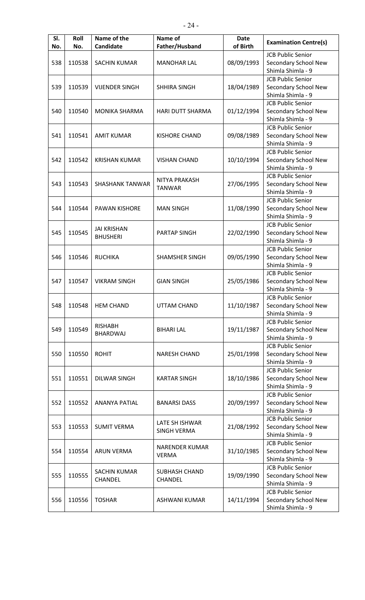| SI.<br>No. | Roll<br>No. | Name of the<br>Candidate | Name of<br>Father/Husband | <b>Date</b><br>of Birth | <b>Examination Centre(s)</b> |
|------------|-------------|--------------------------|---------------------------|-------------------------|------------------------------|
|            |             |                          |                           |                         | <b>JCB Public Senior</b>     |
| 538        | 110538      | <b>SACHIN KUMAR</b>      | <b>MANOHAR LAL</b>        | 08/09/1993              | Secondary School New         |
|            |             |                          |                           |                         | Shimla Shimla - 9            |
|            |             |                          |                           |                         | <b>JCB Public Senior</b>     |
|            |             |                          |                           |                         |                              |
| 539        | 110539      | <b>VIJENDER SINGH</b>    | <b>SHHIRA SINGH</b>       | 18/04/1989              | Secondary School New         |
|            |             |                          |                           |                         | Shimla Shimla - 9            |
|            |             |                          |                           |                         | <b>JCB Public Senior</b>     |
| 540        | 110540      | <b>MONIKA SHARMA</b>     | <b>HARI DUTT SHARMA</b>   | 01/12/1994              | Secondary School New         |
|            |             |                          |                           |                         | Shimla Shimla - 9            |
|            |             |                          |                           |                         | <b>JCB Public Senior</b>     |
| 541        | 110541      | <b>AMIT KUMAR</b>        | <b>KISHORE CHAND</b>      | 09/08/1989              | Secondary School New         |
|            |             |                          |                           |                         | Shimla Shimla - 9            |
|            |             |                          |                           |                         | <b>JCB Public Senior</b>     |
| 542        | 110542      | <b>KRISHAN KUMAR</b>     | <b>VISHAN CHAND</b>       | 10/10/1994              | Secondary School New         |
|            |             |                          |                           |                         | Shimla Shimla - 9            |
|            |             |                          |                           |                         | <b>JCB Public Senior</b>     |
| 543        | 110543      | <b>SHASHANK TANWAR</b>   | NITYA PRAKASH             | 27/06/1995              | Secondary School New         |
|            |             |                          | <b>TANWAR</b>             |                         | Shimla Shimla - 9            |
|            |             |                          |                           |                         | <b>JCB Public Senior</b>     |
| 544        | 110544      | <b>PAWAN KISHORE</b>     | <b>MAN SINGH</b>          | 11/08/1990              | Secondary School New         |
|            |             |                          |                           |                         | Shimla Shimla - 9            |
|            |             |                          |                           |                         | <b>JCB Public Senior</b>     |
| 545        | 110545      | <b>JAI KRISHAN</b>       | <b>PARTAP SINGH</b>       | 22/02/1990              | Secondary School New         |
|            |             | <b>BHUSHERI</b>          |                           |                         | Shimla Shimla - 9            |
|            |             |                          |                           |                         |                              |
|            |             |                          |                           |                         | <b>JCB Public Senior</b>     |
| 546        | 110546      | <b>RUCHIKA</b>           | <b>SHAMSHER SINGH</b>     | 09/05/1990              | Secondary School New         |
|            |             |                          |                           |                         | Shimla Shimla - 9            |
|            |             |                          |                           |                         | <b>JCB Public Senior</b>     |
| 547        | 110547      | <b>VIKRAM SINGH</b>      | <b>GIAN SINGH</b>         | 25/05/1986              | Secondary School New         |
|            |             |                          |                           |                         | Shimla Shimla - 9            |
|            |             |                          |                           |                         | <b>JCB Public Senior</b>     |
| 548        | 110548      | <b>HEM CHAND</b>         | <b>UTTAM CHAND</b>        | 11/10/1987              | Secondary School New         |
|            |             |                          |                           |                         | Shimla Shimla - 9            |
|            |             | <b>RISHABH</b>           |                           |                         | <b>JCB Public Senior</b>     |
| 549        | 110549      | <b>BHARDWAJ</b>          | <b>BIHARI LAL</b>         | 19/11/1987              | Secondary School New         |
|            |             |                          |                           |                         | Shimla Shimla - 9            |
|            |             |                          |                           |                         | <b>JCB Public Senior</b>     |
| 550        | 110550      | <b>ROHIT</b>             | <b>NARESH CHAND</b>       | 25/01/1998              | Secondary School New         |
|            |             |                          |                           |                         | Shimla Shimla - 9            |
|            |             |                          |                           |                         | <b>JCB Public Senior</b>     |
| 551        | 110551      | <b>DILWAR SINGH</b>      | <b>KARTAR SINGH</b>       | 18/10/1986              | Secondary School New         |
|            |             |                          |                           |                         | Shimla Shimla - 9            |
|            |             |                          |                           |                         | <b>JCB Public Senior</b>     |
| 552        | 110552      | <b>ANANYA PATIAL</b>     | <b>BANARSI DASS</b>       | 20/09/1997              | Secondary School New         |
|            |             |                          |                           |                         | Shimla Shimla - 9            |
|            |             |                          |                           |                         | <b>JCB Public Senior</b>     |
| 553        | 110553      | <b>SUMIT VERMA</b>       | LATE SH ISHWAR            | 21/08/1992              | Secondary School New         |
|            |             |                          | <b>SINGH VERMA</b>        |                         | Shimla Shimla - 9            |
|            |             |                          |                           |                         |                              |
|            |             |                          | <b>NARENDER KUMAR</b>     |                         | <b>JCB Public Senior</b>     |
| 554        | 110554      | <b>ARUN VERMA</b>        | <b>VERMA</b>              | 31/10/1985              | Secondary School New         |
|            |             |                          |                           |                         | Shimla Shimla - 9            |
|            |             | <b>SACHIN KUMAR</b>      | <b>SUBHASH CHAND</b>      |                         | <b>JCB Public Senior</b>     |
| 555        | 110555      | CHANDEL                  | CHANDEL                   | 19/09/1990              | Secondary School New         |
|            |             |                          |                           |                         | Shimla Shimla - 9            |
|            |             |                          |                           |                         | <b>JCB Public Senior</b>     |
| 556        | 110556      | <b>TOSHAR</b>            | <b>ASHWANI KUMAR</b>      | 14/11/1994              | Secondary School New         |
|            |             |                          |                           |                         | Shimla Shimla - 9            |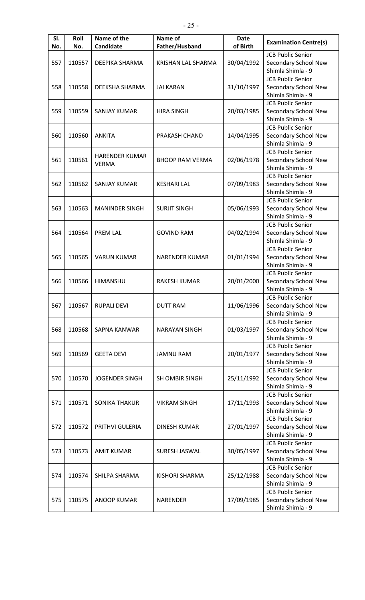| SI.<br>No. | Roll<br>No. | Name of the<br>Candidate | Name of<br>Father/Husband | <b>Date</b><br>of Birth | <b>Examination Centre(s)</b>              |
|------------|-------------|--------------------------|---------------------------|-------------------------|-------------------------------------------|
|            |             |                          |                           |                         | <b>JCB Public Senior</b>                  |
| 557        | 110557      | DEEPIKA SHARMA           | KRISHAN LAL SHARMA        | 30/04/1992              | Secondary School New                      |
|            |             |                          |                           |                         | Shimla Shimla - 9                         |
|            |             |                          |                           |                         | <b>JCB Public Senior</b>                  |
|            |             |                          |                           |                         |                                           |
| 558        | 110558      | DEEKSHA SHARMA           | <b>JAI KARAN</b>          | 31/10/1997              | Secondary School New<br>Shimla Shimla - 9 |
|            |             |                          |                           |                         |                                           |
|            |             |                          |                           |                         | <b>JCB Public Senior</b>                  |
| 559        | 110559      | <b>SANJAY KUMAR</b>      | <b>HIRA SINGH</b>         | 20/03/1985              | Secondary School New                      |
|            |             |                          |                           |                         | Shimla Shimla - 9                         |
|            |             |                          |                           |                         | <b>JCB Public Senior</b>                  |
| 560        | 110560      | <b>ANKITA</b>            | PRAKASH CHAND             | 14/04/1995              | Secondary School New                      |
|            |             |                          |                           |                         | Shimla Shimla - 9                         |
|            |             | <b>HARENDER KUMAR</b>    |                           |                         | <b>JCB Public Senior</b>                  |
| 561        | 110561      | <b>VERMA</b>             | <b>BHOOP RAM VERMA</b>    | 02/06/1978              | Secondary School New                      |
|            |             |                          |                           |                         | Shimla Shimla - 9                         |
|            |             |                          |                           |                         | <b>JCB Public Senior</b>                  |
| 562        | 110562      | <b>SANJAY KUMAR</b>      | <b>KESHARI LAL</b>        | 07/09/1983              | Secondary School New                      |
|            |             |                          |                           |                         | Shimla Shimla - 9                         |
|            |             |                          |                           |                         | <b>JCB Public Senior</b>                  |
| 563        | 110563      | <b>MANINDER SINGH</b>    | <b>SURJIT SINGH</b>       | 05/06/1993              | Secondary School New                      |
|            |             |                          |                           |                         | Shimla Shimla - 9                         |
|            |             |                          |                           |                         | <b>JCB Public Senior</b>                  |
| 564        | 110564      | <b>PREM LAL</b>          | <b>GOVIND RAM</b>         | 04/02/1994              | Secondary School New                      |
|            |             |                          |                           |                         | Shimla Shimla - 9                         |
|            |             |                          |                           |                         | <b>JCB Public Senior</b>                  |
| 565        | 110565      | <b>VARUN KUMAR</b>       | <b>NARENDER KUMAR</b>     | 01/01/1994              | Secondary School New                      |
|            |             |                          |                           |                         | Shimla Shimla - 9                         |
|            |             |                          |                           |                         | <b>JCB Public Senior</b>                  |
| 566        | 110566      | HIMANSHU                 | <b>RAKESH KUMAR</b>       | 20/01/2000              | Secondary School New                      |
|            |             |                          |                           |                         | Shimla Shimla - 9                         |
|            |             |                          |                           |                         | <b>JCB Public Senior</b>                  |
| 567        | 110567      | <b>RUPALI DEVI</b>       | <b>DUTT RAM</b>           | 11/06/1996              | Secondary School New                      |
|            |             |                          |                           |                         | Shimla Shimla - 9                         |
|            |             |                          |                           |                         | <b>JCB Public Senior</b>                  |
| 568        | 110568      | SAPNA KANWAR             | <b>NARAYAN SINGH</b>      | 01/03/1997              | Secondary School New                      |
|            |             |                          |                           |                         | Shimla Shimla - 9                         |
|            |             |                          |                           |                         | <b>JCB Public Senior</b>                  |
| 569        | 110569      | <b>GEETA DEVI</b>        | <b>JAMNU RAM</b>          | 20/01/1977              | Secondary School New                      |
|            |             |                          |                           |                         | Shimla Shimla - 9                         |
|            |             |                          |                           |                         | <b>JCB Public Senior</b>                  |
| 570        | 110570      | <b>JOGENDER SINGH</b>    | <b>SH OMBIR SINGH</b>     | 25/11/1992              | Secondary School New                      |
|            |             |                          |                           |                         | Shimla Shimla - 9                         |
|            |             |                          |                           |                         | <b>JCB Public Senior</b>                  |
| 571        | 110571      | <b>SONIKA THAKUR</b>     | <b>VIKRAM SINGH</b>       | 17/11/1993              | Secondary School New                      |
|            |             |                          |                           |                         | Shimla Shimla - 9                         |
|            |             |                          |                           |                         | <b>JCB Public Senior</b>                  |
| 572        | 110572      | PRITHVI GULERIA          | <b>DINESH KUMAR</b>       | 27/01/1997              | Secondary School New                      |
|            |             |                          |                           |                         | Shimla Shimla - 9                         |
|            |             |                          |                           |                         | <b>JCB Public Senior</b>                  |
| 573        | 110573      | <b>AMIT KUMAR</b>        | SURESH JASWAL             | 30/05/1997              | Secondary School New                      |
|            |             |                          |                           |                         | Shimla Shimla - 9                         |
|            |             |                          |                           |                         | <b>JCB Public Senior</b>                  |
| 574        | 110574      | SHILPA SHARMA            | KISHORI SHARMA            | 25/12/1988              | Secondary School New                      |
|            |             |                          |                           |                         | Shimla Shimla - 9                         |
|            |             |                          |                           |                         | <b>JCB Public Senior</b>                  |
| 575        | 110575      | <b>ANOOP KUMAR</b>       | <b>NARENDER</b>           | 17/09/1985              | Secondary School New                      |
|            |             |                          |                           |                         | Shimla Shimla - 9                         |
|            |             |                          |                           |                         |                                           |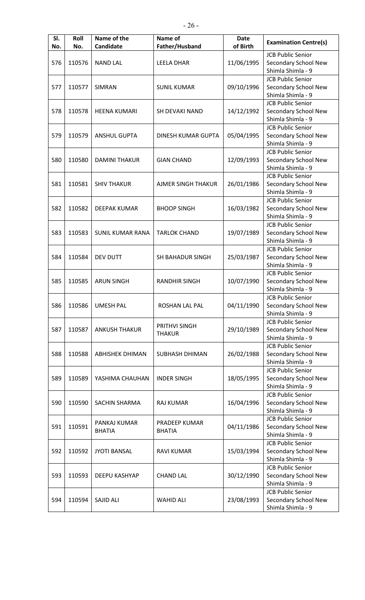| SI.<br>No. | Roll<br>No. | Name of the<br>Candidate      | Name of<br>Father/Husband      | <b>Date</b><br>of Birth | <b>Examination Centre(s)</b>                                          |
|------------|-------------|-------------------------------|--------------------------------|-------------------------|-----------------------------------------------------------------------|
| 576        | 110576      | <b>NAND LAL</b>               | <b>LEELA DHAR</b>              | 11/06/1995              | <b>JCB Public Senior</b><br>Secondary School New<br>Shimla Shimla - 9 |
| 577        | 110577      | <b>SIMRAN</b>                 | <b>SUNIL KUMAR</b>             | 09/10/1996              | <b>JCB Public Senior</b><br>Secondary School New<br>Shimla Shimla - 9 |
| 578        | 110578      | <b>HEENA KUMARI</b>           | SH DEVAKI NAND                 | 14/12/1992              | <b>JCB Public Senior</b><br>Secondary School New<br>Shimla Shimla - 9 |
| 579        | 110579      | <b>ANSHUL GUPTA</b>           | DINESH KUMAR GUPTA             | 05/04/1995              | <b>JCB Public Senior</b><br>Secondary School New<br>Shimla Shimla - 9 |
| 580        | 110580      | <b>DAMINI THAKUR</b>          | <b>GIAN CHAND</b>              | 12/09/1993              | <b>JCB Public Senior</b><br>Secondary School New<br>Shimla Shimla - 9 |
| 581        | 110581      | <b>SHIV THAKUR</b>            | AJMER SINGH THAKUR             | 26/01/1986              | <b>JCB Public Senior</b><br>Secondary School New<br>Shimla Shimla - 9 |
| 582        | 110582      | <b>DEEPAK KUMAR</b>           | <b>BHOOP SINGH</b>             | 16/03/1982              | <b>JCB Public Senior</b><br>Secondary School New<br>Shimla Shimla - 9 |
| 583        | 110583      | <b>SUNIL KUMAR RANA</b>       | <b>TARLOK CHAND</b>            | 19/07/1989              | <b>JCB Public Senior</b><br>Secondary School New<br>Shimla Shimla - 9 |
| 584        | 110584      | DEV DUTT                      | <b>SH BAHADUR SINGH</b>        | 25/03/1987              | <b>JCB Public Senior</b><br>Secondary School New<br>Shimla Shimla - 9 |
| 585        | 110585      | <b>ARUN SINGH</b>             | <b>RANDHIR SINGH</b>           | 10/07/1990              | <b>JCB Public Senior</b><br>Secondary School New<br>Shimla Shimla - 9 |
| 586        | 110586      | <b>UMESH PAL</b>              | ROSHAN LAL PAL                 | 04/11/1990              | <b>JCB Public Senior</b><br>Secondary School New<br>Shimla Shimla - 9 |
| 587        | 110587      | <b>ANKUSH THAKUR</b>          | PRITHVI SINGH<br><b>THAKUR</b> | 29/10/1989              | <b>JCB Public Senior</b><br>Secondary School New<br>Shimla Shimla - 9 |
| 588        | 110588      | <b>ABHISHEK DHIMAN</b>        | SUBHASH DHIMAN                 | 26/02/1988              | <b>JCB Public Senior</b><br>Secondary School New<br>Shimla Shimla - 9 |
| 589        | 110589      | YASHIMA CHAUHAN               | <b>INDER SINGH</b>             | 18/05/1995              | <b>JCB Public Senior</b><br>Secondary School New<br>Shimla Shimla - 9 |
| 590        | 110590      | SACHIN SHARMA                 | <b>RAJ KUMAR</b>               | 16/04/1996              | <b>JCB Public Senior</b><br>Secondary School New<br>Shimla Shimla - 9 |
| 591        | 110591      | PANKAJ KUMAR<br><b>BHATIA</b> | PRADEEP KUMAR<br><b>BHATIA</b> | 04/11/1986              | <b>JCB Public Senior</b><br>Secondary School New<br>Shimla Shimla - 9 |
| 592        | 110592      | <b>JYOTI BANSAL</b>           | <b>RAVI KUMAR</b>              | 15/03/1994              | <b>JCB Public Senior</b><br>Secondary School New<br>Shimla Shimla - 9 |
| 593        | 110593      | DEEPU KASHYAP                 | <b>CHAND LAL</b>               | 30/12/1990              | <b>JCB Public Senior</b><br>Secondary School New<br>Shimla Shimla - 9 |
| 594        | 110594      | SAJID ALI                     | <b>WAHID ALI</b>               | 23/08/1993              | <b>JCB Public Senior</b><br>Secondary School New<br>Shimla Shimla - 9 |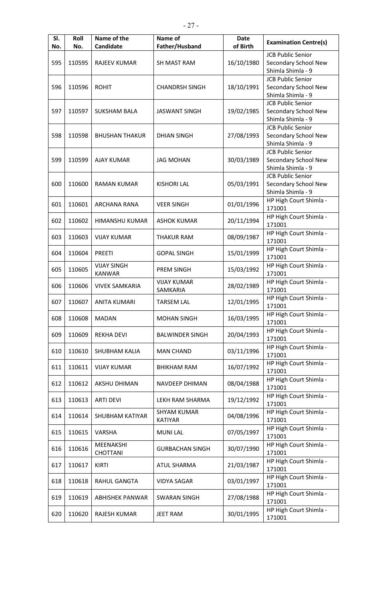| SI.<br>No. | Roll<br>No. | Name of the<br>Candidate | Name of<br>Father/Husband | <b>Date</b><br>of Birth | <b>Examination Centre(s)</b>     |
|------------|-------------|--------------------------|---------------------------|-------------------------|----------------------------------|
|            |             |                          |                           |                         | <b>JCB Public Senior</b>         |
| 595        | 110595      | <b>RAJEEV KUMAR</b>      | <b>SH MAST RAM</b>        | 16/10/1980              | Secondary School New             |
|            |             |                          |                           |                         | Shimla Shimla - 9                |
|            |             |                          |                           |                         | <b>JCB Public Senior</b>         |
| 596        | 110596      | <b>ROHIT</b>             | <b>CHANDRSH SINGH</b>     | 18/10/1991              | Secondary School New             |
|            |             |                          |                           |                         | Shimla Shimla - 9                |
|            |             |                          |                           |                         | <b>JCB Public Senior</b>         |
| 597        | 110597      | <b>SUKSHAM BALA</b>      | <b>JASWANT SINGH</b>      | 19/02/1985              | Secondary School New             |
|            |             |                          |                           |                         | Shimla Shimla - 9                |
|            |             |                          |                           |                         | <b>JCB Public Senior</b>         |
| 598        | 110598      | <b>BHUSHAN THAKUR</b>    | <b>DHIAN SINGH</b>        | 27/08/1993              | Secondary School New             |
|            |             |                          |                           |                         | Shimla Shimla - 9                |
|            |             |                          |                           |                         | <b>JCB Public Senior</b>         |
| 599        | 110599      | <b>AJAY KUMAR</b>        | <b>JAG MOHAN</b>          | 30/03/1989              | Secondary School New             |
|            |             |                          |                           |                         | Shimla Shimla - 9                |
|            |             |                          |                           |                         | <b>JCB Public Senior</b>         |
| 600        | 110600      | <b>RAMAN KUMAR</b>       | <b>KISHORI LAL</b>        | 05/03/1991              | Secondary School New             |
|            |             |                          |                           |                         | Shimla Shimla - 9                |
| 601        | 110601      | <b>ARCHANA RANA</b>      | <b>VEER SINGH</b>         | 01/01/1996              | HP High Court Shimla -           |
|            |             |                          |                           |                         | 171001                           |
| 602        | 110602      | HIMANSHU KUMAR           | <b>ASHOK KUMAR</b>        | 20/11/1994              | HP High Court Shimla -           |
|            |             |                          |                           |                         | 171001                           |
| 603        | 110603      | <b>VIJAY KUMAR</b>       | <b>THAKUR RAM</b>         | 08/09/1987              | HP High Court Shimla -           |
|            |             |                          |                           |                         | 171001                           |
| 604        | 110604      | <b>PREETI</b>            | <b>GOPAL SINGH</b>        | 15/01/1999              | HP High Court Shimla -           |
|            |             |                          |                           |                         | 171001                           |
| 605        | 110605      | <b>VIJAY SINGH</b>       | <b>PREM SINGH</b>         | 15/03/1992              | HP High Court Shimla -           |
|            |             | <b>KANWAR</b>            |                           |                         | 171001                           |
| 606        | 110606      | <b>VIVEK SAMKARIA</b>    | <b>VIJAY KUMAR</b>        | 28/02/1989              | HP High Court Shimla -           |
|            |             |                          | SAMKARIA                  |                         | 171001                           |
| 607        | 110607      | <b>ANITA KUMARI</b>      | <b>TARSEM LAL</b>         | 12/01/1995              | HP High Court Shimla -           |
|            |             |                          |                           |                         | 171001                           |
| 608        | 110608      | <b>MADAN</b>             | <b>MOHAN SINGH</b>        | 16/03/1995              | HP High Court Shimla -<br>171001 |
|            |             |                          |                           |                         | HP High Court Shimla -           |
| 609        | 110609      | <b>REKHA DEVI</b>        | <b>BALWINDER SINGH</b>    | 20/04/1993              | 171001                           |
|            |             |                          |                           |                         | HP High Court Shimla -           |
| 610        | 110610      | SHUBHAM KALIA            | <b>MAN CHAND</b>          | 03/11/1996              | 171001                           |
|            |             |                          |                           |                         | HP High Court Shimla -           |
| 611        | 110611      | <b>VIJAY KUMAR</b>       | BHIKHAM RAM               | 16/07/1992              | 171001                           |
|            |             |                          |                           |                         | HP High Court Shimla -           |
| 612        | 110612      | AKSHU DHIMAN             | NAVDEEP DHIMAN            | 08/04/1988              | 171001                           |
|            |             |                          |                           |                         | HP High Court Shimla -           |
| 613        | 110613      | <b>ARTI DEVI</b>         | LEKH RAM SHARMA           | 19/12/1992              | 171001                           |
|            |             |                          | <b>SHYAM KUMAR</b>        |                         | HP High Court Shimla -           |
| 614        | 110614      | SHUBHAM KATIYAR          | <b>KATIYAR</b>            | 04/08/1996              | 171001                           |
| 615        | 110615      | VARSHA                   | <b>MUNILAL</b>            | 07/05/1997              | HP High Court Shimla -           |
|            |             |                          |                           |                         | 171001                           |
| 616        | 110616      | MEENAKSHI                | <b>GURBACHAN SINGH</b>    | 30/07/1990              | HP High Court Shimla -           |
|            |             | <b>CHOTTANI</b>          |                           |                         | 171001                           |
| 617        | 110617      | <b>KIRTI</b>             | <b>ATUL SHARMA</b>        | 21/03/1987              | HP High Court Shimla -           |
|            |             |                          |                           |                         | 171001                           |
| 618        | 110618      | RAHUL GANGTA             | <b>VIDYA SAGAR</b>        | 03/01/1997              | HP High Court Shimla -           |
|            |             |                          |                           |                         | 171001                           |
| 619        | 110619      | <b>ABHISHEK PANWAR</b>   | <b>SWARAN SINGH</b>       | 27/08/1988              | HP High Court Shimla -           |
|            |             |                          |                           |                         | 171001                           |
| 620        | 110620      | RAJESH KUMAR             | <b>JEET RAM</b>           | 30/01/1995              | HP High Court Shimla -           |
|            |             |                          |                           |                         | 171001                           |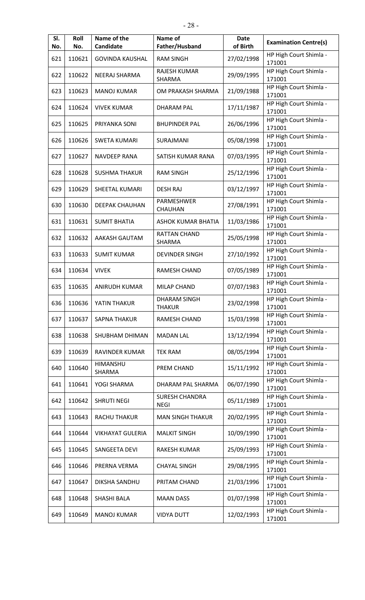| SI.<br>No. | Roll<br>No. | Name of the<br>Candidate | Name of<br>Father/Husband            | <b>Date</b><br>of Birth | <b>Examination Centre(s)</b>     |
|------------|-------------|--------------------------|--------------------------------------|-------------------------|----------------------------------|
| 621        | 110621      | <b>GOVINDA KAUSHAL</b>   | <b>RAM SINGH</b>                     | 27/02/1998              | HP High Court Shimla -<br>171001 |
| 622        | 110622      | NEERAJ SHARMA            | <b>RAJESH KUMAR</b><br>SHARMA        | 29/09/1995              | HP High Court Shimla -<br>171001 |
| 623        | 110623      | <b>MANOJ KUMAR</b>       | OM PRAKASH SHARMA                    | 21/09/1988              | HP High Court Shimla -<br>171001 |
| 624        | 110624      | <b>VIVEK KUMAR</b>       | <b>DHARAM PAL</b>                    | 17/11/1987              | HP High Court Shimla -<br>171001 |
| 625        | 110625      | PRIYANKA SONI            | <b>BHUPINDER PAL</b>                 | 26/06/1996              | HP High Court Shimla -<br>171001 |
| 626        | 110626      | <b>SWETA KUMARI</b>      | SURAJMANI                            | 05/08/1998              | HP High Court Shimla -<br>171001 |
| 627        | 110627      | <b>NAVDEEP RANA</b>      | SATISH KUMAR RANA                    | 07/03/1995              | HP High Court Shimla -<br>171001 |
| 628        | 110628      | <b>SUSHMA THAKUR</b>     | <b>RAM SINGH</b>                     | 25/12/1996              | HP High Court Shimla -<br>171001 |
| 629        | 110629      | SHEETAL KUMARI           | <b>DESH RAJ</b>                      | 03/12/1997              | HP High Court Shimla -<br>171001 |
| 630        | 110630      | <b>DEEPAK CHAUHAN</b>    | PARMESHWER<br>CHAUHAN                | 27/08/1991              | HP High Court Shimla -<br>171001 |
| 631        | 110631      | <b>SUMIT BHATIA</b>      | <b>ASHOK KUMAR BHATIA</b>            | 11/03/1986              | HP High Court Shimla -<br>171001 |
| 632        | 110632      | AAKASH GAUTAM            | <b>RATTAN CHAND</b><br>SHARMA        | 25/05/1998              | HP High Court Shimla -<br>171001 |
| 633        | 110633      | <b>SUMIT KUMAR</b>       | <b>DEVINDER SINGH</b>                | 27/10/1992              | HP High Court Shimla -<br>171001 |
| 634        | 110634      | <b>VIVEK</b>             | <b>RAMESH CHAND</b>                  | 07/05/1989              | HP High Court Shimla -<br>171001 |
| 635        | 110635      | <b>ANIRUDH KUMAR</b>     | MILAP CHAND                          | 07/07/1983              | HP High Court Shimla -<br>171001 |
| 636        | 110636      | YATIN THAKUR             | DHARAM SINGH<br><b>THAKUR</b>        | 23/02/1998              | HP High Court Shimla -<br>171001 |
| 637        | 110637      | <b>SAPNA THAKUR</b>      | RAMESH CHAND                         | 15/03/1998              | HP High Court Shimla -<br>171001 |
| 638        | 110638      | SHUBHAM DHIMAN           | <b>MADAN LAL</b>                     | 13/12/1994              | HP High Court Shimla -<br>171001 |
| 639        | 110639      | RAVINDER KUMAR           | TEK RAM                              | 08/05/1994              | HP High Court Shimla -<br>171001 |
| 640        | 110640      | HIMANSHU<br>SHARMA       | PREM CHAND                           | 15/11/1992              | HP High Court Shimla -<br>171001 |
| 641        | 110641      | YOGI SHARMA              | DHARAM PAL SHARMA                    | 06/07/1990              | HP High Court Shimla -<br>171001 |
| 642        | 110642      | <b>SHRUTI NEGI</b>       | <b>SURESH CHANDRA</b><br><b>NEGI</b> | 05/11/1989              | HP High Court Shimla -<br>171001 |
| 643        | 110643      | RACHU THAKUR             | <b>MAN SINGH THAKUR</b>              | 20/02/1995              | HP High Court Shimla -<br>171001 |
| 644        | 110644      | <b>VIKHAYAT GULERIA</b>  | <b>MALKIT SINGH</b>                  | 10/09/1990              | HP High Court Shimla -<br>171001 |
| 645        | 110645      | SANGEETA DEVI            | RAKESH KUMAR                         | 25/09/1993              | HP High Court Shimla -<br>171001 |
| 646        | 110646      | PRERNA VERMA             | <b>CHAYAL SINGH</b>                  | 29/08/1995              | HP High Court Shimla -<br>171001 |
| 647        | 110647      | DIKSHA SANDHU            | PRITAM CHAND                         | 21/03/1996              | HP High Court Shimla -<br>171001 |
| 648        | 110648      | SHASHI BALA              | <b>MAAN DASS</b>                     | 01/07/1998              | HP High Court Shimla -<br>171001 |
| 649        | 110649      | <b>MANOJ KUMAR</b>       | <b>VIDYA DUTT</b>                    | 12/02/1993              | HP High Court Shimla -<br>171001 |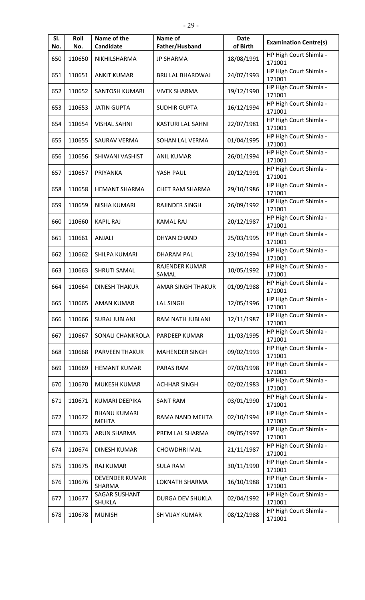| SI.<br>No. | Roll<br>No. | Name of the<br>Candidate              | Name of<br>Father/Husband | <b>Date</b><br>of Birth | <b>Examination Centre(s)</b>     |
|------------|-------------|---------------------------------------|---------------------------|-------------------------|----------------------------------|
| 650        | 110650      | NIKHILSHARMA                          | <b>JP SHARMA</b>          | 18/08/1991              | HP High Court Shimla -<br>171001 |
| 651        | 110651      | <b>ANKIT KUMAR</b>                    | <b>BRIJ LAL BHARDWAJ</b>  | 24/07/1993              | HP High Court Shimla -<br>171001 |
| 652        | 110652      | <b>SANTOSH KUMARI</b>                 | <b>VIVEK SHARMA</b>       | 19/12/1990              | HP High Court Shimla -<br>171001 |
| 653        | 110653      | <b>JATIN GUPTA</b>                    | <b>SUDHIR GUPTA</b>       | 16/12/1994              | HP High Court Shimla -<br>171001 |
| 654        | 110654      | <b>VISHAL SAHNI</b>                   | KASTURI LAL SAHNI         | 22/07/1981              | HP High Court Shimla -<br>171001 |
| 655        | 110655      | <b>SAURAV VERMA</b>                   | SOHAN LAL VERMA           | 01/04/1995              | HP High Court Shimla -<br>171001 |
| 656        | 110656      | SHIWANI VASHIST                       | <b>ANIL KUMAR</b>         | 26/01/1994              | HP High Court Shimla -<br>171001 |
| 657        | 110657      | PRIYANKA                              | YASH PAUL                 | 20/12/1991              | HP High Court Shimla -<br>171001 |
| 658        | 110658      | <b>HEMANT SHARMA</b>                  | CHET RAM SHARMA           | 29/10/1986              | HP High Court Shimla -<br>171001 |
| 659        | 110659      | <b>NISHA KUMARI</b>                   | <b>RAJINDER SINGH</b>     | 26/09/1992              | HP High Court Shimla -<br>171001 |
| 660        | 110660      | <b>KAPIL RAJ</b>                      | <b>KAMAL RAJ</b>          | 20/12/1987              | HP High Court Shimla -<br>171001 |
| 661        | 110661      | ANJALI                                | <b>DHYAN CHAND</b>        | 25/03/1995              | HP High Court Shimla -<br>171001 |
| 662        | 110662      | SHILPA KUMARI                         | <b>DHARAM PAL</b>         | 23/10/1994              | HP High Court Shimla -<br>171001 |
| 663        | 110663      | <b>SHRUTI SAMAL</b>                   | RAJENDER KUMAR<br>SAMAL   | 10/05/1992              | HP High Court Shimla -<br>171001 |
| 664        | 110664      | <b>DINESH THAKUR</b>                  | AMAR SINGH THAKUR         | 01/09/1988              | HP High Court Shimla -<br>171001 |
| 665        | 110665      | <b>AMAN KUMAR</b>                     | <b>LAL SINGH</b>          | 12/05/1996              | HP High Court Shimla -<br>171001 |
| 666        | 110666      | <b>SURAJ JUBLANI</b>                  | RAM NATH JUBLANI          | 12/11/1987              | HP High Court Shimla -<br>171001 |
| 667        | 110667      | SONALI CHANKROLA                      | PARDEEP KUMAR             | 11/03/1995              | HP High Court Shimla -<br>171001 |
| 668        | 110668      | <b>PARVEEN THAKUR</b>                 | <b>MAHENDER SINGH</b>     | 09/02/1993              | HP High Court Shimla -<br>171001 |
| 669        | 110669      | <b>HEMANT KUMAR</b>                   | PARAS RAM                 | 07/03/1998              | HP High Court Shimla -<br>171001 |
| 670        | 110670      | MUKESH KUMAR                          | <b>ACHHAR SINGH</b>       | 02/02/1983              | HP High Court Shimla -<br>171001 |
| 671        | 110671      | <b>KUMARI DEEPIKA</b>                 | <b>SANT RAM</b>           | 03/01/1990              | HP High Court Shimla -<br>171001 |
| 672        | 110672      | <b>BHANU KUMARI</b><br><b>MEHTA</b>   | RAMA NAND MEHTA           | 02/10/1994              | HP High Court Shimla -<br>171001 |
| 673        | 110673      | <b>ARUN SHARMA</b>                    | PREM LAL SHARMA           | 09/05/1997              | HP High Court Shimla -<br>171001 |
| 674        | 110674      | <b>DINESH KUMAR</b>                   | <b>CHOWDHRI MAL</b>       | 21/11/1987              | HP High Court Shimla -<br>171001 |
| 675        | 110675      | <b>RAJ KUMAR</b>                      | <b>SULA RAM</b>           | 30/11/1990              | HP High Court Shimla -<br>171001 |
| 676        | 110676      | <b>DEVENDER KUMAR</b><br>SHARMA       | LOKNATH SHARMA            | 16/10/1988              | HP High Court Shimla -<br>171001 |
| 677        | 110677      | <b>SAGAR SUSHANT</b><br><b>SHUKLA</b> | DURGA DEV SHUKLA          | 02/04/1992              | HP High Court Shimla -<br>171001 |
| 678        | 110678      | <b>MUNISH</b>                         | <b>SH VIJAY KUMAR</b>     | 08/12/1988              | HP High Court Shimla -<br>171001 |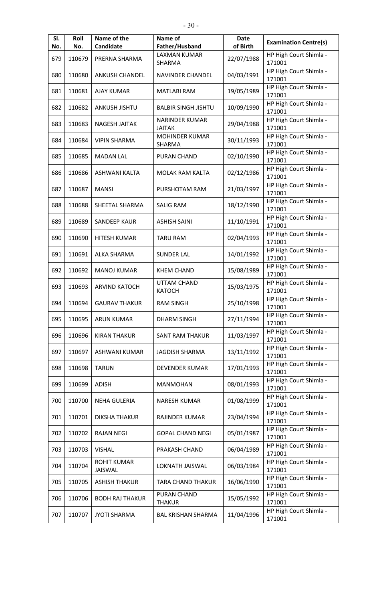| SI.<br>No. | Roll<br>No. | Name of the<br>Candidate      | Name of<br>Father/Husband              | <b>Date</b><br>of Birth | <b>Examination Centre(s)</b>     |
|------------|-------------|-------------------------------|----------------------------------------|-------------------------|----------------------------------|
|            |             |                               | <b>LAXMAN KUMAR</b>                    |                         | HP High Court Shimla -           |
| 679        | 110679      | PRERNA SHARMA                 | SHARMA                                 | 22/07/1988              | 171001                           |
| 680        | 110680      | <b>ANKUSH CHANDEL</b>         | <b>NAVINDER CHANDEL</b>                | 04/03/1991              | HP High Court Shimla -<br>171001 |
| 681        | 110681      | <b>AJAY KUMAR</b>             | <b>MATLABI RAM</b>                     | 19/05/1989              | HP High Court Shimla -<br>171001 |
| 682        | 110682      | <b>ANKUSH JISHTU</b>          | <b>BALBIR SINGH JISHTU</b>             | 10/09/1990              | HP High Court Shimla -<br>171001 |
| 683        | 110683      | <b>NAGESH JAITAK</b>          | <b>NARINDER KUMAR</b><br><b>JAITAK</b> | 29/04/1988              | HP High Court Shimla -<br>171001 |
| 684        | 110684      | <b>VIPIN SHARMA</b>           | <b>MOHINDER KUMAR</b><br>SHARMA        | 30/11/1993              | HP High Court Shimla -<br>171001 |
| 685        | 110685      | <b>MADAN LAL</b>              | <b>PURAN CHAND</b>                     | 02/10/1990              | HP High Court Shimla -<br>171001 |
| 686        | 110686      | <b>ASHWANI KALTA</b>          | MOLAK RAM KALTA                        | 02/12/1986              | HP High Court Shimla -<br>171001 |
| 687        | 110687      | <b>MANSI</b>                  | PURSHOTAM RAM                          | 21/03/1997              | HP High Court Shimla -<br>171001 |
| 688        | 110688      | SHEETAL SHARMA                | <b>SALIG RAM</b>                       | 18/12/1990              | HP High Court Shimla -<br>171001 |
| 689        | 110689      | <b>SANDEEP KAUR</b>           | <b>ASHISH SAINI</b>                    | 11/10/1991              | HP High Court Shimla -<br>171001 |
| 690        | 110690      | HITESH KUMAR                  | <b>TARU RAM</b>                        | 02/04/1993              | HP High Court Shimla -<br>171001 |
| 691        | 110691      | <b>ALKA SHARMA</b>            | <b>SUNDER LAL</b>                      | 14/01/1992              | HP High Court Shimla -<br>171001 |
| 692        | 110692      | <b>MANOJ KUMAR</b>            | <b>KHEM CHAND</b>                      | 15/08/1989              | HP High Court Shimla -<br>171001 |
| 693        | 110693      | <b>ARVIND KATOCH</b>          | <b>UTTAM CHAND</b><br><b>KATOCH</b>    | 15/03/1975              | HP High Court Shimla -<br>171001 |
| 694        | 110694      | <b>GAURAV THAKUR</b>          | RAM SINGH                              | 25/10/1998              | HP High Court Shimla -<br>171001 |
| 695        | 110695      | <b>ARUN KUMAR</b>             | <b>DHARM SINGH</b>                     | 27/11/1994              | HP High Court Shimla -<br>171001 |
| 696        | 110696      | <b>KIRAN THAKUR</b>           | SANT RAM THAKUR                        | 11/03/1997              | HP High Court Shimla -<br>171001 |
| 697        | 110697      | ASHWANI KUMAR                 | <b>JAGDISH SHARMA</b>                  | 13/11/1992              | HP High Court Shimla -<br>171001 |
| 698        | 110698      | <b>TARUN</b>                  | DEVENDER KUMAR                         | 17/01/1993              | HP High Court Shimla -<br>171001 |
| 699        | 110699      | ADISH                         | <b>MANMOHAN</b>                        | 08/01/1993              | HP High Court Shimla -<br>171001 |
| 700        | 110700      | <b>NEHA GULERIA</b>           | NARESH KUMAR                           | 01/08/1999              | HP High Court Shimla -<br>171001 |
| 701        | 110701      | <b>DIKSHA THAKUR</b>          | RAJINDER KUMAR                         | 23/04/1994              | HP High Court Shimla -<br>171001 |
| 702        | 110702      | <b>RAJAN NEGI</b>             | <b>GOPAL CHAND NEGI</b>                | 05/01/1987              | HP High Court Shimla -<br>171001 |
| 703        | 110703      | <b>VISHAL</b>                 | PRAKASH CHAND                          | 06/04/1989              | HP High Court Shimla -<br>171001 |
| 704        | 110704      | <b>ROHIT KUMAR</b><br>JAISWAL | LOKNATH JAISWAL                        | 06/03/1984              | HP High Court Shimla -<br>171001 |
| 705        | 110705      | <b>ASHISH THAKUR</b>          | TARA CHAND THAKUR                      | 16/06/1990              | HP High Court Shimla -<br>171001 |
| 706        | 110706      | <b>BODH RAJ THAKUR</b>        | PURAN CHAND<br><b>THAKUR</b>           | 15/05/1992              | HP High Court Shimla -<br>171001 |
| 707        | 110707      | <b>JYOTI SHARMA</b>           | <b>BAL KRISHAN SHARMA</b>              | 11/04/1996              | HP High Court Shimla -<br>171001 |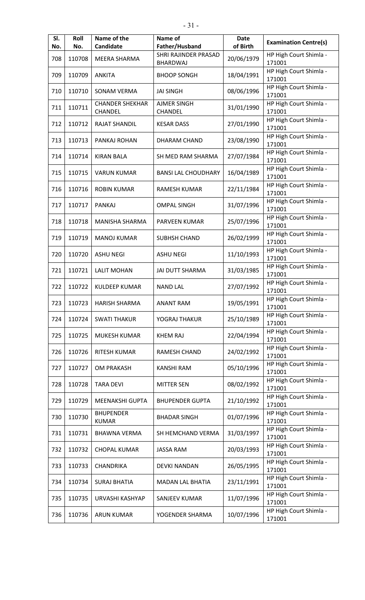| SI.<br>No. | Roll<br>No. | Name of the<br>Candidate          | Name of<br>Father/Husband               | <b>Date</b><br>of Birth | <b>Examination Centre(s)</b>     |
|------------|-------------|-----------------------------------|-----------------------------------------|-------------------------|----------------------------------|
| 708        | 110708      | MEERA SHARMA                      | SHRI RAJINDER PRASAD<br><b>BHARDWAJ</b> | 20/06/1979              | HP High Court Shimla -<br>171001 |
| 709        | 110709      | <b>ANKITA</b>                     | <b>BHOOP SONGH</b>                      | 18/04/1991              | HP High Court Shimla -<br>171001 |
| 710        | 110710      | <b>SONAM VERMA</b>                | <b>JAI SINGH</b>                        | 08/06/1996              | HP High Court Shimla -<br>171001 |
| 711        | 110711      | <b>CHANDER SHEKHAR</b><br>CHANDEL | <b>AJMER SINGH</b><br>CHANDEL           | 31/01/1990              | HP High Court Shimla -<br>171001 |
| 712        | 110712      | <b>RAJAT SHANDIL</b>              | <b>KESAR DASS</b>                       | 27/01/1990              | HP High Court Shimla -<br>171001 |
| 713        | 110713      | PANKAJ ROHAN                      | DHARAM CHAND                            | 23/08/1990              | HP High Court Shimla -<br>171001 |
| 714        | 110714      | <b>KIRAN BALA</b>                 | SH MED RAM SHARMA                       | 27/07/1984              | HP High Court Shimla -<br>171001 |
| 715        | 110715      | <b>VARUN KUMAR</b>                | <b>BANSI LAL CHOUDHARY</b>              | 16/04/1989              | HP High Court Shimla -<br>171001 |
| 716        | 110716      | <b>ROBIN KUMAR</b>                | RAMESH KUMAR                            | 22/11/1984              | HP High Court Shimla -<br>171001 |
| 717        | 110717      | <b>PANKAJ</b>                     | <b>OMPAL SINGH</b>                      | 31/07/1996              | HP High Court Shimla -<br>171001 |
| 718        | 110718      | MANISHA SHARMA                    | PARVEEN KUMAR                           | 25/07/1996              | HP High Court Shimla -<br>171001 |
| 719        | 110719      | <b>MANOJ KUMAR</b>                | <b>SUBHSH CHAND</b>                     | 26/02/1999              | HP High Court Shimla -<br>171001 |
| 720        | 110720      | <b>ASHU NEGI</b>                  | <b>ASHU NEGI</b>                        | 11/10/1993              | HP High Court Shimla -<br>171001 |
| 721        | 110721      | <b>LALIT MOHAN</b>                | <b>JAI DUTT SHARMA</b>                  | 31/03/1985              | HP High Court Shimla -<br>171001 |
| 722        | 110722      | <b>KULDEEP KUMAR</b>              | <b>NAND LAL</b>                         | 27/07/1992              | HP High Court Shimla -<br>171001 |
| 723        | 110723      | <b>HARISH SHARMA</b>              | <b>ANANT RAM</b>                        | 19/05/1991              | HP High Court Shimla -<br>171001 |
| 724        | 110724      | <b>SWATI THAKUR</b>               | YOGRAJ THAKUR                           | 25/10/1989              | HP High Court Shimla -<br>171001 |
| 725        | 110725      | MUKESH KUMAR                      | KHEM RAJ                                | 22/04/1994              | HP High Court Shimla -<br>171001 |
| 726        | 110726      | <b>RITESH KUMAR</b>               | RAMESH CHAND                            | 24/02/1992              | HP High Court Shimla -<br>171001 |
| 727        | 110727      | <b>OM PRAKASH</b>                 | <b>KANSHI RAM</b>                       | 05/10/1996              | HP High Court Shimla -<br>171001 |
| 728        | 110728      | <b>TARA DEVI</b>                  | <b>MITTER SEN</b>                       | 08/02/1992              | HP High Court Shimla -<br>171001 |
| 729        | 110729      | MEENAKSHI GUPTA                   | <b>BHUPENDER GUPTA</b>                  | 21/10/1992              | HP High Court Shimla -<br>171001 |
| 730        | 110730      | <b>BHUPENDER</b><br><b>KUMAR</b>  | <b>BHADAR SINGH</b>                     | 01/07/1996              | HP High Court Shimla -<br>171001 |
| 731        | 110731      | <b>BHAWNA VERMA</b>               | SH HEMCHAND VERMA                       | 31/03/1997              | HP High Court Shimla -<br>171001 |
| 732        | 110732      | <b>CHOPAL KUMAR</b>               | <b>JASSA RAM</b>                        | 20/03/1993              | HP High Court Shimla -<br>171001 |
| 733        | 110733      | CHANDRIKA                         | DEVKI NANDAN                            | 26/05/1995              | HP High Court Shimla -<br>171001 |
| 734        | 110734      | <b>SURAJ BHATIA</b>               | MADAN LAL BHATIA                        | 23/11/1991              | HP High Court Shimla -<br>171001 |
| 735        | 110735      | URVASHI KASHYAP                   | SANJEEV KUMAR                           | 11/07/1996              | HP High Court Shimla -<br>171001 |
| 736        | 110736      | <b>ARUN KUMAR</b>                 | YOGENDER SHARMA                         | 10/07/1996              | HP High Court Shimla -<br>171001 |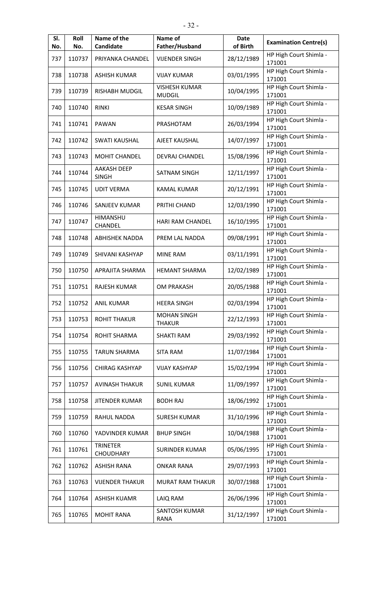| SI.<br>No. | Roll<br>No. | Name of the<br>Candidate            | Name of<br>Father/Husband             | <b>Date</b><br>of Birth | <b>Examination Centre(s)</b>     |
|------------|-------------|-------------------------------------|---------------------------------------|-------------------------|----------------------------------|
| 737        | 110737      | PRIYANKA CHANDEL                    | <b>VIJENDER SINGH</b>                 | 28/12/1989              | HP High Court Shimla -<br>171001 |
| 738        | 110738      | <b>ASHISH KUMAR</b>                 | <b>VIJAY KUMAR</b>                    | 03/01/1995              | HP High Court Shimla -<br>171001 |
| 739        | 110739      | <b>RISHABH MUDGIL</b>               | <b>VISHESH KUMAR</b><br><b>MUDGIL</b> | 10/04/1995              | HP High Court Shimla -<br>171001 |
| 740        | 110740      | <b>RINKI</b>                        | <b>KESAR SINGH</b>                    | 10/09/1989              | HP High Court Shimla -<br>171001 |
| 741        | 110741      | <b>PAWAN</b>                        | PRASHOTAM                             | 26/03/1994              | HP High Court Shimla -<br>171001 |
| 742        | 110742      | <b>SWATI KAUSHAL</b>                | AJEET KAUSHAL                         | 14/07/1997              | HP High Court Shimla -<br>171001 |
| 743        | 110743      | MOHIT CHANDEL                       | <b>DEVRAJ CHANDEL</b>                 | 15/08/1996              | HP High Court Shimla -<br>171001 |
| 744        | 110744      | <b>AAKASH DEEP</b><br><b>SINGH</b>  | <b>SATNAM SINGH</b>                   | 12/11/1997              | HP High Court Shimla -<br>171001 |
| 745        | 110745      | <b>UDIT VERMA</b>                   | KAMAL KUMAR                           | 20/12/1991              | HP High Court Shimla -<br>171001 |
| 746        | 110746      | SANJEEV KUMAR                       | PRITHI CHAND                          | 12/03/1990              | HP High Court Shimla -<br>171001 |
| 747        | 110747      | HIMANSHU<br>CHANDEL                 | HARI RAM CHANDEL                      | 16/10/1995              | HP High Court Shimla -<br>171001 |
| 748        | 110748      | <b>ABHISHEK NADDA</b>               | PREM LAL NADDA                        | 09/08/1991              | HP High Court Shimla -<br>171001 |
| 749        | 110749      | SHIVANI KASHYAP                     | <b>MINE RAM</b>                       | 03/11/1991              | HP High Court Shimla -<br>171001 |
| 750        | 110750      | APRAJITA SHARMA                     | <b>HEMANT SHARMA</b>                  | 12/02/1989              | HP High Court Shimla -<br>171001 |
| 751        | 110751      | <b>RAJESH KUMAR</b>                 | <b>OM PRAKASH</b>                     | 20/05/1988              | HP High Court Shimla -<br>171001 |
| 752        | 110752      | ANIL KUMAR                          | <b>HEERA SINGH</b>                    | 02/03/1994              | HP High Court Shimla -<br>171001 |
| 753        | 110753      | <b>ROHIT THAKUR</b>                 | <b>MOHAN SINGH</b><br><b>THAKUR</b>   | 22/12/1993              | HP High Court Shimla -<br>171001 |
| 754        | 110754      | ROHIT SHARMA                        | <b>SHAKTI RAM</b>                     | 29/03/1992              | HP High Court Shimla -<br>171001 |
| 755        | 110755      | <b>TARUN SHARMA</b>                 | <b>SITA RAM</b>                       | 11/07/1984              | HP High Court Shimla -<br>171001 |
| 756        | 110756      | CHIRAG KASHYAP                      | <b>VIJAY KASHYAP</b>                  | 15/02/1994              | HP High Court Shimla -<br>171001 |
| 757        | 110757      | <b>AVINASH THAKUR</b>               | <b>SUNIL KUMAR</b>                    | 11/09/1997              | HP High Court Shimla -<br>171001 |
| 758        | 110758      | <b>JITENDER KUMAR</b>               | <b>BODH RAJ</b>                       | 18/06/1992              | HP High Court Shimla -<br>171001 |
| 759        | 110759      | RAHUL NADDA                         | <b>SURESH KUMAR</b>                   | 31/10/1996              | HP High Court Shimla -<br>171001 |
| 760        | 110760      | YADVINDER KUMAR                     | <b>BHUP SINGH</b>                     | 10/04/1988              | HP High Court Shimla -<br>171001 |
| 761        | 110761      | <b>TRINETER</b><br><b>CHOUDHARY</b> | <b>SURINDER KUMAR</b>                 | 05/06/1995              | HP High Court Shimla -<br>171001 |
| 762        | 110762      | <b>ASHISH RANA</b>                  | <b>ONKAR RANA</b>                     | 29/07/1993              | HP High Court Shimla -<br>171001 |
| 763        | 110763      | <b>VIJENDER THAKUR</b>              | <b>MURAT RAM THAKUR</b>               | 30/07/1988              | HP High Court Shimla -<br>171001 |
| 764        | 110764      | <b>ASHISH KUAMR</b>                 | LAIQ RAM                              | 26/06/1996              | HP High Court Shimla -<br>171001 |
| 765        | 110765      | <b>MOHIT RANA</b>                   | SANTOSH KUMAR<br><b>RANA</b>          | 31/12/1997              | HP High Court Shimla -<br>171001 |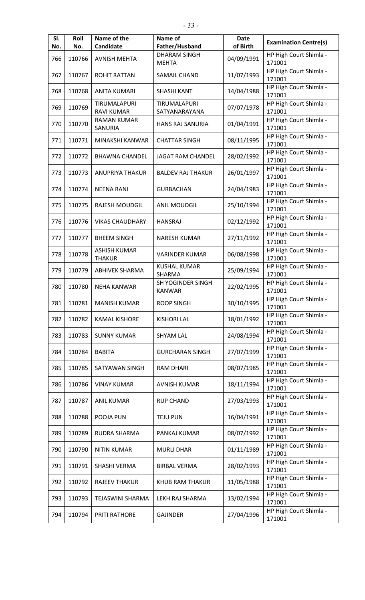| SI. | Roll   | Name of the                          | Name of                             | <b>Date</b> | <b>Examination Centre(s)</b>     |
|-----|--------|--------------------------------------|-------------------------------------|-------------|----------------------------------|
| No. | No.    | Candidate                            | Father/Husband                      | of Birth    |                                  |
| 766 | 110766 | <b>AVNISH MEHTA</b>                  | <b>DHARAM SINGH</b><br><b>MEHTA</b> | 04/09/1991  | HP High Court Shimla -<br>171001 |
| 767 | 110767 | <b>ROHIT RATTAN</b>                  | SAMAIL CHAND                        | 11/07/1993  | HP High Court Shimla -<br>171001 |
| 768 | 110768 | <b>ANITA KUMARI</b>                  | <b>SHASHI KANT</b>                  | 14/04/1988  | HP High Court Shimla -<br>171001 |
| 769 | 110769 | TIRUMALAPURI<br><b>RAVI KUMAR</b>    | TIRUMALAPURI<br>SATYANARAYANA       | 07/07/1978  | HP High Court Shimla -<br>171001 |
| 770 | 110770 | <b>RAMAN KUMAR</b><br>SANURIA        | HANS RAJ SANURIA                    | 01/04/1991  | HP High Court Shimla -<br>171001 |
| 771 | 110771 | MINAKSHI KANWAR                      | <b>CHATTAR SINGH</b>                | 08/11/1995  | HP High Court Shimla -<br>171001 |
| 772 | 110772 | <b>BHAWNA CHANDEL</b>                | <b>JAGAT RAM CHANDEL</b>            | 28/02/1992  | HP High Court Shimla -<br>171001 |
| 773 | 110773 | <b>ANUPRIYA THAKUR</b>               | <b>BALDEV RAJ THAKUR</b>            | 26/01/1997  | HP High Court Shimla -<br>171001 |
| 774 | 110774 | <b>NEENA RANI</b>                    | <b>GURBACHAN</b>                    | 24/04/1983  | HP High Court Shimla -<br>171001 |
| 775 | 110775 | <b>RAJESH MOUDGIL</b>                | <b>ANIL MOUDGIL</b>                 | 25/10/1994  | HP High Court Shimla -<br>171001 |
| 776 | 110776 | <b>VIKAS CHAUDHARY</b>               | <b>HANSRAJ</b>                      | 02/12/1992  | HP High Court Shimla -<br>171001 |
| 777 | 110777 | <b>BHEEM SINGH</b>                   | <b>NARESH KUMAR</b>                 | 27/11/1992  | HP High Court Shimla -<br>171001 |
| 778 | 110778 | <b>ASHISH KUMAR</b><br><b>THAKUR</b> | <b>VARINDER KUMAR</b>               | 06/08/1998  | HP High Court Shimla -<br>171001 |
| 779 | 110779 | <b>ABHIVEK SHARMA</b>                | <b>KUSHAL KUMAR</b><br>SHARMA       | 25/09/1994  | HP High Court Shimla -<br>171001 |
| 780 | 110780 | <b>NEHA KANWAR</b>                   | SH YOGINDER SINGH<br><b>KANWAR</b>  | 22/02/1995  | HP High Court Shimla -<br>171001 |
| 781 | 110781 | <b>MANISH KUMAR</b>                  | <b>ROOP SINGH</b>                   | 30/10/1995  | HP High Court Shimla -<br>171001 |
| 782 | 110782 | <b>KAMAL KISHORE</b>                 | <b>KISHORI LAL</b>                  | 18/01/1992  | HP High Court Shimla -<br>171001 |
| 783 | 110783 | <b>SUNNY KUMAR</b>                   | <b>SHYAM LAL</b>                    | 24/08/1994  | HP High Court Shimla -<br>171001 |
| 784 | 110784 | <b>BABITA</b>                        | <b>GURCHARAN SINGH</b>              | 27/07/1999  | HP High Court Shimla -<br>171001 |
| 785 | 110785 | SATYAWAN SINGH                       | <b>RAM DHARI</b>                    | 08/07/1985  | HP High Court Shimla -<br>171001 |
| 786 | 110786 | <b>VINAY KUMAR</b>                   | <b>AVNISH KUMAR</b>                 | 18/11/1994  | HP High Court Shimla -<br>171001 |
| 787 | 110787 | <b>ANIL KUMAR</b>                    | <b>RUP CHAND</b>                    | 27/03/1993  | HP High Court Shimla -<br>171001 |
| 788 | 110788 | POOJA PUN                            | <b>TEJU PUN</b>                     | 16/04/1991  | HP High Court Shimla -<br>171001 |
| 789 | 110789 | RUDRA SHARMA                         | PANKAJ KUMAR                        | 08/07/1992  | HP High Court Shimla -<br>171001 |
| 790 | 110790 | <b>NITIN KUMAR</b>                   | <b>MURLI DHAR</b>                   | 01/11/1989  | HP High Court Shimla -<br>171001 |
| 791 | 110791 | SHASHI VERMA                         | <b>BIRBAL VERMA</b>                 | 28/02/1993  | HP High Court Shimla -<br>171001 |
| 792 | 110792 | <b>RAJEEV THAKUR</b>                 | KHUB RAM THAKUR                     | 11/05/1988  | HP High Court Shimla -<br>171001 |
| 793 | 110793 | TEJASWINI SHARMA                     | LEKH RAJ SHARMA                     | 13/02/1994  | HP High Court Shimla -<br>171001 |
| 794 | 110794 | PRITI RATHORE                        | <b>GAJINDER</b>                     | 27/04/1996  | HP High Court Shimla -<br>171001 |